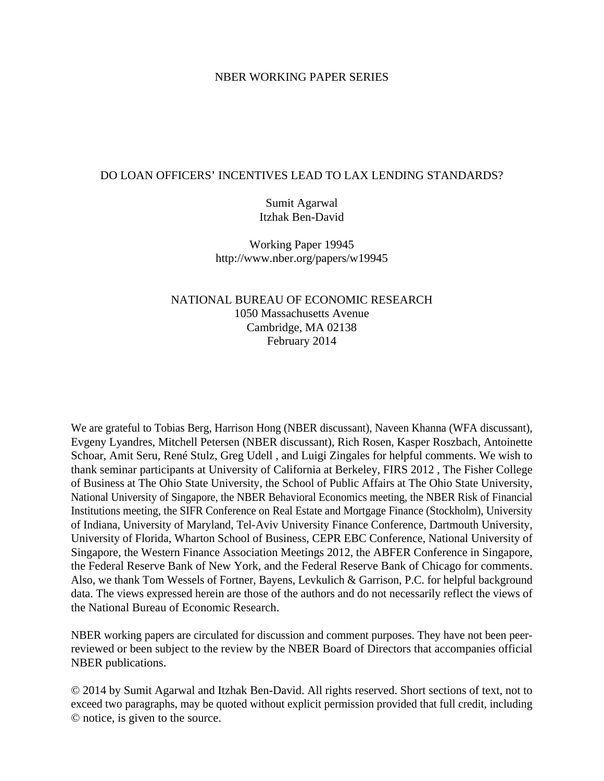## NBER WORKING PAPER SERIES

## DO LOAN OFFICERS' INCENTIVES LEAD TO LAX LENDING STANDARDS?

Sumit Agarwal Itzhak Ben-David

Working Paper 19945 http://www.nber.org/papers/w19945

# NATIONAL BUREAU OF ECONOMIC RESEARCH 1050 Massachusetts Avenue Cambridge, MA 02138 February 2014

We are grateful to Tobias Berg, Harrison Hong (NBER discussant), Naveen Khanna (WFA discussant), Evgeny Lyandres, Mitchell Petersen (NBER discussant), Rich Rosen, Kasper Roszbach, Antoinette Schoar, Amit Seru, René Stulz, Greg Udell , and Luigi Zingales for helpful comments. We wish to thank seminar participants at University of California at Berkeley, FIRS 2012 , The Fisher College of Business at The Ohio State University, the School of Public Affairs at The Ohio State University, National University of Singapore, the NBER Behavioral Economics meeting, the NBER Risk of Financial Institutions meeting, the SIFR Conference on Real Estate and Mortgage Finance (Stockholm), University of Indiana, University of Maryland, Tel-Aviv University Finance Conference, Dartmouth University, University of Florida, Wharton School of Business, CEPR EBC Conference, National University of Singapore, the Western Finance Association Meetings 2012, the ABFER Conference in Singapore, the Federal Reserve Bank of New York, and the Federal Reserve Bank of Chicago for comments. Also, we thank Tom Wessels of Fortner, Bayens, Levkulich & Garrison, P.C. for helpful background data. The views expressed herein are those of the authors and do not necessarily reflect the views of the National Bureau of Economic Research.

NBER working papers are circulated for discussion and comment purposes. They have not been peerreviewed or been subject to the review by the NBER Board of Directors that accompanies official NBER publications.

© 2014 by Sumit Agarwal and Itzhak Ben-David. All rights reserved. Short sections of text, not to exceed two paragraphs, may be quoted without explicit permission provided that full credit, including © notice, is given to the source.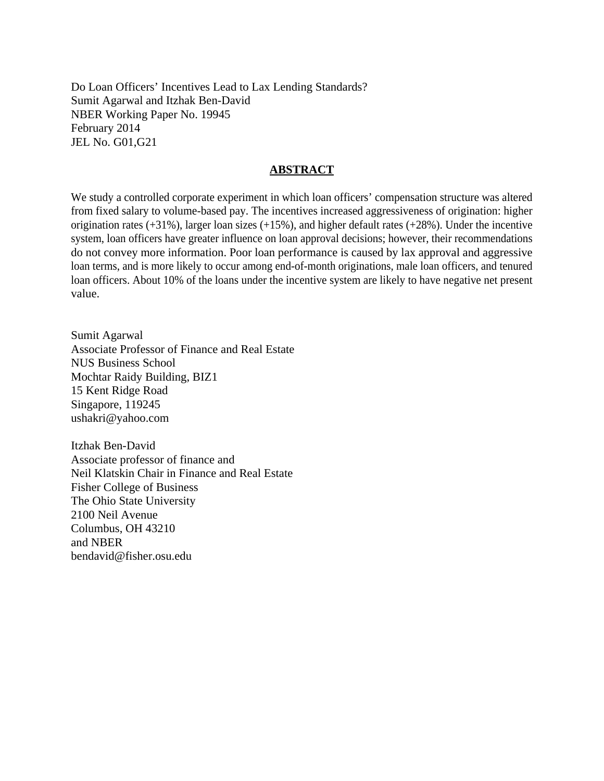Do Loan Officers' Incentives Lead to Lax Lending Standards? Sumit Agarwal and Itzhak Ben-David NBER Working Paper No. 19945 February 2014 JEL No. G01,G21

## **ABSTRACT**

We study a controlled corporate experiment in which loan officers' compensation structure was altered from fixed salary to volume-based pay. The incentives increased aggressiveness of origination: higher origination rates (+31%), larger loan sizes (+15%), and higher default rates (+28%). Under the incentive system, loan officers have greater influence on loan approval decisions; however, their recommendations do not convey more information. Poor loan performance is caused by lax approval and aggressive loan terms, and is more likely to occur among end-of-month originations, male loan officers, and tenured loan officers. About 10% of the loans under the incentive system are likely to have negative net present value.

Sumit Agarwal Associate Professor of Finance and Real Estate NUS Business School Mochtar Raidy Building, BIZ1 15 Kent Ridge Road Singapore, 119245 ushakri@yahoo.com

Itzhak Ben-David Associate professor of finance and Neil Klatskin Chair in Finance and Real Estate Fisher College of Business The Ohio State University 2100 Neil Avenue Columbus, OH 43210 and NBER bendavid@fisher.osu.edu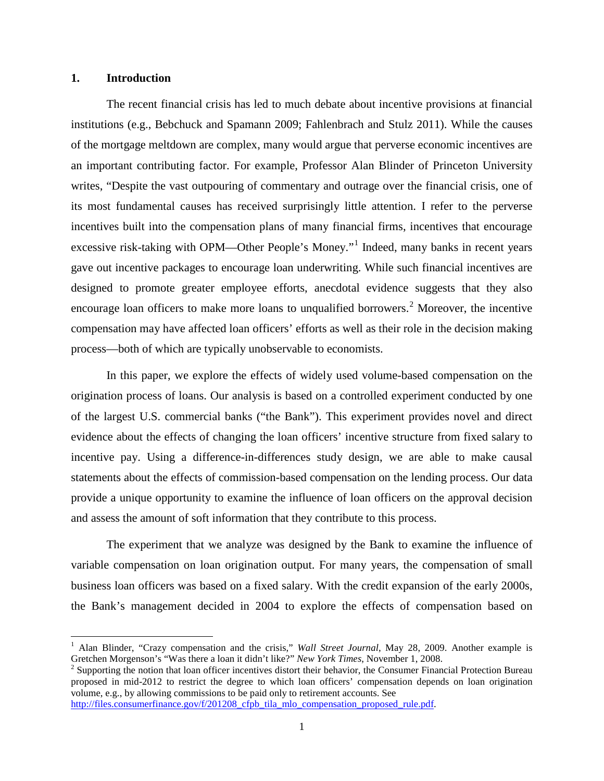### **1. Introduction**

 $\overline{\phantom{a}}$ 

The recent financial crisis has led to much debate about incentive provisions at financial institutions (e.g., Bebchuck and Spamann 2009; Fahlenbrach and Stulz 2011). While the causes of the mortgage meltdown are complex, many would argue that perverse economic incentives are an important contributing factor. For example, Professor Alan Blinder of Princeton University writes, "Despite the vast outpouring of commentary and outrage over the financial crisis, one of its most fundamental causes has received surprisingly little attention. I refer to the perverse incentives built into the compensation plans of many financial firms, incentives that encourage excessive risk-taking with OPM—Other People's Money."<sup>[1](#page-2-0)</sup> Indeed, many banks in recent years gave out incentive packages to encourage loan underwriting. While such financial incentives are designed to promote greater employee efforts, anecdotal evidence suggests that they also encourage loan officers to make more loans to unqualified borrowers.<sup>[2](#page-2-1)</sup> Moreover, the incentive compensation may have affected loan officers' efforts as well as their role in the decision making process—both of which are typically unobservable to economists.

In this paper, we explore the effects of widely used volume-based compensation on the origination process of loans. Our analysis is based on a controlled experiment conducted by one of the largest U.S. commercial banks ("the Bank"). This experiment provides novel and direct evidence about the effects of changing the loan officers' incentive structure from fixed salary to incentive pay. Using a difference-in-differences study design, we are able to make causal statements about the effects of commission-based compensation on the lending process. Our data provide a unique opportunity to examine the influence of loan officers on the approval decision and assess the amount of soft information that they contribute to this process.

The experiment that we analyze was designed by the Bank to examine the influence of variable compensation on loan origination output. For many years, the compensation of small business loan officers was based on a fixed salary. With the credit expansion of the early 2000s, the Bank's management decided in 2004 to explore the effects of compensation based on

<span id="page-2-0"></span><sup>&</sup>lt;sup>1</sup> Alan Blinder, "Crazy compensation and the crisis," *Wall Street Journal*, May 28, 2009. Another example is Gretchen Morgenson's "Was there a loan it didn't like?" *New York Times*, November 1, 2008.

<span id="page-2-1"></span><sup>&</sup>lt;sup>2</sup> Supporting the notion that loan officer incentives distort their behavior, the Consumer Financial Protection Bureau proposed in mid-2012 to restrict the degree to which loan officers' compensation depends on loan origination volume, e.g., by allowing commissions to be paid only to retirement accounts. See [http://files.consumerfinance.gov/f/201208\\_cfpb\\_tila\\_mlo\\_compensation\\_proposed\\_rule.pdf.](http://files.consumerfinance.gov/f/201208_cfpb_tila_mlo_compensation_proposed_rule.pdf)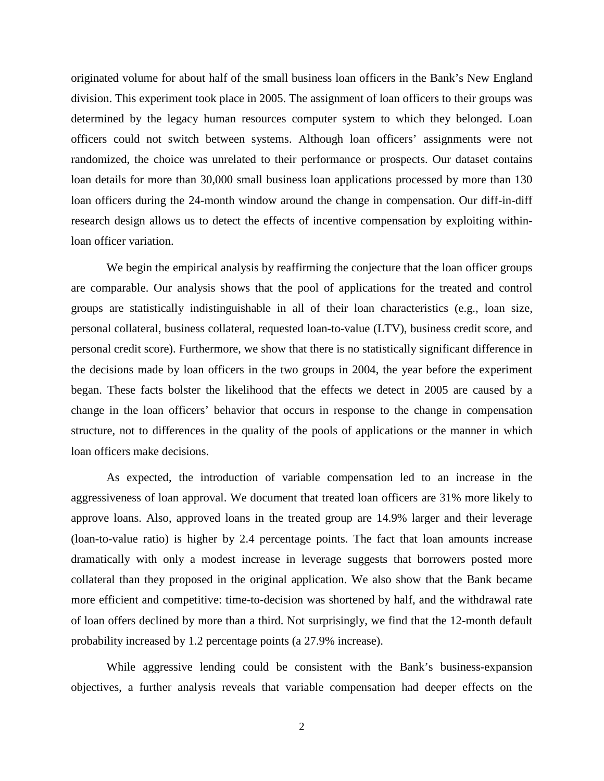originated volume for about half of the small business loan officers in the Bank's New England division. This experiment took place in 2005. The assignment of loan officers to their groups was determined by the legacy human resources computer system to which they belonged. Loan officers could not switch between systems. Although loan officers' assignments were not randomized, the choice was unrelated to their performance or prospects. Our dataset contains loan details for more than 30,000 small business loan applications processed by more than 130 loan officers during the 24-month window around the change in compensation. Our diff-in-diff research design allows us to detect the effects of incentive compensation by exploiting withinloan officer variation.

We begin the empirical analysis by reaffirming the conjecture that the loan officer groups are comparable. Our analysis shows that the pool of applications for the treated and control groups are statistically indistinguishable in all of their loan characteristics (e.g., loan size, personal collateral, business collateral, requested loan-to-value (LTV), business credit score, and personal credit score). Furthermore, we show that there is no statistically significant difference in the decisions made by loan officers in the two groups in 2004, the year before the experiment began. These facts bolster the likelihood that the effects we detect in 2005 are caused by a change in the loan officers' behavior that occurs in response to the change in compensation structure, not to differences in the quality of the pools of applications or the manner in which loan officers make decisions.

As expected, the introduction of variable compensation led to an increase in the aggressiveness of loan approval. We document that treated loan officers are 31% more likely to approve loans. Also, approved loans in the treated group are 14.9% larger and their leverage (loan-to-value ratio) is higher by 2.4 percentage points. The fact that loan amounts increase dramatically with only a modest increase in leverage suggests that borrowers posted more collateral than they proposed in the original application. We also show that the Bank became more efficient and competitive: time-to-decision was shortened by half, and the withdrawal rate of loan offers declined by more than a third. Not surprisingly, we find that the 12-month default probability increased by 1.2 percentage points (a 27.9% increase).

While aggressive lending could be consistent with the Bank's business-expansion objectives, a further analysis reveals that variable compensation had deeper effects on the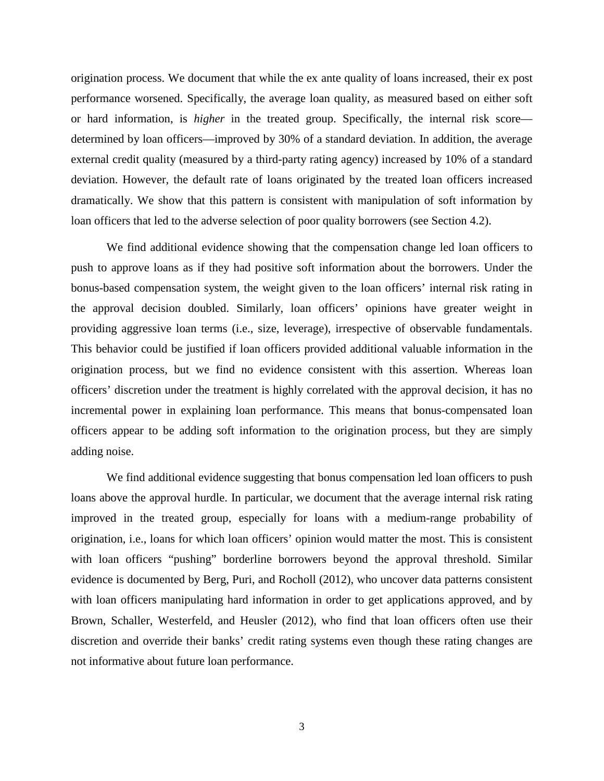origination process. We document that while the ex ante quality of loans increased, their ex post performance worsened. Specifically, the average loan quality, as measured based on either soft or hard information, is *higher* in the treated group. Specifically, the internal risk score determined by loan officers—improved by 30% of a standard deviation. In addition, the average external credit quality (measured by a third-party rating agency) increased by 10% of a standard deviation. However, the default rate of loans originated by the treated loan officers increased dramatically. We show that this pattern is consistent with manipulation of soft information by loan officers that led to the adverse selection of poor quality borrowers (see Section 4.2).

We find additional evidence showing that the compensation change led loan officers to push to approve loans as if they had positive soft information about the borrowers. Under the bonus-based compensation system, the weight given to the loan officers' internal risk rating in the approval decision doubled. Similarly, loan officers' opinions have greater weight in providing aggressive loan terms (i.e., size, leverage), irrespective of observable fundamentals. This behavior could be justified if loan officers provided additional valuable information in the origination process, but we find no evidence consistent with this assertion. Whereas loan officers' discretion under the treatment is highly correlated with the approval decision, it has no incremental power in explaining loan performance. This means that bonus-compensated loan officers appear to be adding soft information to the origination process, but they are simply adding noise.

We find additional evidence suggesting that bonus compensation led loan officers to push loans above the approval hurdle. In particular, we document that the average internal risk rating improved in the treated group, especially for loans with a medium-range probability of origination, i.e., loans for which loan officers' opinion would matter the most. This is consistent with loan officers "pushing" borderline borrowers beyond the approval threshold. Similar evidence is documented by Berg, Puri, and Rocholl (2012), who uncover data patterns consistent with loan officers manipulating hard information in order to get applications approved, and by Brown, Schaller, Westerfeld, and Heusler (2012), who find that loan officers often use their discretion and override their banks' credit rating systems even though these rating changes are not informative about future loan performance.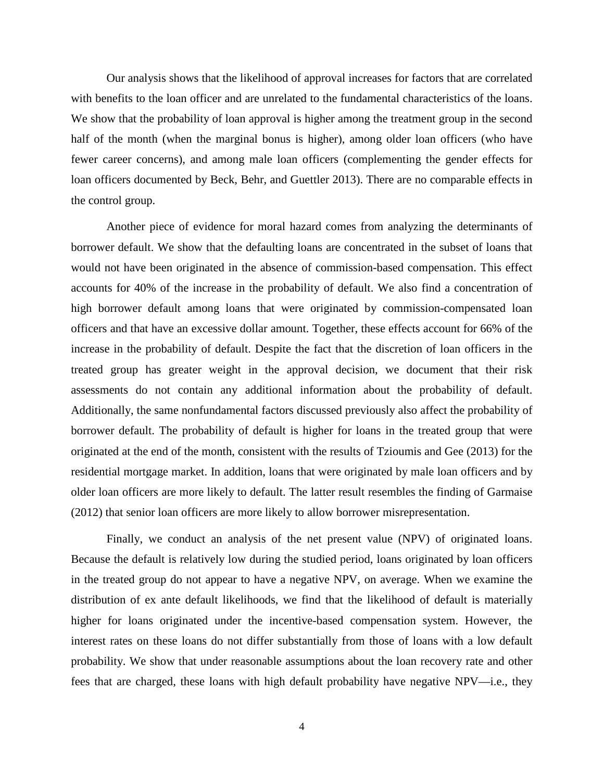Our analysis shows that the likelihood of approval increases for factors that are correlated with benefits to the loan officer and are unrelated to the fundamental characteristics of the loans. We show that the probability of loan approval is higher among the treatment group in the second half of the month (when the marginal bonus is higher), among older loan officers (who have fewer career concerns), and among male loan officers (complementing the gender effects for loan officers documented by Beck, Behr, and Guettler 2013). There are no comparable effects in the control group.

Another piece of evidence for moral hazard comes from analyzing the determinants of borrower default. We show that the defaulting loans are concentrated in the subset of loans that would not have been originated in the absence of commission-based compensation. This effect accounts for 40% of the increase in the probability of default. We also find a concentration of high borrower default among loans that were originated by commission-compensated loan officers and that have an excessive dollar amount. Together, these effects account for 66% of the increase in the probability of default. Despite the fact that the discretion of loan officers in the treated group has greater weight in the approval decision, we document that their risk assessments do not contain any additional information about the probability of default. Additionally, the same nonfundamental factors discussed previously also affect the probability of borrower default. The probability of default is higher for loans in the treated group that were originated at the end of the month, consistent with the results of Tzioumis and Gee (2013) for the residential mortgage market. In addition, loans that were originated by male loan officers and by older loan officers are more likely to default. The latter result resembles the finding of Garmaise (2012) that senior loan officers are more likely to allow borrower misrepresentation.

Finally, we conduct an analysis of the net present value (NPV) of originated loans. Because the default is relatively low during the studied period, loans originated by loan officers in the treated group do not appear to have a negative NPV, on average. When we examine the distribution of ex ante default likelihoods, we find that the likelihood of default is materially higher for loans originated under the incentive-based compensation system. However, the interest rates on these loans do not differ substantially from those of loans with a low default probability. We show that under reasonable assumptions about the loan recovery rate and other fees that are charged, these loans with high default probability have negative NPV—i.e., they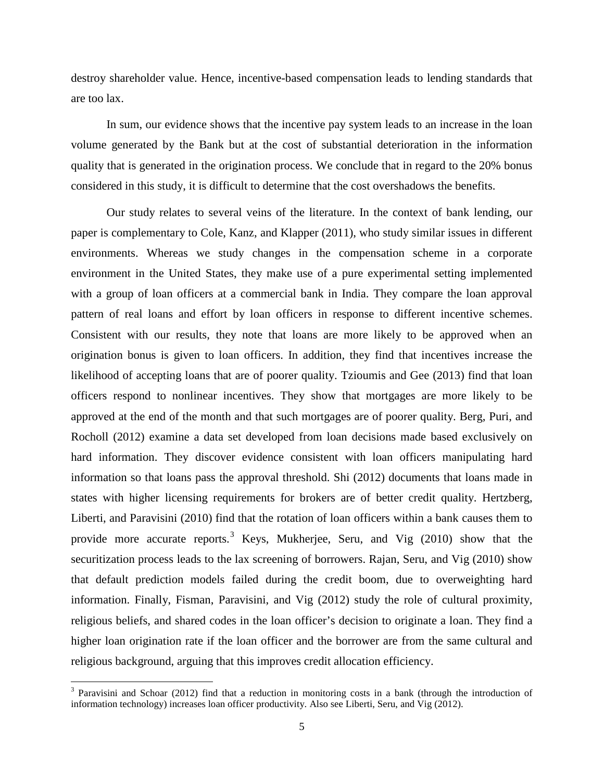destroy shareholder value. Hence, incentive-based compensation leads to lending standards that are too lax.

In sum, our evidence shows that the incentive pay system leads to an increase in the loan volume generated by the Bank but at the cost of substantial deterioration in the information quality that is generated in the origination process. We conclude that in regard to the 20% bonus considered in this study, it is difficult to determine that the cost overshadows the benefits.

Our study relates to several veins of the literature. In the context of bank lending, our paper is complementary to Cole, Kanz, and Klapper (2011), who study similar issues in different environments. Whereas we study changes in the compensation scheme in a corporate environment in the United States, they make use of a pure experimental setting implemented with a group of loan officers at a commercial bank in India. They compare the loan approval pattern of real loans and effort by loan officers in response to different incentive schemes. Consistent with our results, they note that loans are more likely to be approved when an origination bonus is given to loan officers. In addition, they find that incentives increase the likelihood of accepting loans that are of poorer quality. Tzioumis and Gee (2013) find that loan officers respond to nonlinear incentives. They show that mortgages are more likely to be approved at the end of the month and that such mortgages are of poorer quality. Berg, Puri, and Rocholl (2012) examine a data set developed from loan decisions made based exclusively on hard information. They discover evidence consistent with loan officers manipulating hard information so that loans pass the approval threshold. Shi (2012) documents that loans made in states with higher licensing requirements for brokers are of better credit quality. Hertzberg, Liberti, and Paravisini (2010) find that the rotation of loan officers within a bank causes them to provide more accurate reports.<sup>[3](#page-6-0)</sup> Keys, Mukherjee, Seru, and Vig (2010) show that the securitization process leads to the lax screening of borrowers. Rajan, Seru, and Vig (2010) show that default prediction models failed during the credit boom, due to overweighting hard information. Finally, Fisman, Paravisini, and Vig (2012) study the role of cultural proximity, religious beliefs, and shared codes in the loan officer's decision to originate a loan. They find a higher loan origination rate if the loan officer and the borrower are from the same cultural and religious background, arguing that this improves credit allocation efficiency.

l

<span id="page-6-0"></span> $3$  Paravisini and Schoar (2012) find that a reduction in monitoring costs in a bank (through the introduction of information technology) increases loan officer productivity. Also see Liberti, Seru, and Vig (2012).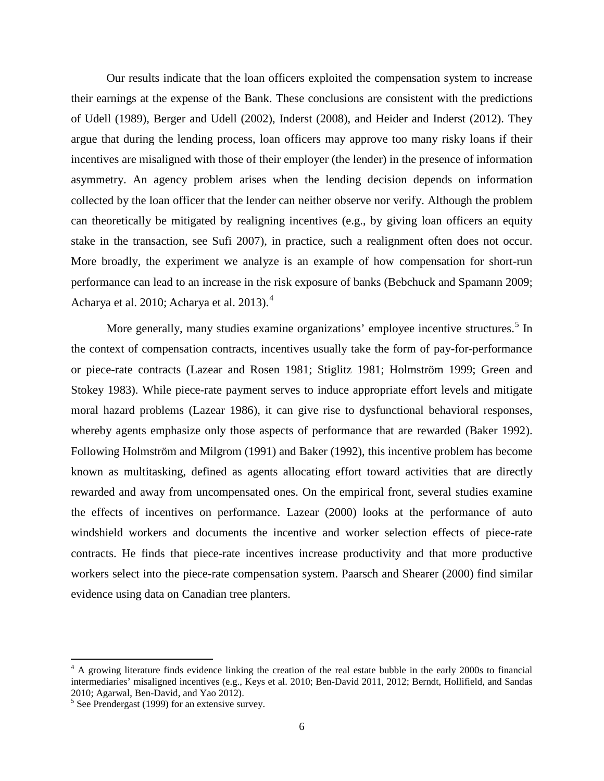Our results indicate that the loan officers exploited the compensation system to increase their earnings at the expense of the Bank. These conclusions are consistent with the predictions of Udell (1989), Berger and Udell (2002), Inderst (2008), and Heider and Inderst (2012). They argue that during the lending process, loan officers may approve too many risky loans if their incentives are misaligned with those of their employer (the lender) in the presence of information asymmetry. An agency problem arises when the lending decision depends on information collected by the loan officer that the lender can neither observe nor verify. Although the problem can theoretically be mitigated by realigning incentives (e.g., by giving loan officers an equity stake in the transaction, see Sufi 2007), in practice, such a realignment often does not occur. More broadly, the experiment we analyze is an example of how compensation for short-run performance can lead to an increase in the risk exposure of banks (Bebchuck and Spamann 2009; Acharya et al. 2010; Acharya et al. 2013).<sup>[4](#page-7-0)</sup>

More generally, many studies examine organizations' employee incentive structures.<sup>[5](#page-7-1)</sup> In the context of compensation contracts, incentives usually take the form of pay-for-performance or piece-rate contracts (Lazear and Rosen 1981; Stiglitz 1981; Holmström 1999; Green and Stokey 1983). While piece-rate payment serves to induce appropriate effort levels and mitigate moral hazard problems (Lazear 1986), it can give rise to dysfunctional behavioral responses, whereby agents emphasize only those aspects of performance that are rewarded (Baker 1992). Following Holmström and Milgrom (1991) and Baker (1992), this incentive problem has become known as multitasking, defined as agents allocating effort toward activities that are directly rewarded and away from uncompensated ones. On the empirical front, several studies examine the effects of incentives on performance. Lazear (2000) looks at the performance of auto windshield workers and documents the incentive and worker selection effects of piece-rate contracts. He finds that piece-rate incentives increase productivity and that more productive workers select into the piece-rate compensation system. Paarsch and Shearer (2000) find similar evidence using data on Canadian tree planters.

l

<span id="page-7-0"></span> $4 \text{ A}$  growing literature finds evidence linking the creation of the real estate bubble in the early 2000s to financial intermediaries' misaligned incentives (e.g., Keys et al. 2010; Ben-David 2011, 2012; Berndt, Hollifield, and Sandas

<span id="page-7-1"></span> $<sup>5</sup>$  See Prendergast (1999) for an extensive survey.</sup>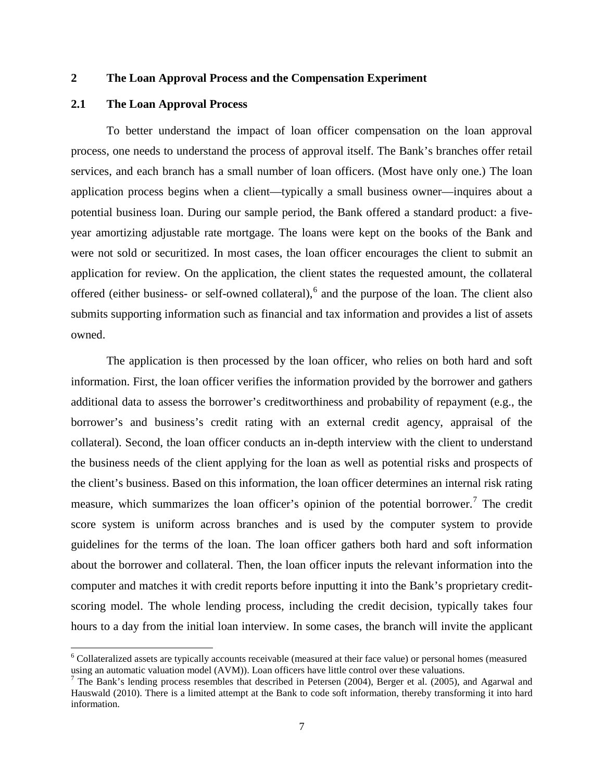### **2 The Loan Approval Process and the Compensation Experiment**

## **2.1 The Loan Approval Process**

 $\overline{\phantom{a}}$ 

To better understand the impact of loan officer compensation on the loan approval process, one needs to understand the process of approval itself. The Bank's branches offer retail services, and each branch has a small number of loan officers. (Most have only one.) The loan application process begins when a client—typically a small business owner—inquires about a potential business loan. During our sample period, the Bank offered a standard product: a fiveyear amortizing adjustable rate mortgage. The loans were kept on the books of the Bank and were not sold or securitized. In most cases, the loan officer encourages the client to submit an application for review. On the application, the client states the requested amount, the collateral offered (either business- or self-owned collateral),<sup>[6](#page-8-0)</sup> and the purpose of the loan. The client also submits supporting information such as financial and tax information and provides a list of assets owned.

The application is then processed by the loan officer, who relies on both hard and soft information. First, the loan officer verifies the information provided by the borrower and gathers additional data to assess the borrower's creditworthiness and probability of repayment (e.g., the borrower's and business's credit rating with an external credit agency, appraisal of the collateral). Second, the loan officer conducts an in-depth interview with the client to understand the business needs of the client applying for the loan as well as potential risks and prospects of the client's business. Based on this information, the loan officer determines an internal risk rating measure, which summarizes the loan officer's opinion of the potential borrower.<sup>[7](#page-8-1)</sup> The credit score system is uniform across branches and is used by the computer system to provide guidelines for the terms of the loan. The loan officer gathers both hard and soft information about the borrower and collateral. Then, the loan officer inputs the relevant information into the computer and matches it with credit reports before inputting it into the Bank's proprietary creditscoring model. The whole lending process, including the credit decision, typically takes four hours to a day from the initial loan interview. In some cases, the branch will invite the applicant

<span id="page-8-0"></span><sup>&</sup>lt;sup>6</sup> Collateralized assets are typically accounts receivable (measured at their face value) or personal homes (measured using an automatic valuation model (AVM)). Loan officers have little control over these valuations.<br><sup>7</sup> The Bank's lending process resembles that described in Petersen (2004), Berger et al. (2005), and Agarwal and

<span id="page-8-1"></span>Hauswald (2010). There is a limited attempt at the Bank to code soft information, thereby transforming it into hard information.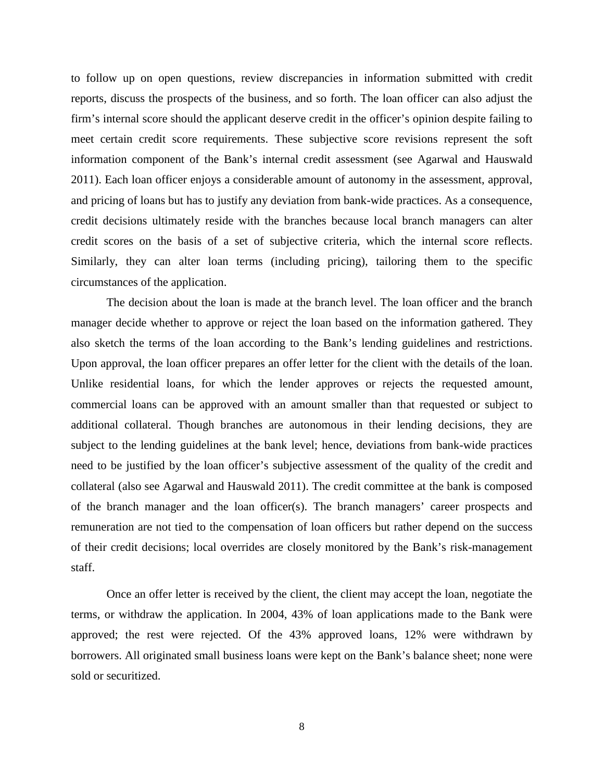to follow up on open questions, review discrepancies in information submitted with credit reports, discuss the prospects of the business, and so forth. The loan officer can also adjust the firm's internal score should the applicant deserve credit in the officer's opinion despite failing to meet certain credit score requirements. These subjective score revisions represent the soft information component of the Bank's internal credit assessment (see Agarwal and Hauswald 2011). Each loan officer enjoys a considerable amount of autonomy in the assessment, approval, and pricing of loans but has to justify any deviation from bank-wide practices. As a consequence, credit decisions ultimately reside with the branches because local branch managers can alter credit scores on the basis of a set of subjective criteria, which the internal score reflects. Similarly, they can alter loan terms (including pricing), tailoring them to the specific circumstances of the application.

The decision about the loan is made at the branch level. The loan officer and the branch manager decide whether to approve or reject the loan based on the information gathered. They also sketch the terms of the loan according to the Bank's lending guidelines and restrictions. Upon approval, the loan officer prepares an offer letter for the client with the details of the loan. Unlike residential loans, for which the lender approves or rejects the requested amount, commercial loans can be approved with an amount smaller than that requested or subject to additional collateral. Though branches are autonomous in their lending decisions, they are subject to the lending guidelines at the bank level; hence, deviations from bank-wide practices need to be justified by the loan officer's subjective assessment of the quality of the credit and collateral (also see Agarwal and Hauswald 2011). The credit committee at the bank is composed of the branch manager and the loan officer(s). The branch managers' career prospects and remuneration are not tied to the compensation of loan officers but rather depend on the success of their credit decisions; local overrides are closely monitored by the Bank's risk-management staff.

Once an offer letter is received by the client, the client may accept the loan, negotiate the terms, or withdraw the application. In 2004, 43% of loan applications made to the Bank were approved; the rest were rejected. Of the 43% approved loans, 12% were withdrawn by borrowers. All originated small business loans were kept on the Bank's balance sheet; none were sold or securitized.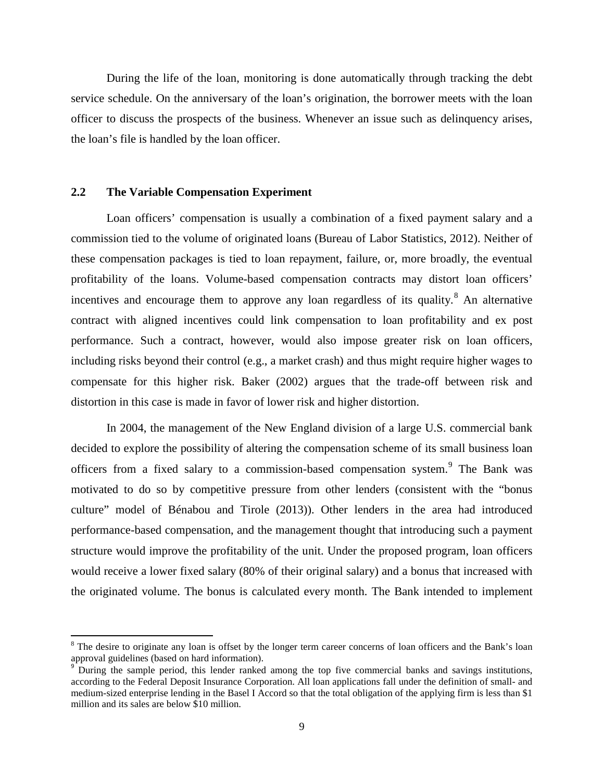During the life of the loan, monitoring is done automatically through tracking the debt service schedule. On the anniversary of the loan's origination, the borrower meets with the loan officer to discuss the prospects of the business. Whenever an issue such as delinquency arises, the loan's file is handled by the loan officer.

# **2.2 The Variable Compensation Experiment**

 $\overline{\phantom{a}}$ 

Loan officers' compensation is usually a combination of a fixed payment salary and a commission tied to the volume of originated loans (Bureau of Labor Statistics, 2012). Neither of these compensation packages is tied to loan repayment, failure, or, more broadly, the eventual profitability of the loans. Volume-based compensation contracts may distort loan officers' incentives and encourage them to approve any loan regardless of its quality.<sup>[8](#page-10-0)</sup> An alternative contract with aligned incentives could link compensation to loan profitability and ex post performance. Such a contract, however, would also impose greater risk on loan officers, including risks beyond their control (e.g., a market crash) and thus might require higher wages to compensate for this higher risk. Baker (2002) argues that the trade-off between risk and distortion in this case is made in favor of lower risk and higher distortion.

In 2004, the management of the New England division of a large U.S. commercial bank decided to explore the possibility of altering the compensation scheme of its small business loan officers from a fixed salary to a commission-based compensation system.<sup>[9](#page-10-1)</sup> The Bank was motivated to do so by competitive pressure from other lenders (consistent with the "bonus culture" model of Bénabou and Tirole (2013)). Other lenders in the area had introduced performance-based compensation, and the management thought that introducing such a payment structure would improve the profitability of the unit. Under the proposed program, loan officers would receive a lower fixed salary (80% of their original salary) and a bonus that increased with the originated volume. The bonus is calculated every month. The Bank intended to implement

<span id="page-10-0"></span><sup>&</sup>lt;sup>8</sup> The desire to originate any loan is offset by the longer term career concerns of loan officers and the Bank's loan approval guidelines (based on hard information).

<span id="page-10-1"></span><sup>&</sup>lt;sup>9</sup> During the sample period, this lender ranked among the top five commercial banks and savings institutions, according to the Federal Deposit Insurance Corporation. All loan applications fall under the definition of small- and medium-sized enterprise lending in the Basel I Accord so that the total obligation of the applying firm is less than \$1 million and its sales are below \$10 million.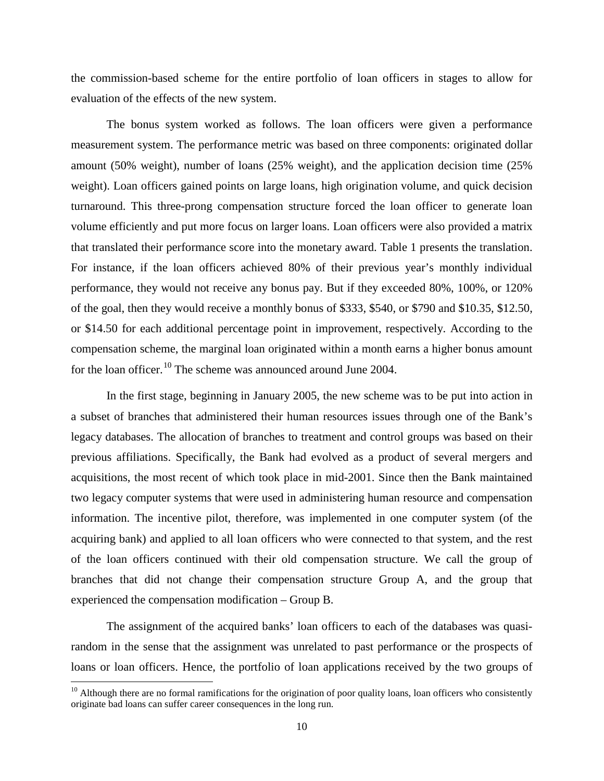the commission-based scheme for the entire portfolio of loan officers in stages to allow for evaluation of the effects of the new system.

The bonus system worked as follows. The loan officers were given a performance measurement system. The performance metric was based on three components: originated dollar amount (50% weight), number of loans (25% weight), and the application decision time (25% weight). Loan officers gained points on large loans, high origination volume, and quick decision turnaround. This three-prong compensation structure forced the loan officer to generate loan volume efficiently and put more focus on larger loans. Loan officers were also provided a matrix that translated their performance score into the monetary award. Table 1 presents the translation. For instance, if the loan officers achieved 80% of their previous year's monthly individual performance, they would not receive any bonus pay. But if they exceeded 80%, 100%, or 120% of the goal, then they would receive a monthly bonus of \$333, \$540, or \$790 and \$10.35, \$12.50, or \$14.50 for each additional percentage point in improvement, respectively. According to the compensation scheme, the marginal loan originated within a month earns a higher bonus amount for the loan officer.<sup>[10](#page-11-0)</sup> The scheme was announced around June 2004.

In the first stage, beginning in January 2005, the new scheme was to be put into action in a subset of branches that administered their human resources issues through one of the Bank's legacy databases. The allocation of branches to treatment and control groups was based on their previous affiliations. Specifically, the Bank had evolved as a product of several mergers and acquisitions, the most recent of which took place in mid-2001. Since then the Bank maintained two legacy computer systems that were used in administering human resource and compensation information. The incentive pilot, therefore, was implemented in one computer system (of the acquiring bank) and applied to all loan officers who were connected to that system, and the rest of the loan officers continued with their old compensation structure. We call the group of branches that did not change their compensation structure Group A, and the group that experienced the compensation modification – Group B.

The assignment of the acquired banks' loan officers to each of the databases was quasirandom in the sense that the assignment was unrelated to past performance or the prospects of loans or loan officers. Hence, the portfolio of loan applications received by the two groups of

l

<span id="page-11-0"></span> $10$  Although there are no formal ramifications for the origination of poor quality loans, loan officers who consistently originate bad loans can suffer career consequences in the long run.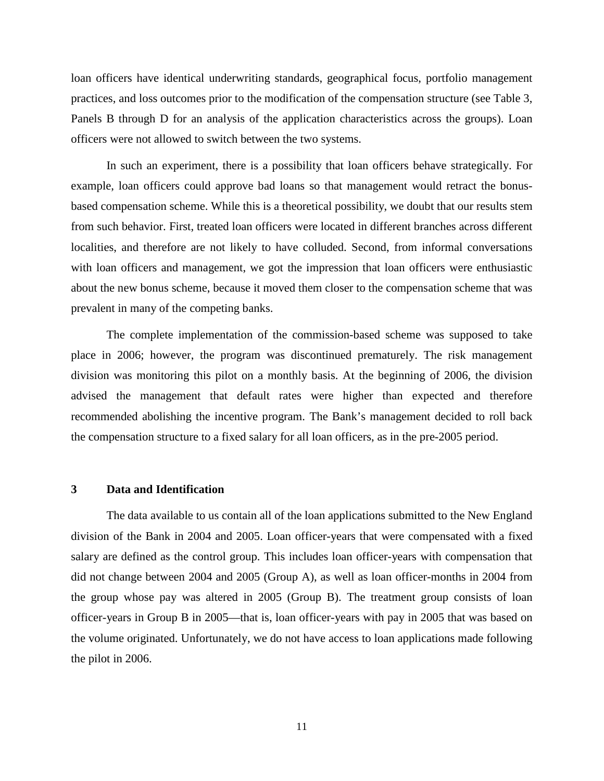loan officers have identical underwriting standards, geographical focus, portfolio management practices, and loss outcomes prior to the modification of the compensation structure (see Table 3, Panels B through D for an analysis of the application characteristics across the groups). Loan officers were not allowed to switch between the two systems.

In such an experiment, there is a possibility that loan officers behave strategically. For example, loan officers could approve bad loans so that management would retract the bonusbased compensation scheme. While this is a theoretical possibility, we doubt that our results stem from such behavior. First, treated loan officers were located in different branches across different localities, and therefore are not likely to have colluded. Second, from informal conversations with loan officers and management, we got the impression that loan officers were enthusiastic about the new bonus scheme, because it moved them closer to the compensation scheme that was prevalent in many of the competing banks.

The complete implementation of the commission-based scheme was supposed to take place in 2006; however, the program was discontinued prematurely. The risk management division was monitoring this pilot on a monthly basis. At the beginning of 2006, the division advised the management that default rates were higher than expected and therefore recommended abolishing the incentive program. The Bank's management decided to roll back the compensation structure to a fixed salary for all loan officers, as in the pre-2005 period.

## **3 Data and Identification**

The data available to us contain all of the loan applications submitted to the New England division of the Bank in 2004 and 2005. Loan officer-years that were compensated with a fixed salary are defined as the control group. This includes loan officer-years with compensation that did not change between 2004 and 2005 (Group A), as well as loan officer-months in 2004 from the group whose pay was altered in 2005 (Group B). The treatment group consists of loan officer-years in Group B in 2005—that is, loan officer-years with pay in 2005 that was based on the volume originated. Unfortunately, we do not have access to loan applications made following the pilot in 2006.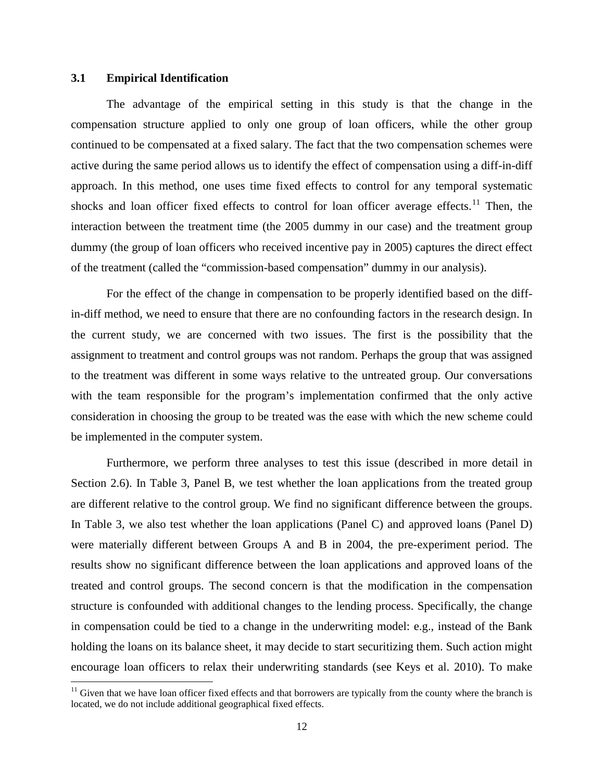### **3.1 Empirical Identification**

l

The advantage of the empirical setting in this study is that the change in the compensation structure applied to only one group of loan officers, while the other group continued to be compensated at a fixed salary. The fact that the two compensation schemes were active during the same period allows us to identify the effect of compensation using a diff-in-diff approach. In this method, one uses time fixed effects to control for any temporal systematic shocks and loan officer fixed effects to control for loan officer average effects.<sup>[11](#page-13-0)</sup> Then, the interaction between the treatment time (the 2005 dummy in our case) and the treatment group dummy (the group of loan officers who received incentive pay in 2005) captures the direct effect of the treatment (called the "commission-based compensation" dummy in our analysis).

For the effect of the change in compensation to be properly identified based on the diffin-diff method, we need to ensure that there are no confounding factors in the research design. In the current study, we are concerned with two issues. The first is the possibility that the assignment to treatment and control groups was not random. Perhaps the group that was assigned to the treatment was different in some ways relative to the untreated group. Our conversations with the team responsible for the program's implementation confirmed that the only active consideration in choosing the group to be treated was the ease with which the new scheme could be implemented in the computer system.

Furthermore, we perform three analyses to test this issue (described in more detail in Section 2.6). In Table 3, Panel B, we test whether the loan applications from the treated group are different relative to the control group. We find no significant difference between the groups. In Table 3, we also test whether the loan applications (Panel C) and approved loans (Panel D) were materially different between Groups A and B in 2004, the pre-experiment period. The results show no significant difference between the loan applications and approved loans of the treated and control groups. The second concern is that the modification in the compensation structure is confounded with additional changes to the lending process. Specifically, the change in compensation could be tied to a change in the underwriting model: e.g., instead of the Bank holding the loans on its balance sheet, it may decide to start securitizing them. Such action might encourage loan officers to relax their underwriting standards (see Keys et al. 2010). To make

<span id="page-13-0"></span> $11$  Given that we have loan officer fixed effects and that borrowers are typically from the county where the branch is located, we do not include additional geographical fixed effects.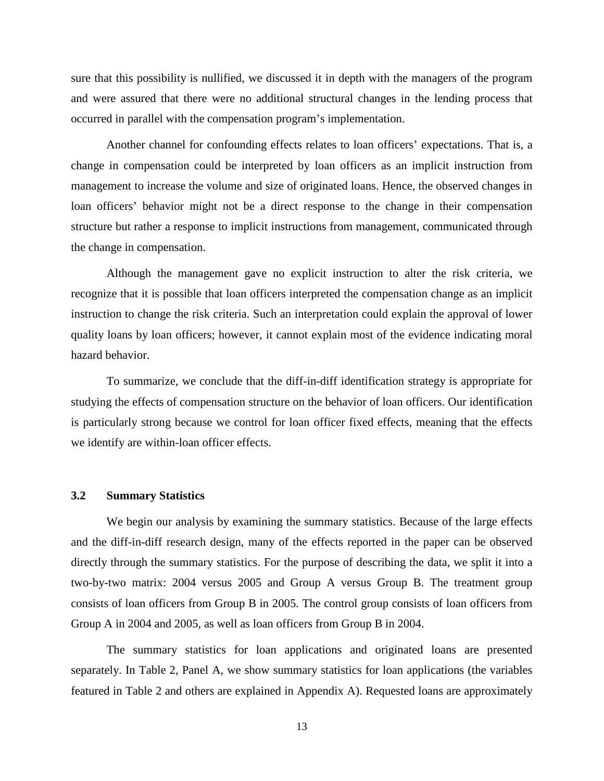sure that this possibility is nullified, we discussed it in depth with the managers of the program and were assured that there were no additional structural changes in the lending process that occurred in parallel with the compensation program's implementation.

Another channel for confounding effects relates to loan officers' expectations. That is, a change in compensation could be interpreted by loan officers as an implicit instruction from management to increase the volume and size of originated loans. Hence, the observed changes in loan officers' behavior might not be a direct response to the change in their compensation structure but rather a response to implicit instructions from management, communicated through the change in compensation.

Although the management gave no explicit instruction to alter the risk criteria, we recognize that it is possible that loan officers interpreted the compensation change as an implicit instruction to change the risk criteria. Such an interpretation could explain the approval of lower quality loans by loan officers; however, it cannot explain most of the evidence indicating moral hazard behavior.

To summarize, we conclude that the diff-in-diff identification strategy is appropriate for studying the effects of compensation structure on the behavior of loan officers. Our identification is particularly strong because we control for loan officer fixed effects, meaning that the effects we identify are within-loan officer effects.

# **3.2 Summary Statistics**

We begin our analysis by examining the summary statistics. Because of the large effects and the diff-in-diff research design, many of the effects reported in the paper can be observed directly through the summary statistics. For the purpose of describing the data, we split it into a two-by-two matrix: 2004 versus 2005 and Group A versus Group B. The treatment group consists of loan officers from Group B in 2005. The control group consists of loan officers from Group A in 2004 and 2005, as well as loan officers from Group B in 2004.

The summary statistics for loan applications and originated loans are presented separately. In Table 2, Panel A, we show summary statistics for loan applications (the variables featured in Table 2 and others are explained in Appendix A). Requested loans are approximately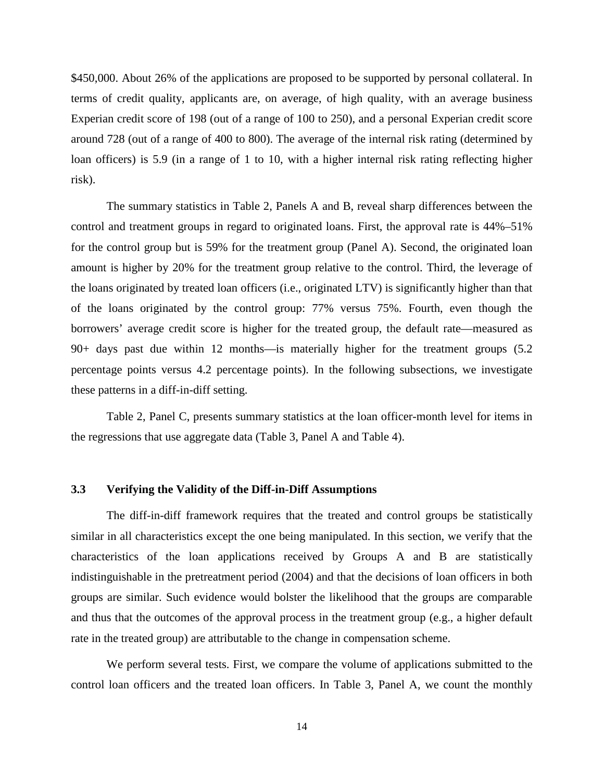\$450,000. About 26% of the applications are proposed to be supported by personal collateral. In terms of credit quality, applicants are, on average, of high quality, with an average business Experian credit score of 198 (out of a range of 100 to 250), and a personal Experian credit score around 728 (out of a range of 400 to 800). The average of the internal risk rating (determined by loan officers) is 5.9 (in a range of 1 to 10, with a higher internal risk rating reflecting higher risk).

The summary statistics in Table 2, Panels A and B, reveal sharp differences between the control and treatment groups in regard to originated loans. First, the approval rate is 44%–51% for the control group but is 59% for the treatment group (Panel A). Second, the originated loan amount is higher by 20% for the treatment group relative to the control. Third, the leverage of the loans originated by treated loan officers (i.e., originated LTV) is significantly higher than that of the loans originated by the control group: 77% versus 75%. Fourth, even though the borrowers' average credit score is higher for the treated group, the default rate—measured as 90+ days past due within 12 months—is materially higher for the treatment groups (5.2 percentage points versus 4.2 percentage points). In the following subsections, we investigate these patterns in a diff-in-diff setting.

Table 2, Panel C, presents summary statistics at the loan officer-month level for items in the regressions that use aggregate data (Table 3, Panel A and Table 4).

### **3.3 Verifying the Validity of the Diff-in-Diff Assumptions**

The diff-in-diff framework requires that the treated and control groups be statistically similar in all characteristics except the one being manipulated. In this section, we verify that the characteristics of the loan applications received by Groups A and B are statistically indistinguishable in the pretreatment period (2004) and that the decisions of loan officers in both groups are similar. Such evidence would bolster the likelihood that the groups are comparable and thus that the outcomes of the approval process in the treatment group (e.g., a higher default rate in the treated group) are attributable to the change in compensation scheme.

We perform several tests. First, we compare the volume of applications submitted to the control loan officers and the treated loan officers. In Table 3, Panel A, we count the monthly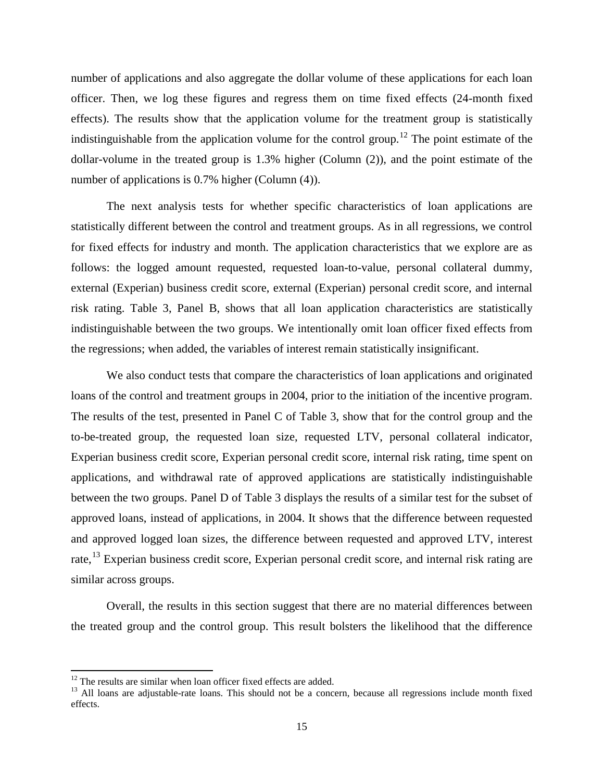number of applications and also aggregate the dollar volume of these applications for each loan officer. Then, we log these figures and regress them on time fixed effects (24-month fixed effects). The results show that the application volume for the treatment group is statistically indistinguishable from the application volume for the control group.<sup>[12](#page-16-0)</sup> The point estimate of the dollar-volume in the treated group is 1.3% higher (Column (2)), and the point estimate of the number of applications is 0.7% higher (Column (4)).

The next analysis tests for whether specific characteristics of loan applications are statistically different between the control and treatment groups. As in all regressions, we control for fixed effects for industry and month. The application characteristics that we explore are as follows: the logged amount requested, requested loan-to-value, personal collateral dummy, external (Experian) business credit score, external (Experian) personal credit score, and internal risk rating. Table 3, Panel B, shows that all loan application characteristics are statistically indistinguishable between the two groups. We intentionally omit loan officer fixed effects from the regressions; when added, the variables of interest remain statistically insignificant.

We also conduct tests that compare the characteristics of loan applications and originated loans of the control and treatment groups in 2004, prior to the initiation of the incentive program. The results of the test, presented in Panel C of Table 3, show that for the control group and the to-be-treated group, the requested loan size, requested LTV, personal collateral indicator, Experian business credit score, Experian personal credit score, internal risk rating, time spent on applications, and withdrawal rate of approved applications are statistically indistinguishable between the two groups. Panel D of Table 3 displays the results of a similar test for the subset of approved loans, instead of applications, in 2004. It shows that the difference between requested and approved logged loan sizes, the difference between requested and approved LTV, interest rate,<sup>[13](#page-16-1)</sup> Experian business credit score, Experian personal credit score, and internal risk rating are similar across groups.

Overall, the results in this section suggest that there are no material differences between the treated group and the control group. This result bolsters the likelihood that the difference

 $12$  The results are similar when loan officer fixed effects are added.

<span id="page-16-1"></span><span id="page-16-0"></span> $13$  All loans are adiustable-rate loans. This should not be a concern, because all regressions include month fixed effects.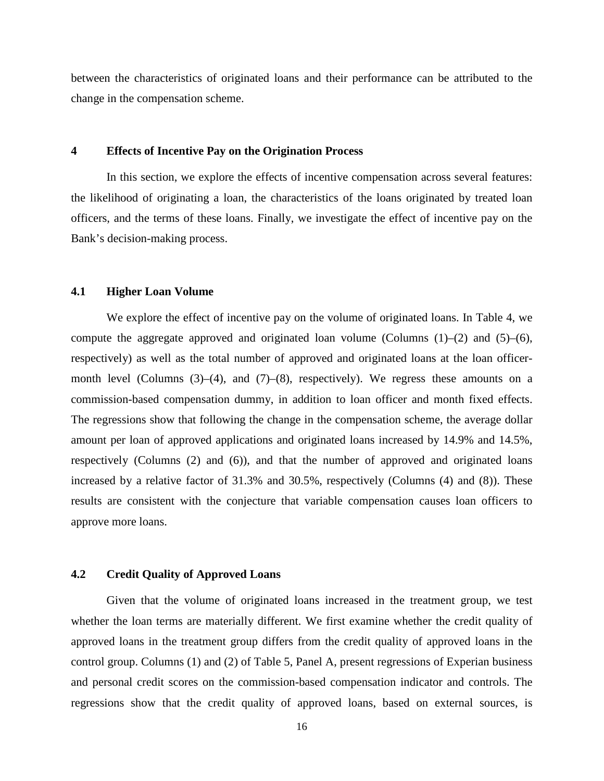between the characteristics of originated loans and their performance can be attributed to the change in the compensation scheme.

### **4 Effects of Incentive Pay on the Origination Process**

In this section, we explore the effects of incentive compensation across several features: the likelihood of originating a loan, the characteristics of the loans originated by treated loan officers, and the terms of these loans. Finally, we investigate the effect of incentive pay on the Bank's decision-making process.

### **4.1 Higher Loan Volume**

We explore the effect of incentive pay on the volume of originated loans. In Table 4, we compute the aggregate approved and originated loan volume (Columns  $(1)$ – $(2)$  and  $(5)$ – $(6)$ , respectively) as well as the total number of approved and originated loans at the loan officermonth level (Columns  $(3)$ – $(4)$ , and  $(7)$ – $(8)$ , respectively). We regress these amounts on a commission-based compensation dummy, in addition to loan officer and month fixed effects. The regressions show that following the change in the compensation scheme, the average dollar amount per loan of approved applications and originated loans increased by 14.9% and 14.5%, respectively (Columns (2) and (6)), and that the number of approved and originated loans increased by a relative factor of 31.3% and 30.5%, respectively (Columns (4) and (8)). These results are consistent with the conjecture that variable compensation causes loan officers to approve more loans.

### **4.2 Credit Quality of Approved Loans**

Given that the volume of originated loans increased in the treatment group, we test whether the loan terms are materially different. We first examine whether the credit quality of approved loans in the treatment group differs from the credit quality of approved loans in the control group. Columns (1) and (2) of Table 5, Panel A, present regressions of Experian business and personal credit scores on the commission-based compensation indicator and controls. The regressions show that the credit quality of approved loans, based on external sources, is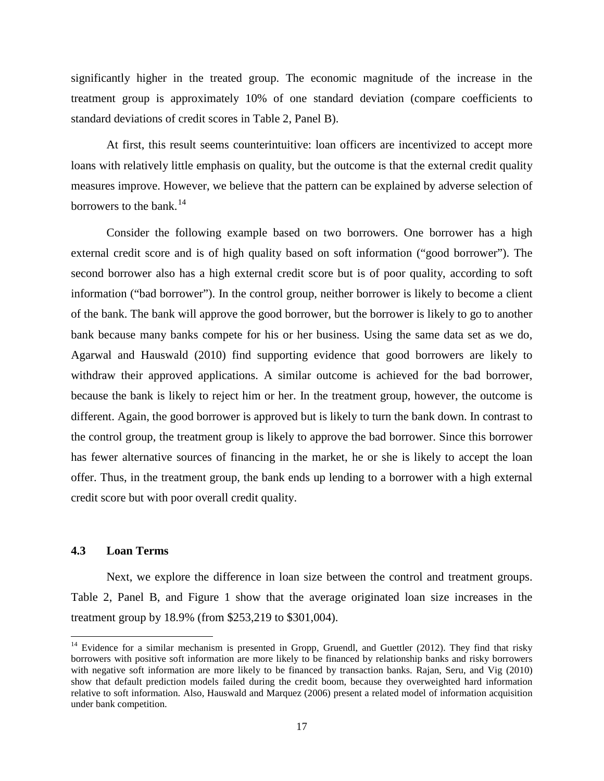significantly higher in the treated group. The economic magnitude of the increase in the treatment group is approximately 10% of one standard deviation (compare coefficients to standard deviations of credit scores in Table 2, Panel B).

At first, this result seems counterintuitive: loan officers are incentivized to accept more loans with relatively little emphasis on quality, but the outcome is that the external credit quality measures improve. However, we believe that the pattern can be explained by adverse selection of borrowers to the bank.<sup>14</sup>

Consider the following example based on two borrowers. One borrower has a high external credit score and is of high quality based on soft information ("good borrower"). The second borrower also has a high external credit score but is of poor quality, according to soft information ("bad borrower"). In the control group, neither borrower is likely to become a client of the bank. The bank will approve the good borrower, but the borrower is likely to go to another bank because many banks compete for his or her business. Using the same data set as we do, Agarwal and Hauswald (2010) find supporting evidence that good borrowers are likely to withdraw their approved applications. A similar outcome is achieved for the bad borrower, because the bank is likely to reject him or her. In the treatment group, however, the outcome is different. Again, the good borrower is approved but is likely to turn the bank down. In contrast to the control group, the treatment group is likely to approve the bad borrower. Since this borrower has fewer alternative sources of financing in the market, he or she is likely to accept the loan offer. Thus, in the treatment group, the bank ends up lending to a borrower with a high external credit score but with poor overall credit quality.

## **4.3 Loan Terms**

 $\overline{\phantom{a}}$ 

Next, we explore the difference in loan size between the control and treatment groups. Table 2, Panel B, and Figure 1 show that the average originated loan size increases in the treatment group by 18.9% (from \$253,219 to \$301,004).

<span id="page-18-0"></span><sup>&</sup>lt;sup>14</sup> Evidence for a similar mechanism is presented in Gropp, Gruendl, and Guettler (2012). They find that risky borrowers with positive soft information are more likely to be financed by relationship banks and risky borrowers with negative soft information are more likely to be financed by transaction banks. Rajan, Seru, and Vig (2010) show that default prediction models failed during the credit boom, because they overweighted hard information relative to soft information. Also, Hauswald and Marquez (2006) present a related model of information acquisition under bank competition.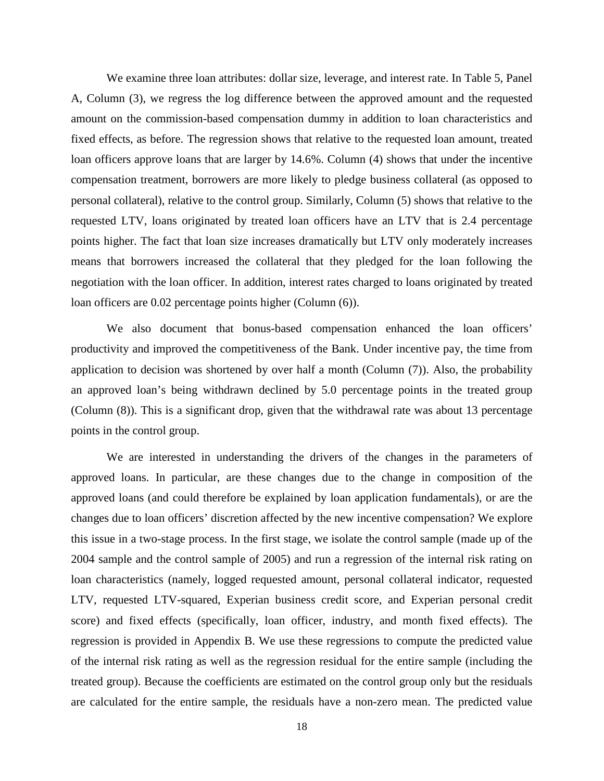We examine three loan attributes: dollar size, leverage, and interest rate. In Table 5, Panel A, Column (3), we regress the log difference between the approved amount and the requested amount on the commission-based compensation dummy in addition to loan characteristics and fixed effects, as before. The regression shows that relative to the requested loan amount, treated loan officers approve loans that are larger by 14.6%. Column (4) shows that under the incentive compensation treatment, borrowers are more likely to pledge business collateral (as opposed to personal collateral), relative to the control group. Similarly, Column (5) shows that relative to the requested LTV, loans originated by treated loan officers have an LTV that is 2.4 percentage points higher. The fact that loan size increases dramatically but LTV only moderately increases means that borrowers increased the collateral that they pledged for the loan following the negotiation with the loan officer. In addition, interest rates charged to loans originated by treated loan officers are 0.02 percentage points higher (Column (6)).

We also document that bonus-based compensation enhanced the loan officers' productivity and improved the competitiveness of the Bank. Under incentive pay, the time from application to decision was shortened by over half a month (Column (7)). Also, the probability an approved loan's being withdrawn declined by 5.0 percentage points in the treated group (Column (8)). This is a significant drop, given that the withdrawal rate was about 13 percentage points in the control group.

We are interested in understanding the drivers of the changes in the parameters of approved loans. In particular, are these changes due to the change in composition of the approved loans (and could therefore be explained by loan application fundamentals), or are the changes due to loan officers' discretion affected by the new incentive compensation? We explore this issue in a two-stage process. In the first stage, we isolate the control sample (made up of the 2004 sample and the control sample of 2005) and run a regression of the internal risk rating on loan characteristics (namely, logged requested amount, personal collateral indicator, requested LTV, requested LTV-squared, Experian business credit score, and Experian personal credit score) and fixed effects (specifically, loan officer, industry, and month fixed effects). The regression is provided in Appendix B. We use these regressions to compute the predicted value of the internal risk rating as well as the regression residual for the entire sample (including the treated group). Because the coefficients are estimated on the control group only but the residuals are calculated for the entire sample, the residuals have a non-zero mean. The predicted value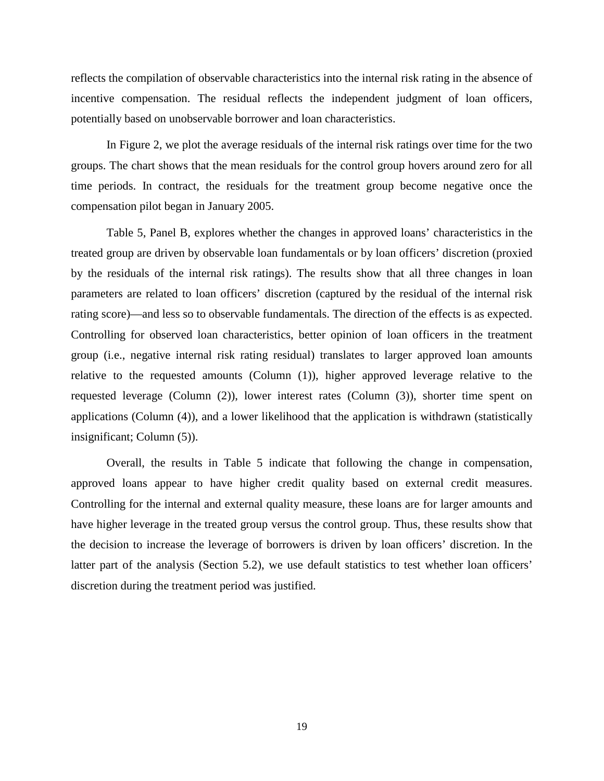reflects the compilation of observable characteristics into the internal risk rating in the absence of incentive compensation. The residual reflects the independent judgment of loan officers, potentially based on unobservable borrower and loan characteristics.

In Figure 2, we plot the average residuals of the internal risk ratings over time for the two groups. The chart shows that the mean residuals for the control group hovers around zero for all time periods. In contract, the residuals for the treatment group become negative once the compensation pilot began in January 2005.

Table 5, Panel B, explores whether the changes in approved loans' characteristics in the treated group are driven by observable loan fundamentals or by loan officers' discretion (proxied by the residuals of the internal risk ratings). The results show that all three changes in loan parameters are related to loan officers' discretion (captured by the residual of the internal risk rating score)—and less so to observable fundamentals. The direction of the effects is as expected. Controlling for observed loan characteristics, better opinion of loan officers in the treatment group (i.e., negative internal risk rating residual) translates to larger approved loan amounts relative to the requested amounts (Column (1)), higher approved leverage relative to the requested leverage (Column (2)), lower interest rates (Column (3)), shorter time spent on applications (Column (4)), and a lower likelihood that the application is withdrawn (statistically insignificant; Column (5)).

Overall, the results in Table 5 indicate that following the change in compensation, approved loans appear to have higher credit quality based on external credit measures. Controlling for the internal and external quality measure, these loans are for larger amounts and have higher leverage in the treated group versus the control group. Thus, these results show that the decision to increase the leverage of borrowers is driven by loan officers' discretion. In the latter part of the analysis (Section 5.2), we use default statistics to test whether loan officers' discretion during the treatment period was justified.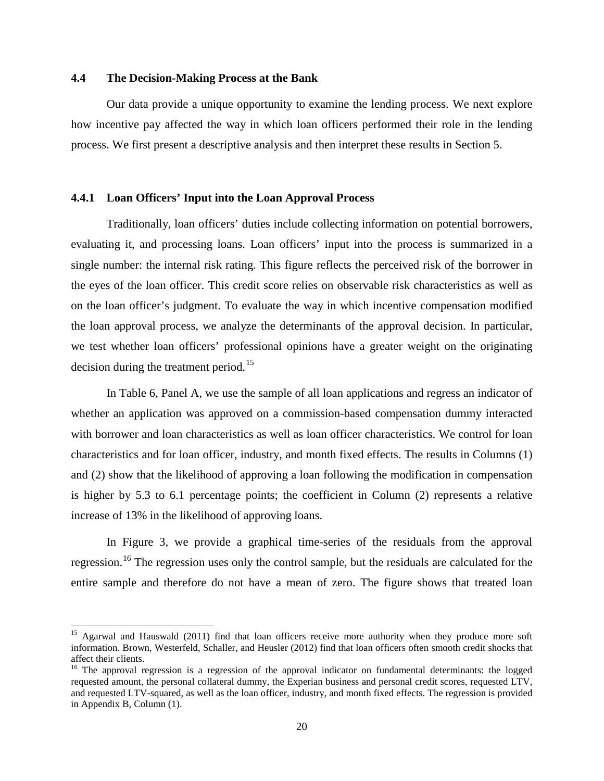## **4.4 The Decision-Making Process at the Bank**

l

Our data provide a unique opportunity to examine the lending process. We next explore how incentive pay affected the way in which loan officers performed their role in the lending process. We first present a descriptive analysis and then interpret these results in Section 5.

## **4.4.1 Loan Officers' Input into the Loan Approval Process**

Traditionally, loan officers' duties include collecting information on potential borrowers, evaluating it, and processing loans. Loan officers' input into the process is summarized in a single number: the internal risk rating. This figure reflects the perceived risk of the borrower in the eyes of the loan officer. This credit score relies on observable risk characteristics as well as on the loan officer's judgment. To evaluate the way in which incentive compensation modified the loan approval process, we analyze the determinants of the approval decision. In particular, we test whether loan officers' professional opinions have a greater weight on the originating decision during the treatment period.<sup>15</sup>

In Table 6, Panel A, we use the sample of all loan applications and regress an indicator of whether an application was approved on a commission-based compensation dummy interacted with borrower and loan characteristics as well as loan officer characteristics. We control for loan characteristics and for loan officer, industry, and month fixed effects. The results in Columns (1) and (2) show that the likelihood of approving a loan following the modification in compensation is higher by 5.3 to 6.1 percentage points; the coefficient in Column (2) represents a relative increase of 13% in the likelihood of approving loans.

In Figure 3, we provide a graphical time-series of the residuals from the approval regression.<sup>16</sup> The regression uses only the control sample, but the residuals are calculated for the entire sample and therefore do not have a mean of zero. The figure shows that treated loan

<span id="page-21-0"></span><sup>&</sup>lt;sup>15</sup> Agarwal and Hauswald (2011) find that loan officers receive more authority when they produce more soft information. Brown, Westerfeld, Schaller, and Heusler (2012) find that loan officers often smooth credit shocks that affect their clients.

<span id="page-21-1"></span><sup>&</sup>lt;sup>16</sup> The approval regression is a regression of the approval indicator on fundamental determinants: the logged requested amount, the personal collateral dummy, the Experian business and personal credit scores, requested LTV, and requested LTV-squared, as well as the loan officer, industry, and month fixed effects. The regression is provided in Appendix B, Column (1).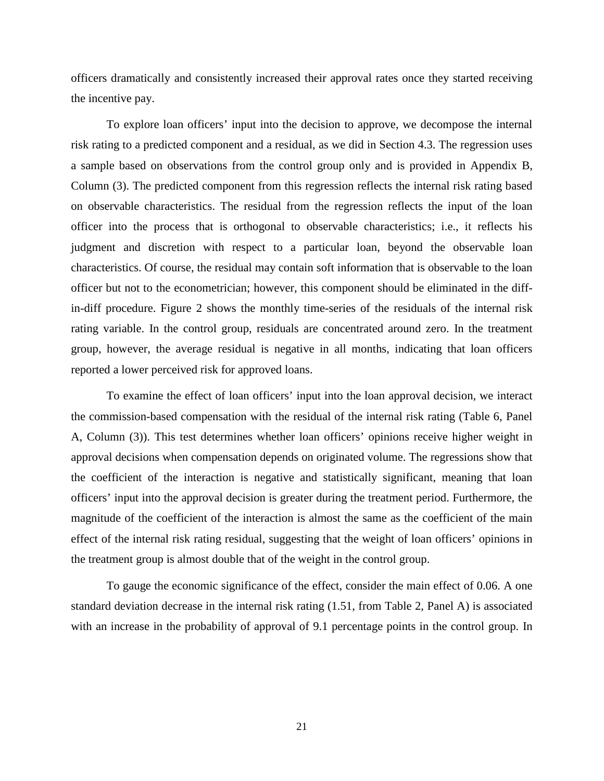officers dramatically and consistently increased their approval rates once they started receiving the incentive pay.

To explore loan officers' input into the decision to approve, we decompose the internal risk rating to a predicted component and a residual, as we did in Section 4.3. The regression uses a sample based on observations from the control group only and is provided in Appendix B, Column (3). The predicted component from this regression reflects the internal risk rating based on observable characteristics. The residual from the regression reflects the input of the loan officer into the process that is orthogonal to observable characteristics; i.e., it reflects his judgment and discretion with respect to a particular loan, beyond the observable loan characteristics. Of course, the residual may contain soft information that is observable to the loan officer but not to the econometrician; however, this component should be eliminated in the diffin-diff procedure. Figure 2 shows the monthly time-series of the residuals of the internal risk rating variable. In the control group, residuals are concentrated around zero. In the treatment group, however, the average residual is negative in all months, indicating that loan officers reported a lower perceived risk for approved loans.

To examine the effect of loan officers' input into the loan approval decision, we interact the commission-based compensation with the residual of the internal risk rating (Table 6, Panel A, Column (3)). This test determines whether loan officers' opinions receive higher weight in approval decisions when compensation depends on originated volume. The regressions show that the coefficient of the interaction is negative and statistically significant, meaning that loan officers' input into the approval decision is greater during the treatment period. Furthermore, the magnitude of the coefficient of the interaction is almost the same as the coefficient of the main effect of the internal risk rating residual, suggesting that the weight of loan officers' opinions in the treatment group is almost double that of the weight in the control group.

To gauge the economic significance of the effect, consider the main effect of 0.06. A one standard deviation decrease in the internal risk rating (1.51, from Table 2, Panel A) is associated with an increase in the probability of approval of 9.1 percentage points in the control group. In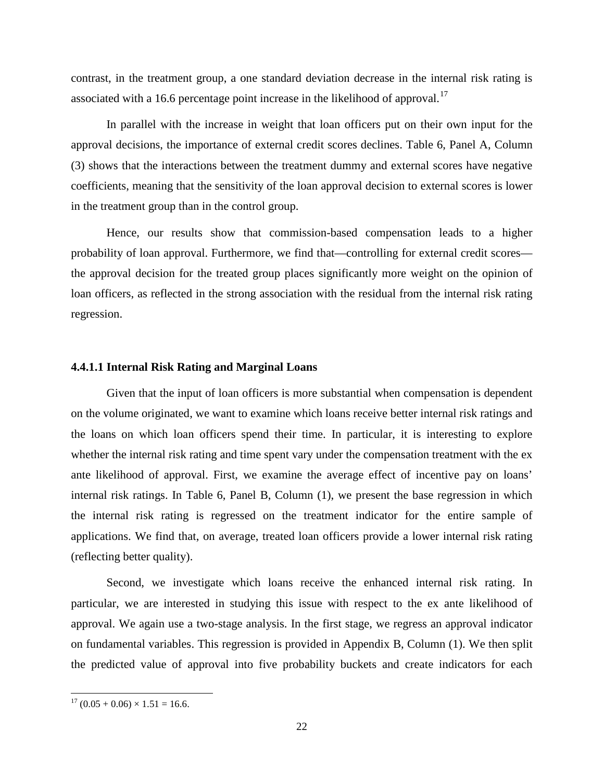contrast, in the treatment group, a one standard deviation decrease in the internal risk rating is associated with a 16.6 percentage point increase in the likelihood of approval.<sup>[17](#page-23-0)</sup>

In parallel with the increase in weight that loan officers put on their own input for the approval decisions, the importance of external credit scores declines. Table 6, Panel A, Column (3) shows that the interactions between the treatment dummy and external scores have negative coefficients, meaning that the sensitivity of the loan approval decision to external scores is lower in the treatment group than in the control group.

Hence, our results show that commission-based compensation leads to a higher probability of loan approval. Furthermore, we find that—controlling for external credit scores the approval decision for the treated group places significantly more weight on the opinion of loan officers, as reflected in the strong association with the residual from the internal risk rating regression.

#### **4.4.1.1 Internal Risk Rating and Marginal Loans**

Given that the input of loan officers is more substantial when compensation is dependent on the volume originated, we want to examine which loans receive better internal risk ratings and the loans on which loan officers spend their time. In particular, it is interesting to explore whether the internal risk rating and time spent vary under the compensation treatment with the ex ante likelihood of approval. First, we examine the average effect of incentive pay on loans' internal risk ratings. In Table 6, Panel B, Column (1), we present the base regression in which the internal risk rating is regressed on the treatment indicator for the entire sample of applications. We find that, on average, treated loan officers provide a lower internal risk rating (reflecting better quality).

Second, we investigate which loans receive the enhanced internal risk rating. In particular, we are interested in studying this issue with respect to the ex ante likelihood of approval. We again use a two-stage analysis. In the first stage, we regress an approval indicator on fundamental variables. This regression is provided in Appendix B, Column (1). We then split the predicted value of approval into five probability buckets and create indicators for each

l

<span id="page-23-0"></span> $17 (0.05 + 0.06) \times 1.51 = 16.6$ .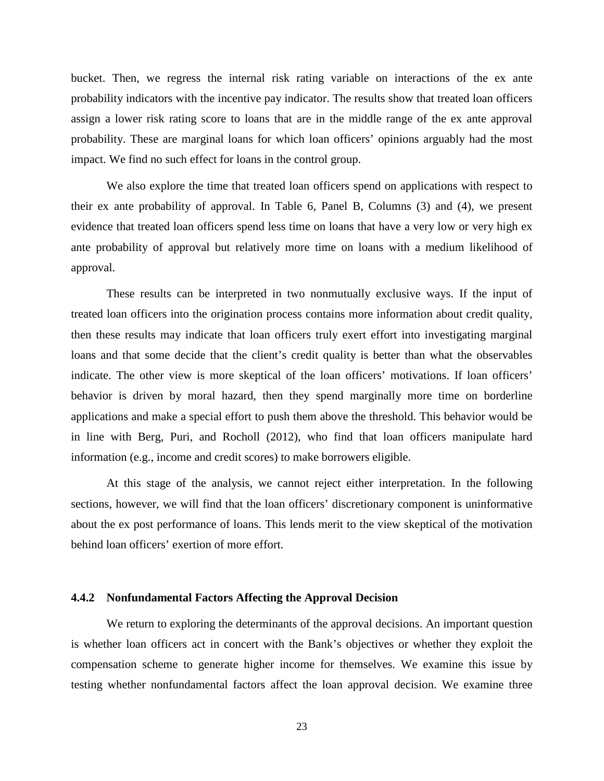bucket. Then, we regress the internal risk rating variable on interactions of the ex ante probability indicators with the incentive pay indicator. The results show that treated loan officers assign a lower risk rating score to loans that are in the middle range of the ex ante approval probability. These are marginal loans for which loan officers' opinions arguably had the most impact. We find no such effect for loans in the control group.

We also explore the time that treated loan officers spend on applications with respect to their ex ante probability of approval. In Table 6, Panel B, Columns (3) and (4), we present evidence that treated loan officers spend less time on loans that have a very low or very high ex ante probability of approval but relatively more time on loans with a medium likelihood of approval.

These results can be interpreted in two nonmutually exclusive ways. If the input of treated loan officers into the origination process contains more information about credit quality, then these results may indicate that loan officers truly exert effort into investigating marginal loans and that some decide that the client's credit quality is better than what the observables indicate. The other view is more skeptical of the loan officers' motivations. If loan officers' behavior is driven by moral hazard, then they spend marginally more time on borderline applications and make a special effort to push them above the threshold. This behavior would be in line with Berg, Puri, and Rocholl (2012), who find that loan officers manipulate hard information (e.g., income and credit scores) to make borrowers eligible.

At this stage of the analysis, we cannot reject either interpretation. In the following sections, however, we will find that the loan officers' discretionary component is uninformative about the ex post performance of loans. This lends merit to the view skeptical of the motivation behind loan officers' exertion of more effort.

### **4.4.2 Nonfundamental Factors Affecting the Approval Decision**

We return to exploring the determinants of the approval decisions. An important question is whether loan officers act in concert with the Bank's objectives or whether they exploit the compensation scheme to generate higher income for themselves. We examine this issue by testing whether nonfundamental factors affect the loan approval decision. We examine three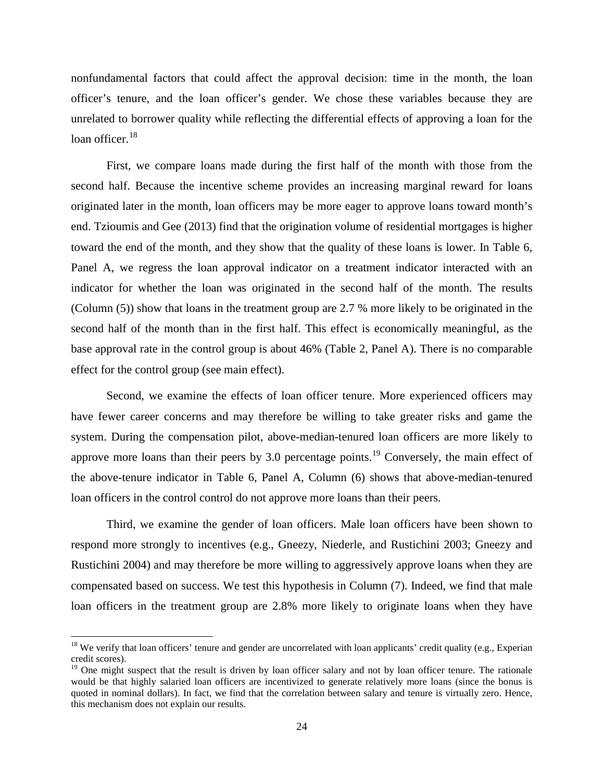nonfundamental factors that could affect the approval decision: time in the month, the loan officer's tenure, and the loan officer's gender. We chose these variables because they are unrelated to borrower quality while reflecting the differential effects of approving a loan for the loan officer. $18$ 

First, we compare loans made during the first half of the month with those from the second half. Because the incentive scheme provides an increasing marginal reward for loans originated later in the month, loan officers may be more eager to approve loans toward month's end. Tzioumis and Gee (2013) find that the origination volume of residential mortgages is higher toward the end of the month, and they show that the quality of these loans is lower. In Table 6, Panel A, we regress the loan approval indicator on a treatment indicator interacted with an indicator for whether the loan was originated in the second half of the month. The results (Column (5)) show that loans in the treatment group are 2.7 % more likely to be originated in the second half of the month than in the first half. This effect is economically meaningful, as the base approval rate in the control group is about 46% (Table 2, Panel A). There is no comparable effect for the control group (see main effect).

Second, we examine the effects of loan officer tenure. More experienced officers may have fewer career concerns and may therefore be willing to take greater risks and game the system. During the compensation pilot, above-median-tenured loan officers are more likely to approve more loans than their peers by 3.0 percentage points.<sup>[19](#page-25-1)</sup> Conversely, the main effect of the above-tenure indicator in Table 6, Panel A, Column (6) shows that above-median-tenured loan officers in the control control do not approve more loans than their peers.

Third, we examine the gender of loan officers. Male loan officers have been shown to respond more strongly to incentives (e.g., Gneezy, Niederle, and Rustichini 2003; Gneezy and Rustichini 2004) and may therefore be more willing to aggressively approve loans when they are compensated based on success. We test this hypothesis in Column (7). Indeed, we find that male loan officers in the treatment group are 2.8% more likely to originate loans when they have

 $\overline{\phantom{a}}$ 

<span id="page-25-0"></span><sup>&</sup>lt;sup>18</sup> We verify that loan officers' tenure and gender are uncorrelated with loan applicants' credit quality (e.g., Experian credit scores).

<span id="page-25-1"></span> $19$  One might suspect that the result is driven by loan officer salary and not by loan officer tenure. The rationale would be that highly salaried loan officers are incentivized to generate relatively more loans (since the bonus is quoted in nominal dollars). In fact, we find that the correlation between salary and tenure is virtually zero. Hence, this mechanism does not explain our results.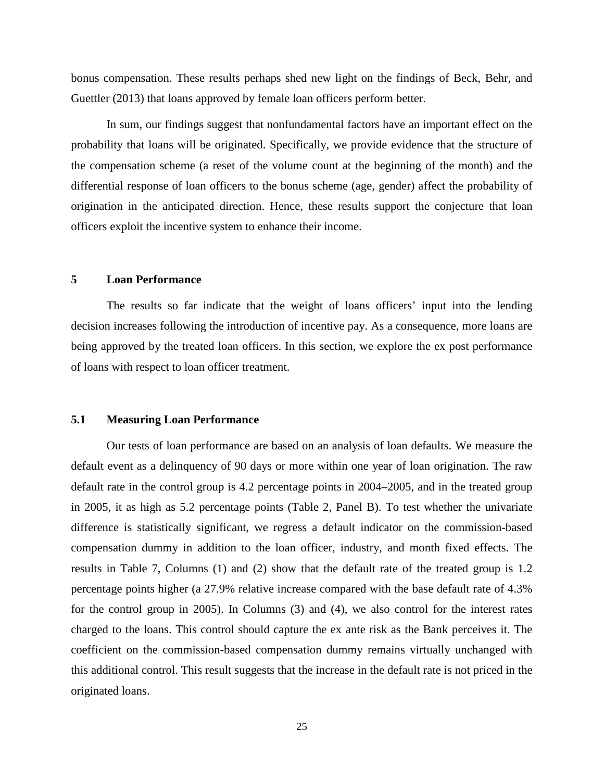bonus compensation. These results perhaps shed new light on the findings of Beck, Behr, and Guettler (2013) that loans approved by female loan officers perform better.

In sum, our findings suggest that nonfundamental factors have an important effect on the probability that loans will be originated. Specifically, we provide evidence that the structure of the compensation scheme (a reset of the volume count at the beginning of the month) and the differential response of loan officers to the bonus scheme (age, gender) affect the probability of origination in the anticipated direction. Hence, these results support the conjecture that loan officers exploit the incentive system to enhance their income.

# **5 Loan Performance**

The results so far indicate that the weight of loans officers' input into the lending decision increases following the introduction of incentive pay. As a consequence, more loans are being approved by the treated loan officers. In this section, we explore the ex post performance of loans with respect to loan officer treatment.

### **5.1 Measuring Loan Performance**

Our tests of loan performance are based on an analysis of loan defaults. We measure the default event as a delinquency of 90 days or more within one year of loan origination. The raw default rate in the control group is 4.2 percentage points in 2004–2005, and in the treated group in 2005, it as high as 5.2 percentage points (Table 2, Panel B). To test whether the univariate difference is statistically significant, we regress a default indicator on the commission-based compensation dummy in addition to the loan officer, industry, and month fixed effects. The results in Table 7, Columns (1) and (2) show that the default rate of the treated group is 1.2 percentage points higher (a 27.9% relative increase compared with the base default rate of 4.3% for the control group in 2005). In Columns (3) and (4), we also control for the interest rates charged to the loans. This control should capture the ex ante risk as the Bank perceives it. The coefficient on the commission-based compensation dummy remains virtually unchanged with this additional control. This result suggests that the increase in the default rate is not priced in the originated loans.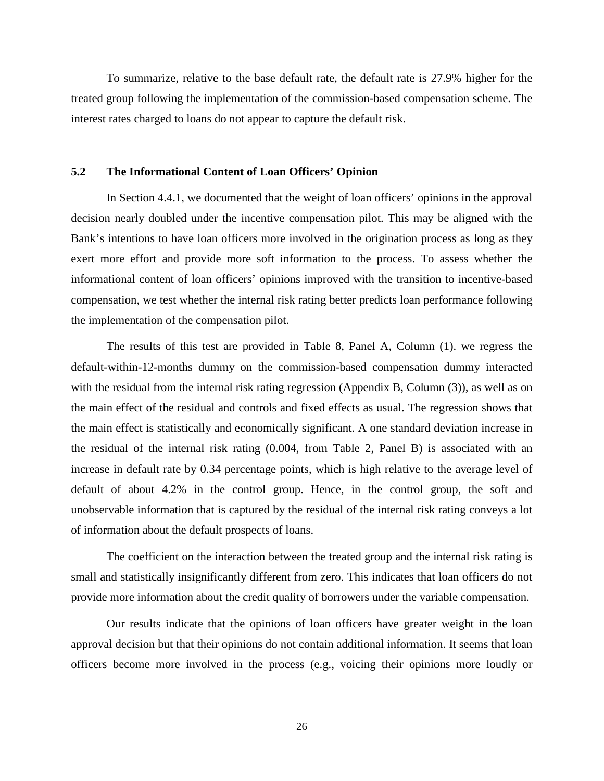To summarize, relative to the base default rate, the default rate is 27.9% higher for the treated group following the implementation of the commission-based compensation scheme. The interest rates charged to loans do not appear to capture the default risk.

## **5.2 The Informational Content of Loan Officers' Opinion**

In Section 4.4.1, we documented that the weight of loan officers' opinions in the approval decision nearly doubled under the incentive compensation pilot. This may be aligned with the Bank's intentions to have loan officers more involved in the origination process as long as they exert more effort and provide more soft information to the process. To assess whether the informational content of loan officers' opinions improved with the transition to incentive-based compensation, we test whether the internal risk rating better predicts loan performance following the implementation of the compensation pilot.

The results of this test are provided in Table 8, Panel A, Column (1). we regress the default-within-12-months dummy on the commission-based compensation dummy interacted with the residual from the internal risk rating regression (Appendix B, Column (3)), as well as on the main effect of the residual and controls and fixed effects as usual. The regression shows that the main effect is statistically and economically significant. A one standard deviation increase in the residual of the internal risk rating (0.004, from Table 2, Panel B) is associated with an increase in default rate by 0.34 percentage points, which is high relative to the average level of default of about 4.2% in the control group. Hence, in the control group, the soft and unobservable information that is captured by the residual of the internal risk rating conveys a lot of information about the default prospects of loans.

The coefficient on the interaction between the treated group and the internal risk rating is small and statistically insignificantly different from zero. This indicates that loan officers do not provide more information about the credit quality of borrowers under the variable compensation.

Our results indicate that the opinions of loan officers have greater weight in the loan approval decision but that their opinions do not contain additional information. It seems that loan officers become more involved in the process (e.g., voicing their opinions more loudly or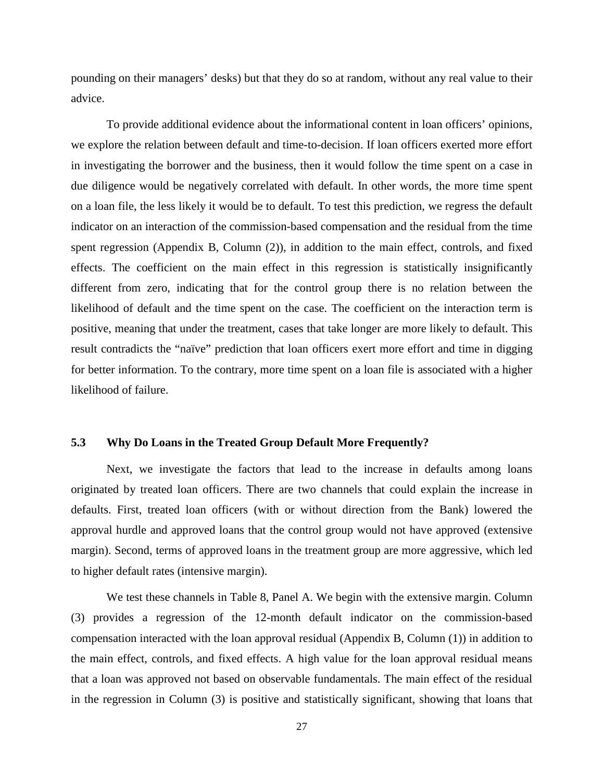pounding on their managers' desks) but that they do so at random, without any real value to their advice.

To provide additional evidence about the informational content in loan officers' opinions, we explore the relation between default and time-to-decision. If loan officers exerted more effort in investigating the borrower and the business, then it would follow the time spent on a case in due diligence would be negatively correlated with default. In other words, the more time spent on a loan file, the less likely it would be to default. To test this prediction, we regress the default indicator on an interaction of the commission-based compensation and the residual from the time spent regression (Appendix B, Column (2)), in addition to the main effect, controls, and fixed effects. The coefficient on the main effect in this regression is statistically insignificantly different from zero, indicating that for the control group there is no relation between the likelihood of default and the time spent on the case. The coefficient on the interaction term is positive, meaning that under the treatment, cases that take longer are more likely to default. This result contradicts the "naïve" prediction that loan officers exert more effort and time in digging for better information. To the contrary, more time spent on a loan file is associated with a higher likelihood of failure.

# **5.3 Why Do Loans in the Treated Group Default More Frequently?**

Next, we investigate the factors that lead to the increase in defaults among loans originated by treated loan officers. There are two channels that could explain the increase in defaults. First, treated loan officers (with or without direction from the Bank) lowered the approval hurdle and approved loans that the control group would not have approved (extensive margin). Second, terms of approved loans in the treatment group are more aggressive, which led to higher default rates (intensive margin).

We test these channels in Table 8, Panel A. We begin with the extensive margin. Column (3) provides a regression of the 12-month default indicator on the commission-based compensation interacted with the loan approval residual (Appendix B, Column (1)) in addition to the main effect, controls, and fixed effects. A high value for the loan approval residual means that a loan was approved not based on observable fundamentals. The main effect of the residual in the regression in Column (3) is positive and statistically significant, showing that loans that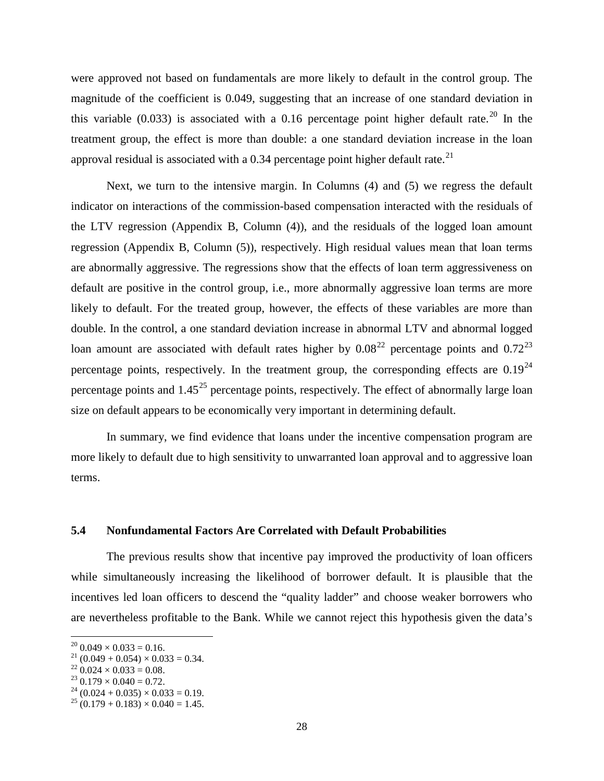were approved not based on fundamentals are more likely to default in the control group. The magnitude of the coefficient is 0.049, suggesting that an increase of one standard deviation in this variable (0.033) is associated with a 0.16 percentage point higher default rate.<sup>[20](#page-29-0)</sup> In the treatment group, the effect is more than double: a one standard deviation increase in the loan approval residual is associated with a 0.34 percentage point higher default rate. $^{21}$  $^{21}$  $^{21}$ 

Next, we turn to the intensive margin. In Columns (4) and (5) we regress the default indicator on interactions of the commission-based compensation interacted with the residuals of the LTV regression (Appendix B, Column (4)), and the residuals of the logged loan amount regression (Appendix B, Column (5)), respectively. High residual values mean that loan terms are abnormally aggressive. The regressions show that the effects of loan term aggressiveness on default are positive in the control group, i.e., more abnormally aggressive loan terms are more likely to default. For the treated group, however, the effects of these variables are more than double. In the control, a one standard deviation increase in abnormal LTV and abnormal logged loan amount are associated with default rates higher by  $0.08^{22}$  $0.08^{22}$  $0.08^{22}$  percentage points and  $0.72^{23}$  $0.72^{23}$  $0.72^{23}$ percentage points, respectively. In the treatment group, the corresponding effects are  $0.19^{24}$  $0.19^{24}$  $0.19^{24}$ percentage points and  $1.45^{25}$  $1.45^{25}$  $1.45^{25}$  percentage points, respectively. The effect of abnormally large loan size on default appears to be economically very important in determining default.

In summary, we find evidence that loans under the incentive compensation program are more likely to default due to high sensitivity to unwarranted loan approval and to aggressive loan terms.

### **5.4 Nonfundamental Factors Are Correlated with Default Probabilities**

The previous results show that incentive pay improved the productivity of loan officers while simultaneously increasing the likelihood of borrower default. It is plausible that the incentives led loan officers to descend the "quality ladder" and choose weaker borrowers who are nevertheless profitable to the Bank. While we cannot reject this hypothesis given the data's

 $\overline{\phantom{a}}$ 

<span id="page-29-1"></span>

<span id="page-29-2"></span>

<span id="page-29-4"></span><span id="page-29-3"></span>

<span id="page-29-0"></span><sup>&</sup>lt;sup>20</sup> 0.049 × 0.033 = 0.16.<br>
<sup>21</sup> (0.049 + 0.054) × 0.033 = 0.34.<br>
<sup>22</sup> 0.024 × 0.033 = 0.08.<br>
<sup>23</sup> 0.179 × 0.040 = 0.72.<br>
<sup>24</sup> (0.024 + 0.035) × 0.033 = 0.19.<br>
<sup>25</sup> (0.179 + 0.183) × 0.040 = 1.45.

<span id="page-29-5"></span>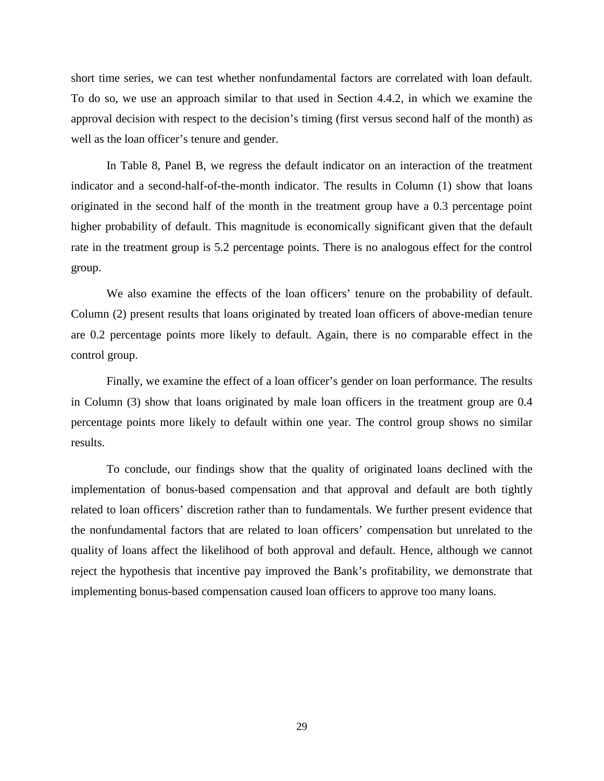short time series, we can test whether nonfundamental factors are correlated with loan default. To do so, we use an approach similar to that used in Section 4.4.2, in which we examine the approval decision with respect to the decision's timing (first versus second half of the month) as well as the loan officer's tenure and gender.

In Table 8, Panel B, we regress the default indicator on an interaction of the treatment indicator and a second-half-of-the-month indicator. The results in Column (1) show that loans originated in the second half of the month in the treatment group have a 0.3 percentage point higher probability of default. This magnitude is economically significant given that the default rate in the treatment group is 5.2 percentage points. There is no analogous effect for the control group.

We also examine the effects of the loan officers' tenure on the probability of default. Column (2) present results that loans originated by treated loan officers of above-median tenure are 0.2 percentage points more likely to default. Again, there is no comparable effect in the control group.

Finally, we examine the effect of a loan officer's gender on loan performance. The results in Column (3) show that loans originated by male loan officers in the treatment group are 0.4 percentage points more likely to default within one year. The control group shows no similar results.

To conclude, our findings show that the quality of originated loans declined with the implementation of bonus-based compensation and that approval and default are both tightly related to loan officers' discretion rather than to fundamentals. We further present evidence that the nonfundamental factors that are related to loan officers' compensation but unrelated to the quality of loans affect the likelihood of both approval and default. Hence, although we cannot reject the hypothesis that incentive pay improved the Bank's profitability, we demonstrate that implementing bonus-based compensation caused loan officers to approve too many loans.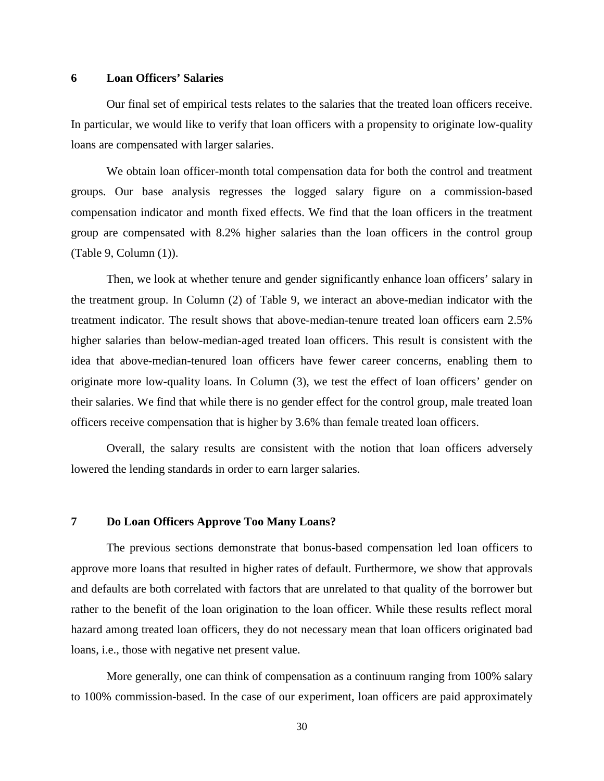### **6 Loan Officers' Salaries**

Our final set of empirical tests relates to the salaries that the treated loan officers receive. In particular, we would like to verify that loan officers with a propensity to originate low-quality loans are compensated with larger salaries.

We obtain loan officer-month total compensation data for both the control and treatment groups. Our base analysis regresses the logged salary figure on a commission-based compensation indicator and month fixed effects. We find that the loan officers in the treatment group are compensated with 8.2% higher salaries than the loan officers in the control group (Table 9, Column (1)).

Then, we look at whether tenure and gender significantly enhance loan officers' salary in the treatment group. In Column (2) of Table 9, we interact an above-median indicator with the treatment indicator. The result shows that above-median-tenure treated loan officers earn 2.5% higher salaries than below-median-aged treated loan officers. This result is consistent with the idea that above-median-tenured loan officers have fewer career concerns, enabling them to originate more low-quality loans. In Column (3), we test the effect of loan officers' gender on their salaries. We find that while there is no gender effect for the control group, male treated loan officers receive compensation that is higher by 3.6% than female treated loan officers.

Overall, the salary results are consistent with the notion that loan officers adversely lowered the lending standards in order to earn larger salaries.

### **7 Do Loan Officers Approve Too Many Loans?**

The previous sections demonstrate that bonus-based compensation led loan officers to approve more loans that resulted in higher rates of default. Furthermore, we show that approvals and defaults are both correlated with factors that are unrelated to that quality of the borrower but rather to the benefit of the loan origination to the loan officer. While these results reflect moral hazard among treated loan officers, they do not necessary mean that loan officers originated bad loans, i.e., those with negative net present value.

More generally, one can think of compensation as a continuum ranging from 100% salary to 100% commission-based. In the case of our experiment, loan officers are paid approximately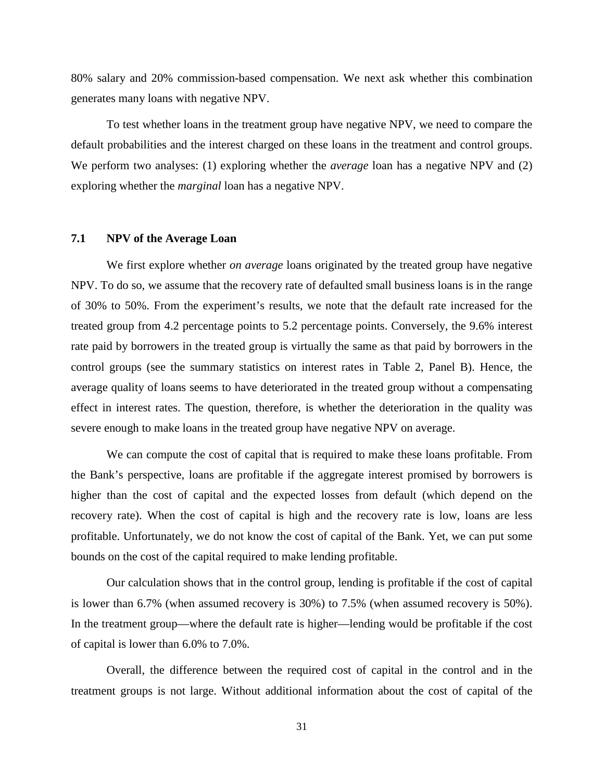80% salary and 20% commission-based compensation. We next ask whether this combination generates many loans with negative NPV.

To test whether loans in the treatment group have negative NPV, we need to compare the default probabilities and the interest charged on these loans in the treatment and control groups. We perform two analyses: (1) exploring whether the *average* loan has a negative NPV and (2) exploring whether the *marginal* loan has a negative NPV.

# **7.1 NPV of the Average Loan**

We first explore whether *on average* loans originated by the treated group have negative NPV. To do so, we assume that the recovery rate of defaulted small business loans is in the range of 30% to 50%. From the experiment's results, we note that the default rate increased for the treated group from 4.2 percentage points to 5.2 percentage points. Conversely, the 9.6% interest rate paid by borrowers in the treated group is virtually the same as that paid by borrowers in the control groups (see the summary statistics on interest rates in Table 2, Panel B). Hence, the average quality of loans seems to have deteriorated in the treated group without a compensating effect in interest rates. The question, therefore, is whether the deterioration in the quality was severe enough to make loans in the treated group have negative NPV on average.

We can compute the cost of capital that is required to make these loans profitable. From the Bank's perspective, loans are profitable if the aggregate interest promised by borrowers is higher than the cost of capital and the expected losses from default (which depend on the recovery rate). When the cost of capital is high and the recovery rate is low, loans are less profitable. Unfortunately, we do not know the cost of capital of the Bank. Yet, we can put some bounds on the cost of the capital required to make lending profitable.

Our calculation shows that in the control group, lending is profitable if the cost of capital is lower than 6.7% (when assumed recovery is 30%) to 7.5% (when assumed recovery is 50%). In the treatment group—where the default rate is higher—lending would be profitable if the cost of capital is lower than 6.0% to 7.0%.

Overall, the difference between the required cost of capital in the control and in the treatment groups is not large. Without additional information about the cost of capital of the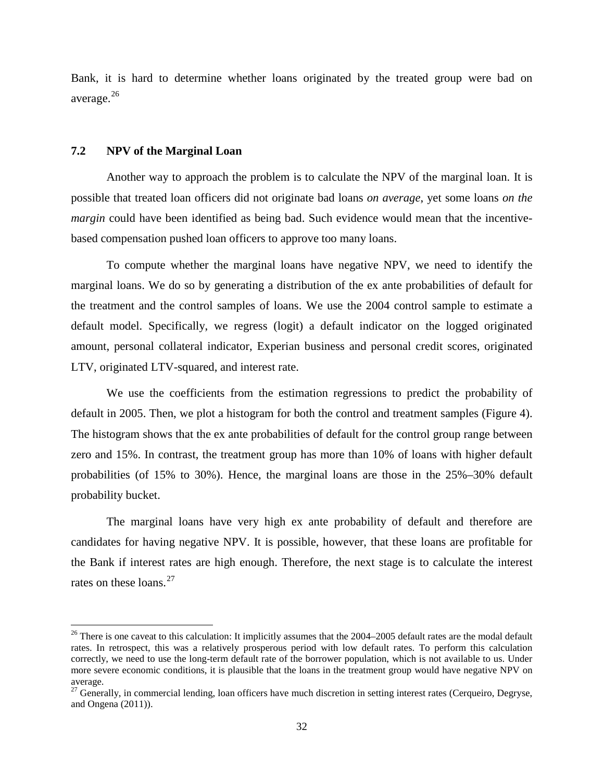Bank, it is hard to determine whether loans originated by the treated group were bad on average.<sup>[26](#page-33-0)</sup>

### **7.2 NPV of the Marginal Loan**

l

Another way to approach the problem is to calculate the NPV of the marginal loan. It is possible that treated loan officers did not originate bad loans *on average*, yet some loans *on the margin* could have been identified as being bad. Such evidence would mean that the incentivebased compensation pushed loan officers to approve too many loans.

To compute whether the marginal loans have negative NPV, we need to identify the marginal loans. We do so by generating a distribution of the ex ante probabilities of default for the treatment and the control samples of loans. We use the 2004 control sample to estimate a default model. Specifically, we regress (logit) a default indicator on the logged originated amount, personal collateral indicator, Experian business and personal credit scores, originated LTV, originated LTV-squared, and interest rate.

We use the coefficients from the estimation regressions to predict the probability of default in 2005. Then, we plot a histogram for both the control and treatment samples (Figure 4). The histogram shows that the ex ante probabilities of default for the control group range between zero and 15%. In contrast, the treatment group has more than 10% of loans with higher default probabilities (of 15% to 30%). Hence, the marginal loans are those in the 25%–30% default probability bucket.

The marginal loans have very high ex ante probability of default and therefore are candidates for having negative NPV. It is possible, however, that these loans are profitable for the Bank if interest rates are high enough. Therefore, the next stage is to calculate the interest rates on these loans.<sup>[27](#page-33-1)</sup>

<span id="page-33-0"></span> $26$  There is one caveat to this calculation: It implicitly assumes that the 2004–2005 default rates are the modal default rates. In retrospect, this was a relatively prosperous period with low default rates. To perform this calculation correctly, we need to use the long-term default rate of the borrower population, which is not available to us. Under more severe economic conditions, it is plausible that the loans in the treatment group would have negative NPV on average.

<span id="page-33-1"></span><sup>&</sup>lt;sup>27</sup> Generally, in commercial lending, loan officers have much discretion in setting interest rates (Cerqueiro, Degryse, and Ongena (2011)).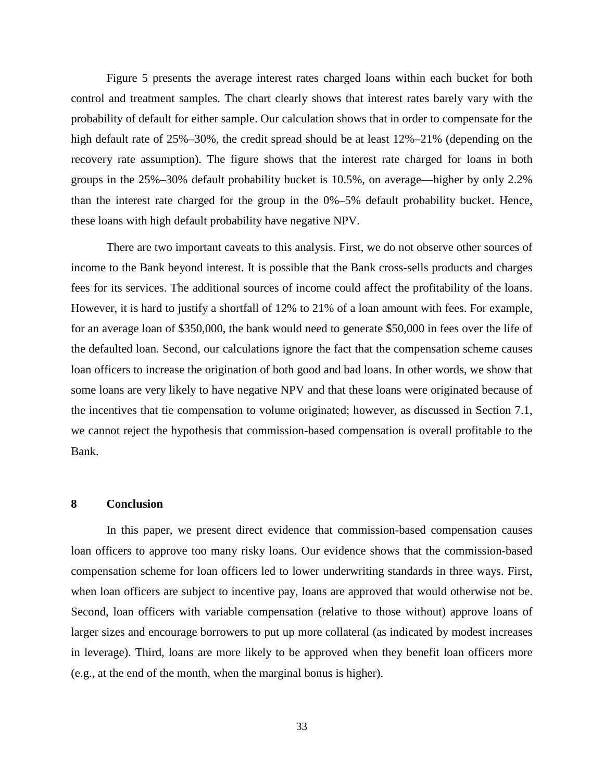Figure 5 presents the average interest rates charged loans within each bucket for both control and treatment samples. The chart clearly shows that interest rates barely vary with the probability of default for either sample. Our calculation shows that in order to compensate for the high default rate of 25%–30%, the credit spread should be at least  $12\%$ –21% (depending on the recovery rate assumption). The figure shows that the interest rate charged for loans in both groups in the 25%–30% default probability bucket is 10.5%, on average—higher by only 2.2% than the interest rate charged for the group in the 0%–5% default probability bucket. Hence, these loans with high default probability have negative NPV.

There are two important caveats to this analysis. First, we do not observe other sources of income to the Bank beyond interest. It is possible that the Bank cross-sells products and charges fees for its services. The additional sources of income could affect the profitability of the loans. However, it is hard to justify a shortfall of 12% to 21% of a loan amount with fees. For example, for an average loan of \$350,000, the bank would need to generate \$50,000 in fees over the life of the defaulted loan. Second, our calculations ignore the fact that the compensation scheme causes loan officers to increase the origination of both good and bad loans. In other words, we show that some loans are very likely to have negative NPV and that these loans were originated because of the incentives that tie compensation to volume originated; however, as discussed in Section 7.1, we cannot reject the hypothesis that commission-based compensation is overall profitable to the Bank.

## **8 Conclusion**

In this paper, we present direct evidence that commission-based compensation causes loan officers to approve too many risky loans. Our evidence shows that the commission-based compensation scheme for loan officers led to lower underwriting standards in three ways. First, when loan officers are subject to incentive pay, loans are approved that would otherwise not be. Second, loan officers with variable compensation (relative to those without) approve loans of larger sizes and encourage borrowers to put up more collateral (as indicated by modest increases in leverage). Third, loans are more likely to be approved when they benefit loan officers more (e.g., at the end of the month, when the marginal bonus is higher).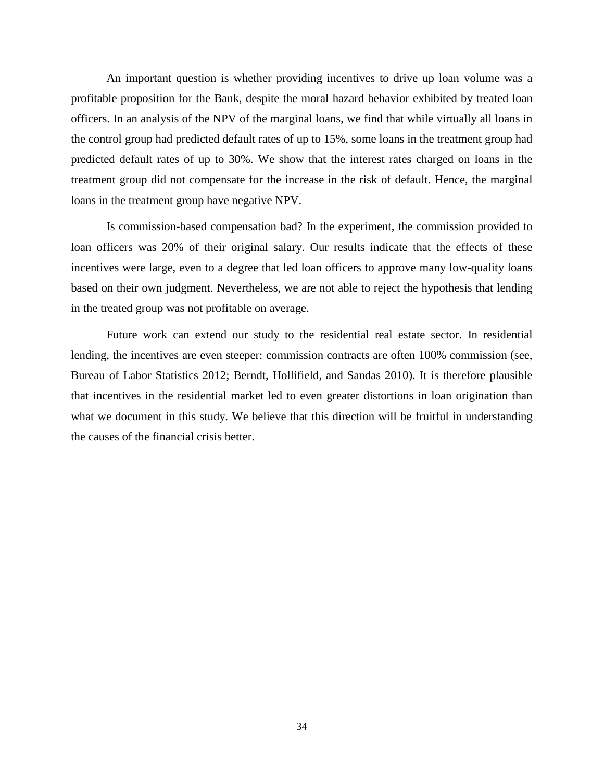An important question is whether providing incentives to drive up loan volume was a profitable proposition for the Bank, despite the moral hazard behavior exhibited by treated loan officers. In an analysis of the NPV of the marginal loans, we find that while virtually all loans in the control group had predicted default rates of up to 15%, some loans in the treatment group had predicted default rates of up to 30%. We show that the interest rates charged on loans in the treatment group did not compensate for the increase in the risk of default. Hence, the marginal loans in the treatment group have negative NPV.

Is commission-based compensation bad? In the experiment, the commission provided to loan officers was 20% of their original salary. Our results indicate that the effects of these incentives were large, even to a degree that led loan officers to approve many low-quality loans based on their own judgment. Nevertheless, we are not able to reject the hypothesis that lending in the treated group was not profitable on average.

Future work can extend our study to the residential real estate sector. In residential lending, the incentives are even steeper: commission contracts are often 100% commission (see, Bureau of Labor Statistics 2012; Berndt, Hollifield, and Sandas 2010). It is therefore plausible that incentives in the residential market led to even greater distortions in loan origination than what we document in this study. We believe that this direction will be fruitful in understanding the causes of the financial crisis better.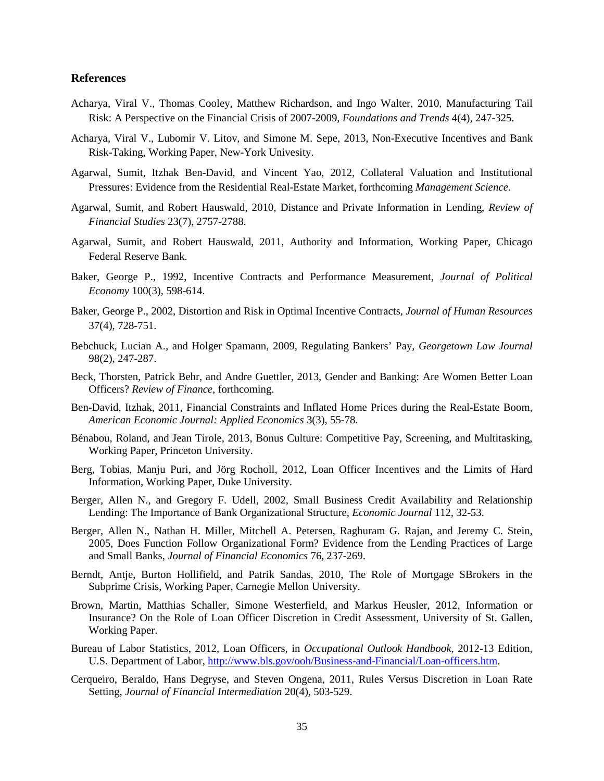#### **References**

- Acharya, Viral V., Thomas Cooley, Matthew Richardson, and Ingo Walter, 2010, Manufacturing Tail Risk: A Perspective on the Financial Crisis of 2007-2009, *Foundations and Trends* 4(4), 247-325.
- Acharya, Viral V., Lubomir V. Litov, and Simone M. Sepe, 2013, Non-Executive Incentives and Bank Risk-Taking, Working Paper, New-York Univesity.
- Agarwal, Sumit, Itzhak Ben-David, and Vincent Yao, 2012, Collateral Valuation and Institutional Pressures: Evidence from the Residential Real-Estate Market, forthcoming *Management Science*.
- Agarwal, Sumit, and Robert Hauswald, 2010, Distance and Private Information in Lending, *Review of Financial Studies* 23(7), 2757-2788.
- Agarwal, Sumit, and Robert Hauswald, 2011, Authority and Information, Working Paper, Chicago Federal Reserve Bank.
- Baker, George P., 1992, Incentive Contracts and Performance Measurement, *Journal of Political Economy* 100(3), 598-614.
- Baker, George P., 2002, Distortion and Risk in Optimal Incentive Contracts, *Journal of Human Resources* 37(4), 728-751.
- Bebchuck, Lucian A., and Holger Spamann, 2009, Regulating Bankers' Pay, *Georgetown Law Journal* 98(2), 247-287.
- Beck, Thorsten, Patrick Behr, and Andre Guettler, 2013, Gender and Banking: Are Women Better Loan Officers? *Review of Finance*, forthcoming.
- Ben-David, Itzhak, 2011, Financial Constraints and Inflated Home Prices during the Real-Estate Boom, *American Economic Journal: Applied Economics* 3(3), 55-78.
- Bénabou, Roland, and Jean Tirole, 2013, Bonus Culture: Competitive Pay, Screening, and Multitasking, Working Paper, Princeton University.
- Berg, Tobias, Manju Puri, and Jörg Rocholl, 2012, Loan Officer Incentives and the Limits of Hard Information, Working Paper, Duke University.
- Berger, Allen N., and Gregory F. Udell, 2002, Small Business Credit Availability and Relationship Lending: The Importance of Bank Organizational Structure, *Economic Journal* 112, 32-53.
- Berger, Allen N., Nathan H. Miller, Mitchell A. Petersen, Raghuram G. Rajan, and Jeremy C. Stein, 2005, Does Function Follow Organizational Form? Evidence from the Lending Practices of Large and Small Banks, *Journal of Financial Economics* 76, 237-269.
- Berndt, Antje, Burton Hollifield, and Patrik Sandas, 2010, The Role of Mortgage SBrokers in the Subprime Crisis, Working Paper, Carnegie Mellon University.
- Brown, Martin, Matthias Schaller, Simone Westerfield, and Markus Heusler, 2012, Information or Insurance? On the Role of Loan Officer Discretion in Credit Assessment, University of St. Gallen, Working Paper.
- Bureau of Labor Statistics, 2012, Loan Officers, in *Occupational Outlook Handbook*, 2012-13 Edition, U.S. Department of Labor[, http://www.bls.gov/ooh/Business-and-Financial/Loan-officers.htm.](http://www.bls.gov/ooh/Business-and-Financial/Loan-officers.htm#tab-5)
- Cerqueiro, Beraldo, Hans Degryse, and Steven Ongena, 2011, Rules Versus Discretion in Loan Rate Setting, *Journal of Financial Intermediation* 20(4), 503-529.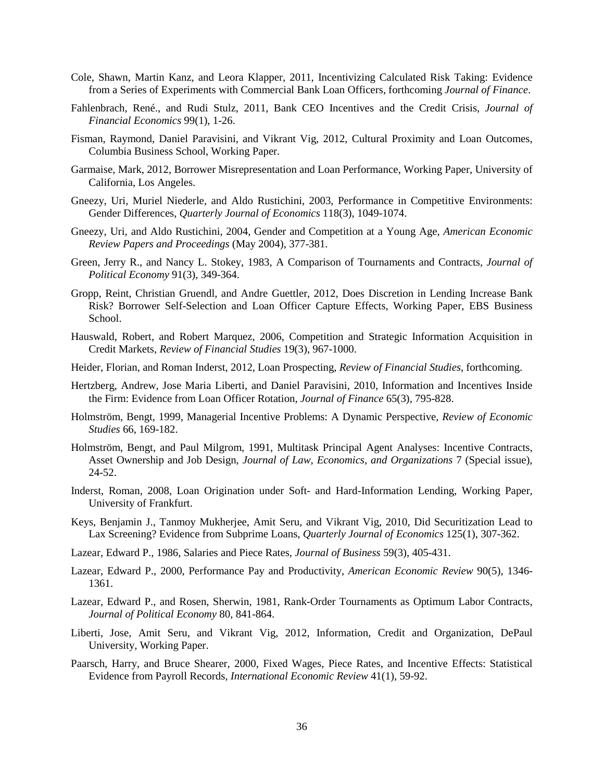- Cole, Shawn, Martin Kanz, and Leora Klapper, 2011, Incentivizing Calculated Risk Taking: Evidence from a Series of Experiments with Commercial Bank Loan Officers, forthcoming *Journal of Finance*.
- Fahlenbrach, René., and Rudi Stulz, 2011, Bank CEO Incentives and the Credit Crisis, *Journal of Financial Economics* 99(1), 1-26.
- Fisman, Raymond, Daniel Paravisini, and Vikrant Vig, 2012, Cultural Proximity and Loan Outcomes, Columbia Business School, Working Paper.
- Garmaise, Mark, 2012, Borrower Misrepresentation and Loan Performance, Working Paper, University of California, Los Angeles.
- Gneezy, Uri, Muriel Niederle, and Aldo Rustichini, 2003, Performance in Competitive Environments: Gender Differences, *Quarterly Journal of Economics* 118(3), 1049-1074.
- Gneezy, Uri, and Aldo Rustichini, 2004, Gender and Competition at a Young Age, *American Economic Review Papers and Proceedings* (May 2004), 377-381.
- Green, Jerry R., and Nancy L. Stokey, 1983, A Comparison of Tournaments and Contracts, *Journal of Political Economy* 91(3), 349-364.
- Gropp, Reint, Christian Gruendl, and Andre Guettler, 2012, Does Discretion in Lending Increase Bank Risk? Borrower Self-Selection and Loan Officer Capture Effects, Working Paper, EBS Business School.
- Hauswald, Robert, and Robert Marquez, 2006, Competition and Strategic Information Acquisition in Credit Markets, *Review of Financial Studies* 19(3), 967-1000.
- Heider, Florian, and Roman Inderst, 2012, Loan Prospecting, *Review of Financial Studies*, forthcoming.
- Hertzberg, Andrew, Jose Maria Liberti, and Daniel Paravisini, 2010, Information and Incentives Inside the Firm: Evidence from Loan Officer Rotation, *Journal of Finance* 65(3), 795-828.
- Holmström, Bengt, 1999, Managerial Incentive Problems: A Dynamic Perspective, *Review of Economic Studies* 66, 169-182.
- Holmström, Bengt, and Paul Milgrom, 1991, Multitask Principal Agent Analyses: Incentive Contracts, Asset Ownership and Job Design, *Journal of Law, Economics, and Organizations* 7 (Special issue), 24-52.
- Inderst, Roman, 2008, Loan Origination under Soft- and Hard-Information Lending, Working Paper, University of Frankfurt.
- Keys, Benjamin J., Tanmoy Mukherjee, Amit Seru, and Vikrant Vig, 2010, Did Securitization Lead to Lax Screening? Evidence from Subprime Loans, *Quarterly Journal of Economics* 125(1), 307-362.
- Lazear, Edward P., 1986, Salaries and Piece Rates, *Journal of Business* 59(3), 405-431.
- Lazear, Edward P., 2000, Performance Pay and Productivity, *American Economic Review* 90(5), 1346- 1361.
- Lazear, Edward P., and Rosen, Sherwin, 1981, Rank-Order Tournaments as Optimum Labor Contracts, *Journal of Political Economy* 80, 841-864.
- Liberti, Jose, Amit Seru, and Vikrant Vig, 2012, Information, Credit and Organization, DePaul University, Working Paper.
- Paarsch, Harry, and Bruce Shearer, 2000, Fixed Wages, Piece Rates, and Incentive Effects: Statistical Evidence from Payroll Records, *International Economic Review* 41(1), 59-92.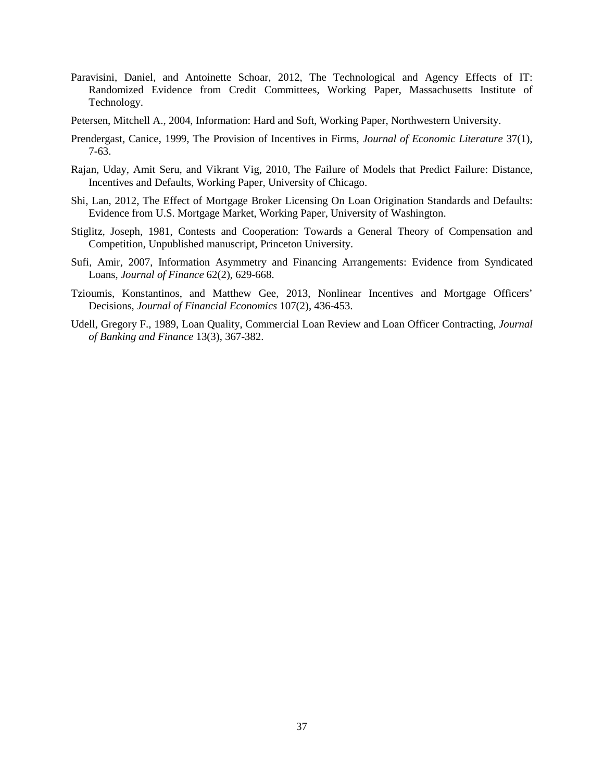- Paravisini, Daniel, and Antoinette Schoar, 2012, The Technological and Agency Effects of IT: Randomized Evidence from Credit Committees, Working Paper, Massachusetts Institute of Technology.
- Petersen, Mitchell A., 2004, Information: Hard and Soft, Working Paper, Northwestern University.
- Prendergast, Canice, 1999, The Provision of Incentives in Firms, *Journal of Economic Literature* 37(1), 7-63.
- Rajan, Uday, Amit Seru, and Vikrant Vig, 2010, The Failure of Models that Predict Failure: Distance, Incentives and Defaults, Working Paper, University of Chicago.
- Shi, Lan, 2012, The Effect of Mortgage Broker Licensing On Loan Origination Standards and Defaults: Evidence from U.S. Mortgage Market, Working Paper, University of Washington.
- Stiglitz, Joseph, 1981, Contests and Cooperation: Towards a General Theory of Compensation and Competition, Unpublished manuscript, Princeton University.
- Sufi, Amir, 2007, Information Asymmetry and Financing Arrangements: Evidence from Syndicated Loans, *Journal of Finance* 62(2), 629-668.
- Tzioumis, Konstantinos, and Matthew Gee, 2013, Nonlinear Incentives and Mortgage Officers' Decisions, *Journal of Financial Economics* 107(2), 436-453.
- Udell, Gregory F., 1989, Loan Quality, Commercial Loan Review and Loan Officer Contracting, *Journal of Banking and Finance* 13(3), 367-382.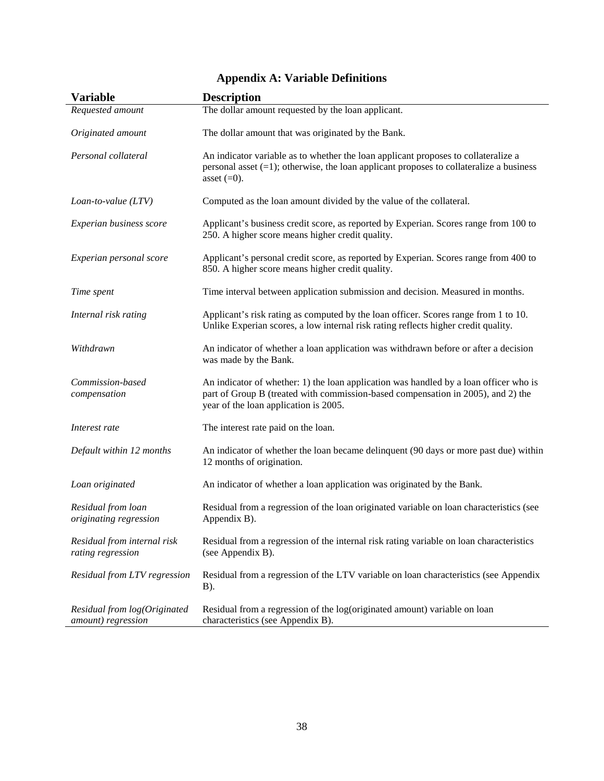| <b>Variable</b>                                    | <b>Description</b>                                                                                                                                                                                                 |
|----------------------------------------------------|--------------------------------------------------------------------------------------------------------------------------------------------------------------------------------------------------------------------|
| Requested amount                                   | The dollar amount requested by the loan applicant.                                                                                                                                                                 |
| Originated amount                                  | The dollar amount that was originated by the Bank.                                                                                                                                                                 |
| Personal collateral                                | An indicator variable as to whether the loan applicant proposes to collateralize a<br>personal asset $(=1)$ ; otherwise, the loan applicant proposes to collateralize a business<br>asset $(=0)$ .                 |
| Loan-to-value (LTV)                                | Computed as the loan amount divided by the value of the collateral.                                                                                                                                                |
| Experian business score                            | Applicant's business credit score, as reported by Experian. Scores range from 100 to<br>250. A higher score means higher credit quality.                                                                           |
| Experian personal score                            | Applicant's personal credit score, as reported by Experian. Scores range from 400 to<br>850. A higher score means higher credit quality.                                                                           |
| Time spent                                         | Time interval between application submission and decision. Measured in months.                                                                                                                                     |
| Internal risk rating                               | Applicant's risk rating as computed by the loan officer. Scores range from 1 to 10.<br>Unlike Experian scores, a low internal risk rating reflects higher credit quality.                                          |
| Withdrawn                                          | An indicator of whether a loan application was withdrawn before or after a decision<br>was made by the Bank.                                                                                                       |
| Commission-based<br>compensation                   | An indicator of whether: 1) the loan application was handled by a loan officer who is<br>part of Group B (treated with commission-based compensation in 2005), and 2) the<br>year of the loan application is 2005. |
| Interest rate                                      | The interest rate paid on the loan.                                                                                                                                                                                |
| Default within 12 months                           | An indicator of whether the loan became delinquent (90 days or more past due) within<br>12 months of origination.                                                                                                  |
| Loan originated                                    | An indicator of whether a loan application was originated by the Bank.                                                                                                                                             |
| Residual from loan<br>originating regression       | Residual from a regression of the loan originated variable on loan characteristics (see<br>Appendix B).                                                                                                            |
| Residual from internal risk<br>rating regression   | Residual from a regression of the internal risk rating variable on loan characteristics<br>(see Appendix B).                                                                                                       |
| Residual from LTV regression                       | Residual from a regression of the LTV variable on loan characteristics (see Appendix<br>B).                                                                                                                        |
| Residual from log(Originated<br>amount) regression | Residual from a regression of the log(originated amount) variable on loan<br>characteristics (see Appendix B).                                                                                                     |

# **Appendix A: Variable Definitions**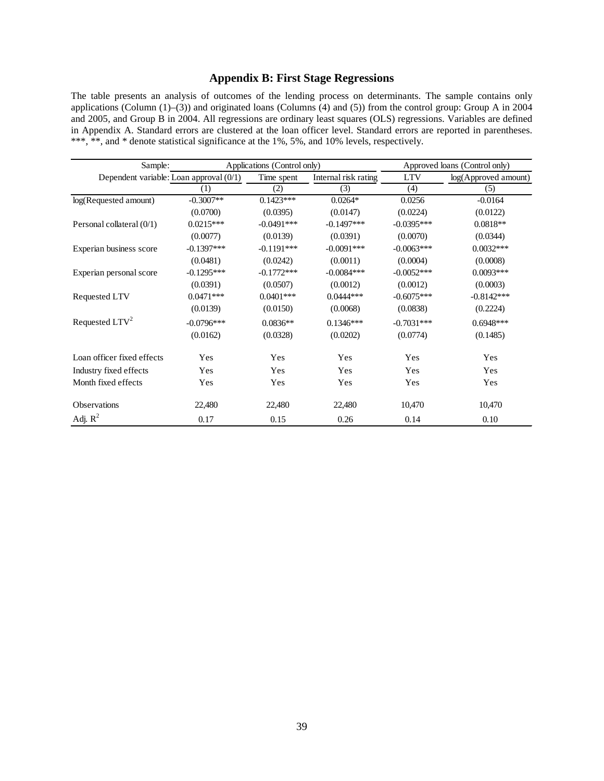# **Appendix B: First Stage Regressions**

The table presents an analysis of outcomes of the lending process on determinants. The sample contains only applications (Column (1)–(3)) and originated loans (Columns (4) and (5)) from the control group: Group A in 2004 and 2005, and Group B in 2004. All regressions are ordinary least squares (OLS) regressions. Variables are defined in Appendix A. Standard errors are clustered at the loan officer level. Standard errors are reported in parentheses. \*\*\*, \*\*, and \* denote statistical significance at the 1%, 5%, and 10% levels, respectively.

| Sample:                                 | Applications (Control only) |              | Approved loans (Control only) |              |                         |
|-----------------------------------------|-----------------------------|--------------|-------------------------------|--------------|-------------------------|
| Dependent variable: Loan approval (0/1) |                             | Time spent   | Internal risk rating          | <b>LTV</b>   | $log(A$ pproved amount) |
|                                         | (1)                         | (2)          | (3)                           | (4)          | (5)                     |
| log(Requested amount)                   | $-0.3007**$                 | $0.1423***$  | $0.0264*$                     | 0.0256       | $-0.0164$               |
|                                         | (0.0700)                    | (0.0395)     | (0.0147)                      | (0.0224)     | (0.0122)                |
| Personal collateral (0/1)               | $0.0215***$                 | $-0.0491***$ | $-0.1497***$                  | $-0.0395***$ | $0.0818**$              |
|                                         | (0.0077)                    | (0.0139)     | (0.0391)                      | (0.0070)     | (0.0344)                |
| Experian business score                 | $-0.1397***$                | $-0.1191***$ | $-0.0091***$                  | $-0.0063***$ | $0.0032***$             |
|                                         | (0.0481)                    | (0.0242)     | (0.0011)                      | (0.0004)     | (0.0008)                |
| Experian personal score                 | $-0.1295***$                | $-0.1772***$ | $-0.0084***$                  | $-0.0052***$ | $0.0093***$             |
|                                         | (0.0391)                    | (0.0507)     | (0.0012)                      | (0.0012)     | (0.0003)                |
| Requested LTV                           | $0.0471***$                 | $0.0401***$  | $0.0444***$                   | $-0.6075***$ | $-0.8142***$            |
|                                         | (0.0139)                    | (0.0150)     | (0.0068)                      | (0.0838)     | (0.2224)                |
| Requested $LTV^2$                       | $-0.0796***$                | $0.0836**$   | $0.1346***$                   | $-0.7031***$ | $0.6948***$             |
|                                         | (0.0162)                    | (0.0328)     | (0.0202)                      | (0.0774)     | (0.1485)                |
| Loan officer fixed effects              | Yes                         | Yes          | Yes                           | Yes          | Yes                     |
| Industry fixed effects                  | Yes                         | Yes          | Yes                           | Yes          | Yes                     |
| Month fixed effects                     | Yes                         | Yes          | Yes                           | Yes          | Yes                     |
| <b>Observations</b>                     | 22,480                      | 22,480       | 22,480                        | 10,470       | 10,470                  |
| Adj. $R^2$                              | 0.17                        | 0.15         | 0.26                          | 0.14         | 0.10                    |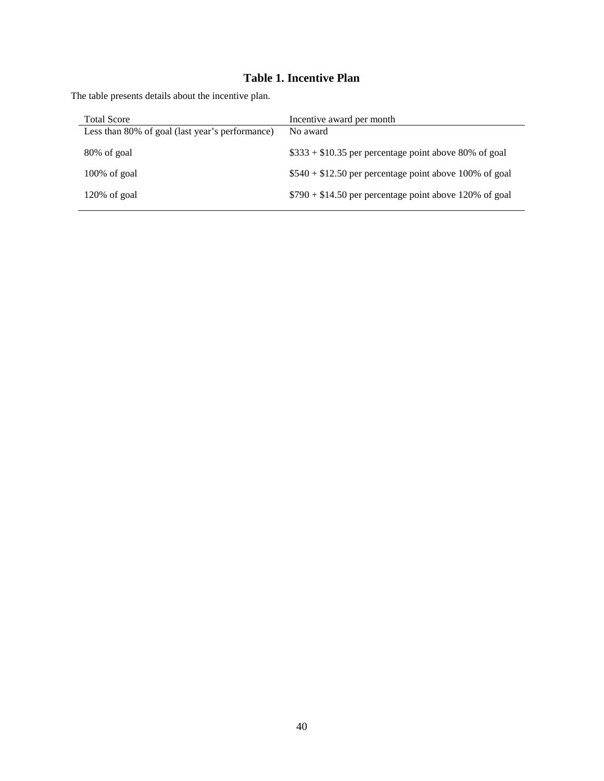# **Table 1. Incentive Plan**

The table presents details about the incentive plan.

| <b>Total Score</b>                              | Incentive award per month                               |
|-------------------------------------------------|---------------------------------------------------------|
| Less than 80% of goal (last year's performance) | No award                                                |
|                                                 |                                                         |
| 80% of goal                                     | $$333 + $10.35$ per percentage point above 80% of goal  |
|                                                 |                                                         |
| $100\%$ of goal                                 | $$540 + $12.50$ per percentage point above 100% of goal |
|                                                 |                                                         |
| $120\%$ of goal                                 | $$790 + $14.50$ per percentage point above 120% of goal |
|                                                 |                                                         |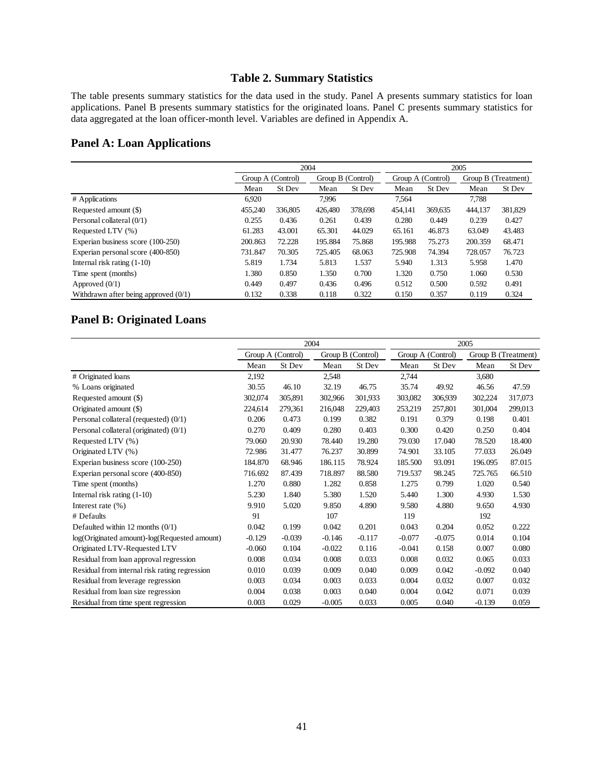# **Table 2. Summary Statistics**

The table presents summary statistics for the data used in the study. Panel A presents summary statistics for loan applications. Panel B presents summary statistics for the originated loans. Panel C presents summary statistics for data aggregated at the loan officer-month level. Variables are defined in Appendix A.

# **Panel A: Loan Applications**

|                                        |         |                   | 2005    |                   |                   |         |                     |         |
|----------------------------------------|---------|-------------------|---------|-------------------|-------------------|---------|---------------------|---------|
|                                        |         | Group A (Control) |         | Group B (Control) | Group A (Control) |         | Group B (Treatment) |         |
|                                        | Mean    | St Dev            | Mean    | St Dev            | Mean              | St Dev  | Mean                | St Dev  |
| # Applications                         | 6,920   |                   | 7.996   |                   | 7.564             |         | 7.788               |         |
| Requested amount (\$)                  | 455,240 | 336,805           | 426,480 | 378,698           | 454,141           | 369,635 | 444,137             | 381,829 |
| Personal collateral (0/1)              | 0.255   | 0.436             | 0.261   | 0.439             | 0.280             | 0.449   | 0.239               | 0.427   |
| Requested LTV (%)                      | 61.283  | 43.001            | 65.301  | 44.029            | 65.161            | 46.873  | 63.049              | 43.483  |
| Experian business score (100-250)      | 200.863 | 72.228            | 195.884 | 75.868            | 195.988           | 75.273  | 200.359             | 68.471  |
| Experian personal score (400-850)      | 731.847 | 70.305            | 725.405 | 68.063            | 725.908           | 74.394  | 728.057             | 76.723  |
| Internal risk rating $(1-10)$          | 5.819   | 1.734             | 5.813   | 1.537             | 5.940             | 1.313   | 5.958               | 1.470   |
| Time spent (months)                    | 1.380   | 0.850             | 1.350   | 0.700             | 1.320             | 0.750   | 1.060               | 0.530   |
| Approved $(0/1)$                       | 0.449   | 0.497             | 0.436   | 0.496             | 0.512             | 0.500   | 0.592               | 0.491   |
| Withdrawn after being approved $(0/1)$ | 0.132   | 0.338             | 0.118   | 0.322             | 0.150             | 0.357   | 0.119               | 0.324   |

# **Panel B: Originated Loans**

|                                               |          |                   | 2004     |                   | 2005              |          |          |                     |
|-----------------------------------------------|----------|-------------------|----------|-------------------|-------------------|----------|----------|---------------------|
|                                               |          | Group A (Control) |          | Group B (Control) | Group A (Control) |          |          | Group B (Treatment) |
|                                               | Mean     | St Dev            | Mean     | St Dev            | Mean              | St Dev   | Mean     | St Dev              |
| # Originated loans                            | 2,192    |                   | 2,548    |                   | 2,744             |          | 3,680    |                     |
| % Loans originated                            | 30.55    | 46.10             | 32.19    | 46.75             | 35.74             | 49.92    | 46.56    | 47.59               |
| Requested amount (\$)                         | 302,074  | 305,891           | 302,966  | 301,933           | 303,082           | 306,939  | 302,224  | 317,073             |
| Originated amount (\$)                        | 224,614  | 279,361           | 216,048  | 229,403           | 253,219           | 257,801  | 301,004  | 299,013             |
| Personal collateral (requested) (0/1)         | 0.206    | 0.473             | 0.199    | 0.382             | 0.191             | 0.379    | 0.198    | 0.401               |
| Personal collateral (originated) (0/1)        | 0.270    | 0.409             | 0.280    | 0.403             | 0.300             | 0.420    | 0.250    | 0.404               |
| Requested LTV (%)                             | 79.060   | 20.930            | 78.440   | 19.280            | 79.030            | 17.040   | 78.520   | 18.400              |
| Originated LTV (%)                            | 72.986   | 31.477            | 76.237   | 30.899            | 74.901            | 33.105   | 77.033   | 26.049              |
| Experian business score (100-250)             | 184.870  | 68.946            | 186.115  | 78.924            | 185.500           | 93.091   | 196.095  | 87.015              |
| Experian personal score (400-850)             | 716.692  | 87.439            | 718.897  | 88.580            | 719.537           | 98.245   | 725.765  | 66.510              |
| Time spent (months)                           | 1.270    | 0.880             | 1.282    | 0.858             | 1.275             | 0.799    | 1.020    | 0.540               |
| Internal risk rating $(1-10)$                 | 5.230    | 1.840             | 5.380    | 1.520             | 5.440             | 1.300    | 4.930    | 1.530               |
| Interest rate $(\% )$                         | 9.910    | 5.020             | 9.850    | 4.890             | 9.580             | 4.880    | 9.650    | 4.930               |
| # Defaults                                    | 91       |                   | 107      |                   | 119               |          | 192      |                     |
| Defaulted within 12 months $(0/1)$            | 0.042    | 0.199             | 0.042    | 0.201             | 0.043             | 0.204    | 0.052    | 0.222               |
| log(Originated amount)-log(Requested amount)  | $-0.129$ | $-0.039$          | $-0.146$ | $-0.117$          | $-0.077$          | $-0.075$ | 0.014    | 0.104               |
| Originated LTV-Requested LTV                  | $-0.060$ | 0.104             | $-0.022$ | 0.116             | $-0.041$          | 0.158    | 0.007    | 0.080               |
| Residual from loan approval regression        | 0.008    | 0.034             | 0.008    | 0.033             | 0.008             | 0.032    | 0.065    | 0.033               |
| Residual from internal risk rating regression | 0.010    | 0.039             | 0.009    | 0.040             | 0.009             | 0.042    | $-0.092$ | 0.040               |
| Residual from leverage regression             | 0.003    | 0.034             | 0.003    | 0.033             | 0.004             | 0.032    | 0.007    | 0.032               |
| Residual from loan size regression            | 0.004    | 0.038             | 0.003    | 0.040             | 0.004             | 0.042    | 0.071    | 0.039               |
| Residual from time spent regression           | 0.003    | 0.029             | $-0.005$ | 0.033             | 0.005             | 0.040    | $-0.139$ | 0.059               |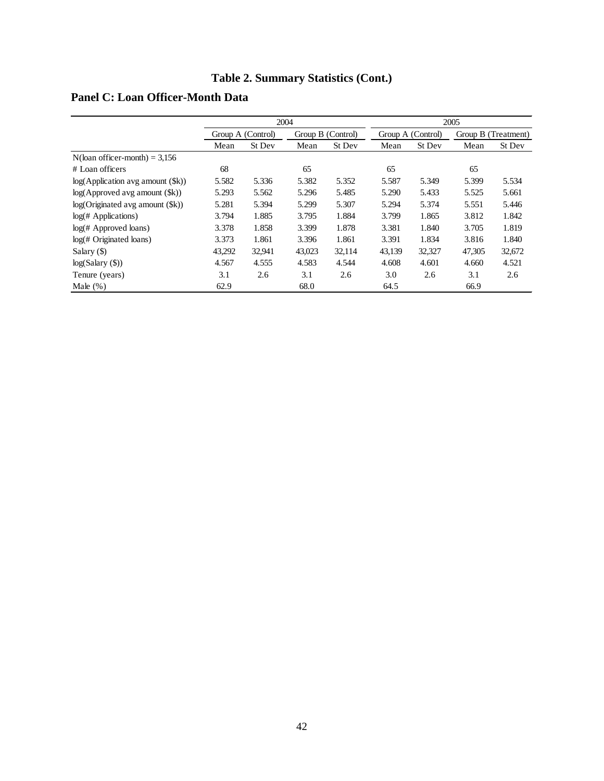# **Table 2. Summary Statistics (Cont.)**

|                                   |        | 2004              |        |                   |        |                                          | 2005   |        |
|-----------------------------------|--------|-------------------|--------|-------------------|--------|------------------------------------------|--------|--------|
|                                   |        | Group A (Control) |        | Group B (Control) |        | Group A (Control)<br>Group B (Treatment) |        |        |
|                                   | Mean   | St Dev            | Mean   | St Dev            | Mean   | St Dev                                   | Mean   | St Dev |
| $N$ (loan officer-month) = 3,156  |        |                   |        |                   |        |                                          |        |        |
| # Loan officers                   | 68     |                   | 65     |                   | 65     |                                          | 65     |        |
| log(Application avg amount (\$k)) | 5.582  | 5.336             | 5.382  | 5.352             | 5.587  | 5.349                                    | 5.399  | 5.534  |
| log(Approved avg amount ()        | 5.293  | 5.562             | 5.296  | 5.485             | 5.290  | 5.433                                    | 5.525  | 5.661  |
| log(Originaled avg amount (\$k))  | 5.281  | 5.394             | 5.299  | 5.307             | 5.294  | 5.374                                    | 5.551  | 5.446  |
| log( <i>#</i> Applications)       | 3.794  | 1.885             | 3.795  | 1.884             | 3.799  | 1.865                                    | 3.812  | 1.842  |
| $log(H$ Approved loans)           | 3.378  | 1.858             | 3.399  | 1.878             | 3.381  | 1.840                                    | 3.705  | 1.819  |
| $log($ # Originated loans)        | 3.373  | 1.861             | 3.396  | 1.861             | 3.391  | 1.834                                    | 3.816  | 1.840  |
| Salary $($ )                      | 43.292 | 32,941            | 43.023 | 32.114            | 43.139 | 32.327                                   | 47.305 | 32,672 |
| log(Salary(S))                    | 4.567  | 4.555             | 4.583  | 4.544             | 4.608  | 4.601                                    | 4.660  | 4.521  |
| Tenure (years)                    | 3.1    | 2.6               | 3.1    | 2.6               | 3.0    | 2.6                                      | 3.1    | 2.6    |
| Male $(\%)$                       | 62.9   |                   | 68.0   |                   | 64.5   |                                          | 66.9   |        |

# **Panel C: Loan Officer-Month Data**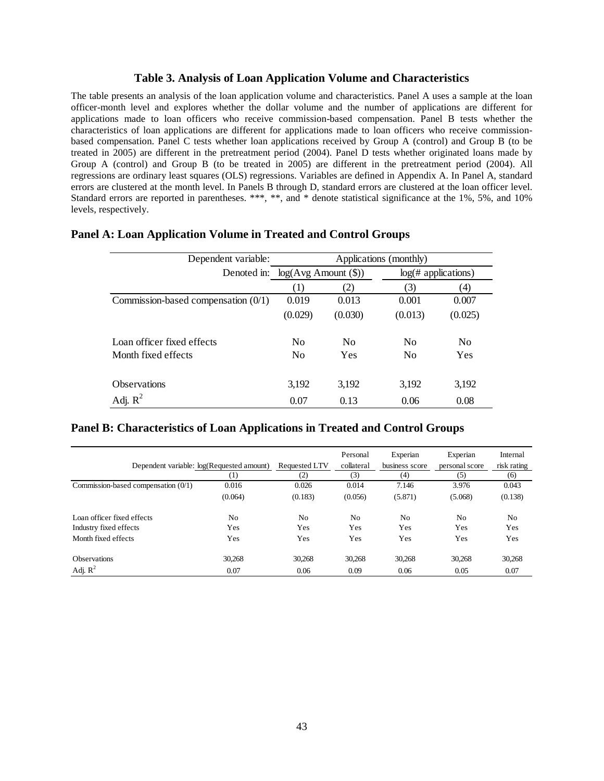### **Table 3. Analysis of Loan Application Volume and Characteristics**

The table presents an analysis of the loan application volume and characteristics. Panel A uses a sample at the loan officer-month level and explores whether the dollar volume and the number of applications are different for applications made to loan officers who receive commission-based compensation. Panel B tests whether the characteristics of loan applications are different for applications made to loan officers who receive commissionbased compensation. Panel C tests whether loan applications received by Group A (control) and Group B (to be treated in 2005) are different in the pretreatment period (2004). Panel D tests whether originated loans made by Group A (control) and Group B (to be treated in 2005) are different in the pretreatment period (2004). All regressions are ordinary least squares (OLS) regressions. Variables are defined in Appendix A. In Panel A, standard errors are clustered at the month level. In Panels B through D, standard errors are clustered at the loan officer level. Standard errors are reported in parentheses. \*\*\*, \*\*, and \* denote statistical significance at the 1%, 5%, and 10% levels, respectively.

| Dependent variable:                   | Applications (monthly)                                     |                |                |                |  |  |  |  |
|---------------------------------------|------------------------------------------------------------|----------------|----------------|----------------|--|--|--|--|
|                                       | Denoted in: log(Avg Amount (\$))<br>$log($ # applications) |                |                |                |  |  |  |  |
|                                       | (1)                                                        | (2)            | (3)            | (4)            |  |  |  |  |
| Commission-based compensation $(0/1)$ | 0.019                                                      | 0.013          | 0.001          | 0.007          |  |  |  |  |
|                                       | (0.029)                                                    | (0.030)        | (0.013)        | (0.025)        |  |  |  |  |
| Loan officer fixed effects            | N <sub>0</sub>                                             | N <sub>0</sub> | N <sub>0</sub> | N <sub>0</sub> |  |  |  |  |
| Month fixed effects                   | N <sub>0</sub>                                             | <b>Yes</b>     | N <sub>0</sub> | Yes            |  |  |  |  |
| <b>Observations</b>                   | 3.192                                                      | 3,192          | 3,192          | 3,192          |  |  |  |  |
| Adj. $R^2$                            | 0.07                                                       | 0.13           | 0.06           | 0.08           |  |  |  |  |

# **Panel A: Loan Application Volume in Treated and Control Groups**

#### **Panel B: Characteristics of Loan Applications in Treated and Control Groups**

| Dependent variable: log(Requested amount) | (1)            | Requested LTV<br>(2) | Personal<br>collateral<br>(3) | Experian<br>business score<br>(4) | Experian<br>personal score<br>(5) | Internal<br>risk rating<br>(6) |
|-------------------------------------------|----------------|----------------------|-------------------------------|-----------------------------------|-----------------------------------|--------------------------------|
| Commission-based compensation $(0/1)$     | 0.016          | 0.026                | 0.014                         | 7.146                             | 3.976                             | 0.043                          |
|                                           | (0.064)        | (0.183)              | (0.056)                       | (5.871)                           | (5.068)                           | (0.138)                        |
| Loan officer fixed effects                | N <sub>0</sub> | N <sub>0</sub>       | No                            | N <sub>0</sub>                    | N <sub>0</sub>                    | No                             |
| Industry fixed effects                    | Yes            | Yes                  | Yes                           | Yes                               | Yes                               | Yes                            |
| Month fixed effects                       | Yes            | Yes                  | Yes                           | Yes                               | Yes                               | Yes                            |
| <b>Observations</b>                       | 30,268         | 30,268               | 30.268                        | 30.268                            | 30,268                            | 30,268                         |
| Adj. $R^2$                                | 0.07           | 0.06                 | 0.09                          | 0.06                              | 0.05                              | 0.07                           |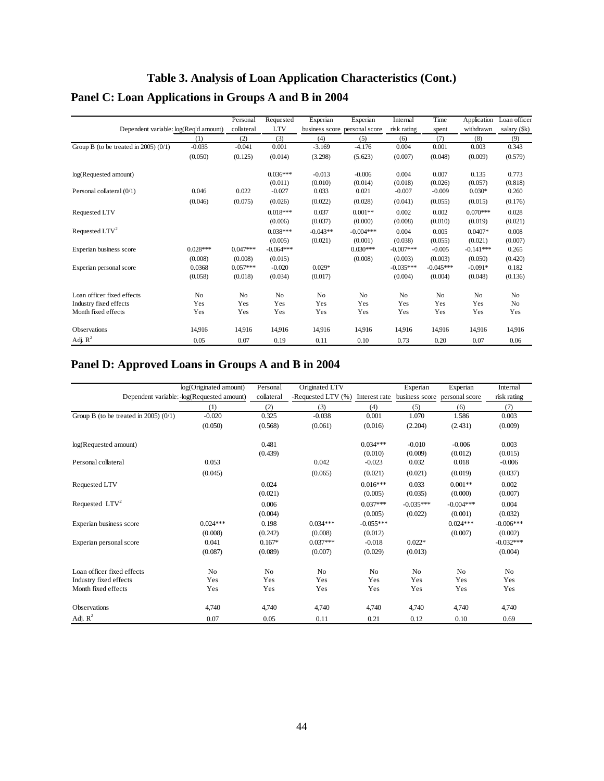# **Table 3. Analysis of Loan Application Characteristics (Cont.) Panel C: Loan Applications in Groups A and B in 2004**

|                                         |                | Personal       | Requested      | Experian       | Experian                      | Internal       | Time        | Application    | Loan officer   |
|-----------------------------------------|----------------|----------------|----------------|----------------|-------------------------------|----------------|-------------|----------------|----------------|
| Dependent variable: log(Req'd amount)   |                | collateral     | <b>LTV</b>     |                | business score personal score | risk rating    | spent       | withdrawn      | salary (\$k)   |
|                                         | (1)            | (2)            | (3)            | (4)            | (5)                           | (6)            | (7)         | (8)            | (9)            |
| Group B (to be treated in 2005) $(0/1)$ | $-0.035$       | $-0.041$       | 0.001          | $-3.169$       | $-4.176$                      | 0.004          | 0.001       | 0.003          | 0.343          |
|                                         | (0.050)        | (0.125)        | (0.014)        | (3.298)        | (5.623)                       | (0.007)        | (0.048)     | (0.009)        | (0.579)        |
| log(Requested amount)                   |                |                | $0.036***$     | $-0.013$       | $-0.006$                      | 0.004          | 0.007       | 0.135          | 0.773          |
|                                         |                |                | (0.011)        | (0.010)        | (0.014)                       | (0.018)        | (0.026)     | (0.057)        | (0.818)        |
| Personal collateral (0/1)               | 0.046          | 0.022          | $-0.027$       | 0.033          | 0.021                         | $-0.007$       | $-0.009$    | $0.030*$       | 0.260          |
|                                         | (0.046)        | (0.075)        | (0.026)        | (0.022)        | (0.028)                       | (0.041)        | (0.055)     | (0.015)        | (0.176)        |
| Requested LTV                           |                |                | $0.018***$     | 0.037          | $0.001**$                     | 0.002          | 0.002       | $0.070***$     | 0.028          |
|                                         |                |                | (0.006)        | (0.037)        | (0.000)                       | (0.008)        | (0.010)     | (0.019)        | (0.021)        |
| Requested $LTV2$                        |                |                | $0.038***$     | $-0.043**$     | $-0.004***$                   | 0.004          | 0.005       | $0.0407*$      | 0.008          |
|                                         |                |                | (0.005)        | (0.021)        | (0.001)                       | (0.038)        | (0.055)     | (0.021)        | (0.007)        |
| Experian business score                 | $0.028***$     | $0.047***$     | $-0.064***$    |                | $0.030***$                    | $-0.007***$    | $-0.005$    | $-0.141***$    | 0.265          |
|                                         | (0.008)        | (0.008)        | (0.015)        |                | (0.008)                       | (0.003)        | (0.003)     | (0.050)        | (0.420)        |
| Experian personal score                 | 0.0368         | $0.057***$     | $-0.020$       | $0.029*$       |                               | $-0.035***$    | $-0.045***$ | $-0.091*$      | 0.182          |
|                                         | (0.058)        | (0.018)        | (0.034)        | (0.017)        |                               | (0.004)        | (0.004)     | (0.048)        | (0.136)        |
| Loan officer fixed effects              | N <sub>o</sub> | N <sub>o</sub> | N <sub>o</sub> | N <sub>0</sub> | N <sub>o</sub>                | N <sub>o</sub> | No          | N <sub>o</sub> | No             |
| Industry fixed effects                  | Yes            | Yes            | Yes            | Yes            | Yes                           | Yes            | Yes         | Yes            | N <sub>0</sub> |
| Month fixed effects                     | Yes            | Yes            | Yes            | Yes            | Yes                           | Yes            | Yes         | Yes            | Yes            |
| <b>Observations</b>                     | 14,916         | 14,916         | 14,916         | 14,916         | 14,916                        | 14,916         | 14,916      | 14,916         | 14,916         |
| Adj. $R^2$                              | 0.05           | 0.07           | 0.19           | 0.11           | 0.10                          | 0.73           | 0.20        | 0.07           | 0.06           |

# **Panel D: Approved Loans in Groups A and B in 2004**

|                                          | log(Originated amount)                      | Personal       | Originated LTV     |                | Experian                                    | Experian    | Internal    |
|------------------------------------------|---------------------------------------------|----------------|--------------------|----------------|---------------------------------------------|-------------|-------------|
|                                          | Dependent variable: - log(Requested amount) | collateral     | -Requested LTV (%) |                | Interest rate business score personal score |             | risk rating |
|                                          | (1)                                         | (2)            | (3)                | (4)            | (5)                                         | (6)         | (7)         |
| Group B (to be treated in $2005$ ) (0/1) | $-0.020$                                    | 0.325          | $-0.038$           | 0.001          | 1.070                                       | 1.586       | 0.003       |
|                                          | (0.050)                                     | (0.568)        | (0.061)            | (0.016)        | (2.204)                                     | (2.431)     | (0.009)     |
| log(Requested amount)                    |                                             | 0.481          |                    | $0.034***$     | $-0.010$                                    | $-0.006$    | 0.003       |
|                                          |                                             | (0.439)        |                    | (0.010)        | (0.009)                                     | (0.012)     | (0.015)     |
| Personal collateral                      | 0.053                                       |                | 0.042              | $-0.023$       | 0.032                                       | 0.018       | $-0.006$    |
|                                          | (0.045)                                     |                | (0.065)            | (0.021)        | (0.021)                                     | (0.019)     | (0.037)     |
| Requested LTV                            |                                             | 0.024          |                    | $0.016***$     | 0.033                                       | $0.001**$   | 0.002       |
|                                          |                                             | (0.021)        |                    | (0.005)        | (0.035)                                     | (0.000)     | (0.007)     |
| Requested $LTV2$                         |                                             | 0.006          |                    | $0.037***$     | $-0.035***$                                 | $-0.004***$ | 0.004       |
|                                          |                                             | (0.004)        |                    | (0.005)        | (0.022)                                     | (0.001)     | (0.032)     |
| Experian business score                  | $0.024***$                                  | 0.198          | $0.034***$         | $-0.055***$    |                                             | $0.024***$  | $-0.006***$ |
|                                          | (0.008)                                     | (0.242)        | (0.008)            | (0.012)        |                                             | (0.007)     | (0.002)     |
| Experian personal score                  | 0.041                                       | $0.167*$       | $0.037***$         | $-0.018$       | $0.022*$                                    |             | $-0.032***$ |
|                                          | (0.087)                                     | (0.089)        | (0.007)            | (0.029)        | (0.013)                                     |             | (0.004)     |
| Loan officer fixed effects               | No                                          | N <sub>o</sub> | No                 | N <sub>o</sub> | No                                          | No          | No          |
| Industry fixed effects                   | Yes                                         | Yes            | Yes                | Yes            | Yes                                         | Yes         | Yes         |
| Month fixed effects                      | Yes                                         | Yes            | Yes                | Yes            | Yes                                         | Yes         | Yes         |
| Observations                             | 4,740                                       | 4,740          | 4,740              | 4,740          | 4,740                                       | 4,740       | 4,740       |
| Adj. $R^2$                               | 0.07                                        | 0.05           | 0.11               | 0.21           | 0.12                                        | 0.10        | 0.69        |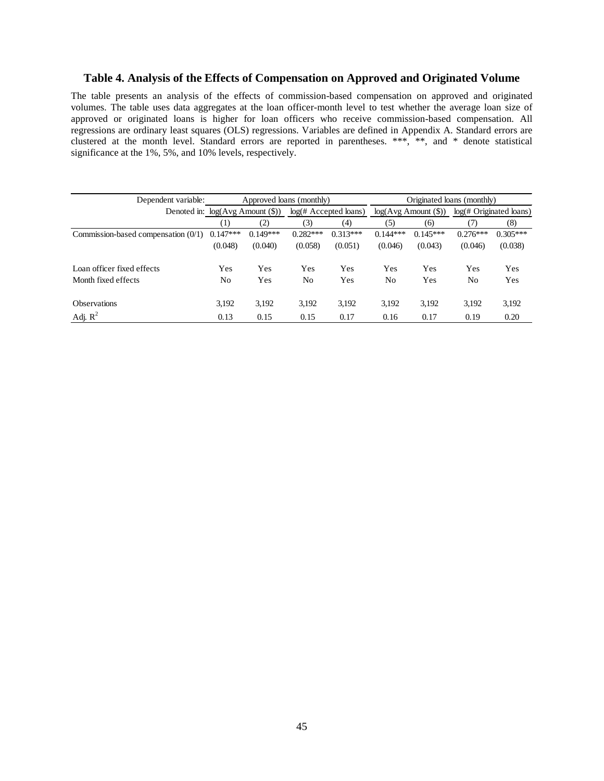#### **Table 4. Analysis of the Effects of Compensation on Approved and Originated Volume**

The table presents an analysis of the effects of commission-based compensation on approved and originated volumes. The table uses data aggregates at the loan officer-month level to test whether the average loan size of approved or originated loans is higher for loan officers who receive commission-based compensation. All regressions are ordinary least squares (OLS) regressions. Variables are defined in Appendix A. Standard errors are clustered at the month level. Standard errors are reported in parentheses. \*\*\*, \*\*, and \* denote statistical significance at the 1%, 5%, and 10% levels, respectively.

| Dependent variable:                   |                  |                                             | Approved loans (monthly) |                         | Originated loans (monthly) |                                 |            |                         |  |  |
|---------------------------------------|------------------|---------------------------------------------|--------------------------|-------------------------|----------------------------|---------------------------------|------------|-------------------------|--|--|
|                                       |                  | Denoted in: $log(Avg \text{ Amount } (\$))$ |                          | $log(H$ Accepted loans) |                            | $log(Avg \text{ Amount } (\$))$ |            | log(# Originated loans) |  |  |
|                                       | $\left(1\right)$ | (2)                                         | (3)                      | (4)                     | (5)                        | (6)                             | (7)        | (8)                     |  |  |
| Commission-based compensation $(0/1)$ | $0.147***$       | $0.149***$                                  | $0.282***$               | $0.313***$              | $0.144***$                 | $0.145***$                      | $0.276***$ | $0.305***$              |  |  |
|                                       | (0.048)          | (0.040)                                     | (0.058)                  | (0.051)                 | (0.046)                    | (0.043)                         | (0.046)    | (0.038)                 |  |  |
| Loan officer fixed effects            | Yes              | Yes                                         | Yes                      | Yes                     | Yes                        | Yes                             | Yes        | Yes                     |  |  |
| Month fixed effects                   | No               | Yes                                         | N <sub>0</sub>           | Yes                     | No                         | Yes                             | No         | Yes                     |  |  |
| <b>Observations</b>                   | 3,192            | 3,192                                       | 3,192                    | 3,192                   | 3,192                      | 3.192                           | 3,192      | 3,192                   |  |  |
| Adj. $R^2$                            | 0.13             | 0.15                                        | 0.15                     | 0.17                    | 0.16                       | 0.17                            | 0.19       | 0.20                    |  |  |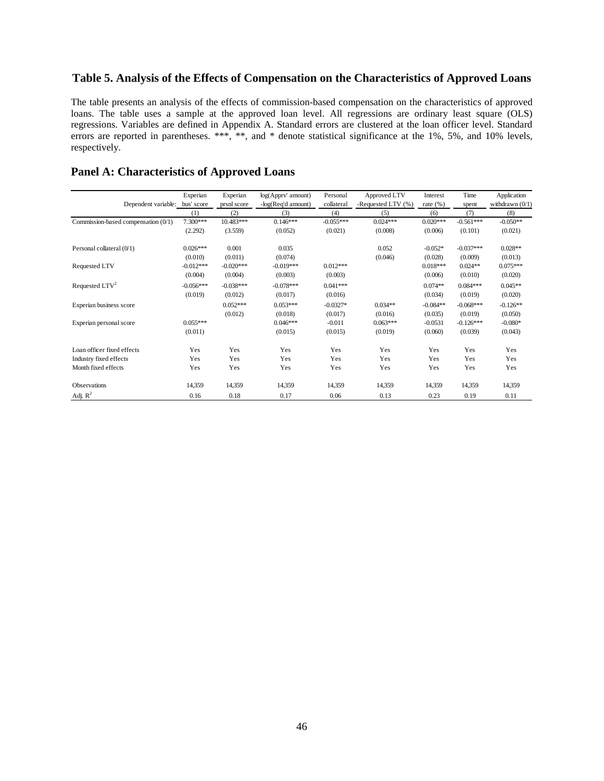# **Table 5. Analysis of the Effects of Compensation on the Characteristics of Approved Loans**

The table presents an analysis of the effects of commission-based compensation on the characteristics of approved loans. The table uses a sample at the approved loan level. All regressions are ordinary least square (OLS) regressions. Variables are defined in Appendix A. Standard errors are clustered at the loan officer level. Standard errors are reported in parentheses. \*\*\*, \*\*, and \* denote statistical significance at the 1%, 5%, and 10% levels, respectively.

### **Panel A: Characteristics of Approved Loans**

|                                     | Experian          | Experian           | log(Apprv' amount)        | Personal          | Approved LTV              | Interest            | Time         | Application              |
|-------------------------------------|-------------------|--------------------|---------------------------|-------------------|---------------------------|---------------------|--------------|--------------------------|
| Dependent variable:                 | bus' score<br>(1) | prsnl score<br>(2) | -log(Req'd amount)<br>(3) | collateral<br>(4) | -Requested LTV (%)<br>(5) | rate $(\% )$<br>(6) | spent<br>(7) | withdrawn $(0/1)$<br>(8) |
| Commission-based compensation (0/1) | 7.300***          | 10.483***          | $0.146***$                | $-0.055***$       | $0.024***$                | $0.020***$          | $-0.561***$  | $-0.050**$               |
|                                     | (2.292)           | (3.559)            | (0.052)                   | (0.021)           | (0.008)                   | (0.006)             | (0.101)      | (0.021)                  |
| Personal collateral (0/1)           | $0.026***$        | 0.001              | 0.035                     |                   | 0.052                     | $-0.052*$           | $-0.037***$  | $0.028**$                |
|                                     | (0.010)           | (0.011)            | (0.074)                   |                   | (0.046)                   | (0.028)             | (0.009)      | (0.013)                  |
| Requested LTV                       | $-0.012***$       | $-0.020***$        | $-0.019***$               | $0.012***$        |                           | $0.018***$          | $0.024**$    | $0.075***$               |
|                                     | (0.004)           | (0.004)            | (0.003)                   | (0.003)           |                           | (0.006)             | (0.010)      | (0.020)                  |
| Requested $LTV^2$                   | $-0.056***$       | $-0.038***$        | $-0.078***$               | $0.041***$        |                           | $0.074**$           | $0.084***$   | $0.045**$                |
|                                     | (0.019)           | (0.012)            | (0.017)                   | (0.016)           |                           | (0.034)             | (0.019)      | (0.020)                  |
| Experian business score             |                   | $0.052***$         | $0.053***$                | $-0.0327*$        | $0.034**$                 | $-0.084**$          | $-0.068***$  | $-0.126**$               |
|                                     |                   | (0.012)            | (0.018)                   | (0.017)           | (0.016)                   | (0.035)             | (0.019)      | (0.050)                  |
| Experian personal score             | $0.055***$        |                    | $0.046***$                | $-0.011$          | $0.063***$                | $-0.0531$           | $-0.126***$  | $-0.080*$                |
|                                     | (0.011)           |                    | (0.015)                   | (0.015)           | (0.019)                   | (0.060)             | (0.039)      | (0.043)                  |
| Loan officer fixed effects          | Yes               | Yes                | Yes                       | Yes               | Yes                       | Yes                 | Yes          | Yes                      |
| Industry fixed effects              | Yes               | Yes                | Yes                       | Yes               | Yes                       | Yes                 | Yes          | Yes                      |
| Month fixed effects                 | Yes               | Yes                | Yes                       | Yes               | Yes                       | Yes                 | Yes          | Yes                      |
| Observations                        | 14,359            | 14,359             | 14,359                    | 14,359            | 14,359                    | 14,359              | 14,359       | 14,359                   |
| Adj. $R^2$                          | 0.16              | 0.18               | 0.17                      | 0.06              | 0.13                      | 0.23                | 0.19         | 0.11                     |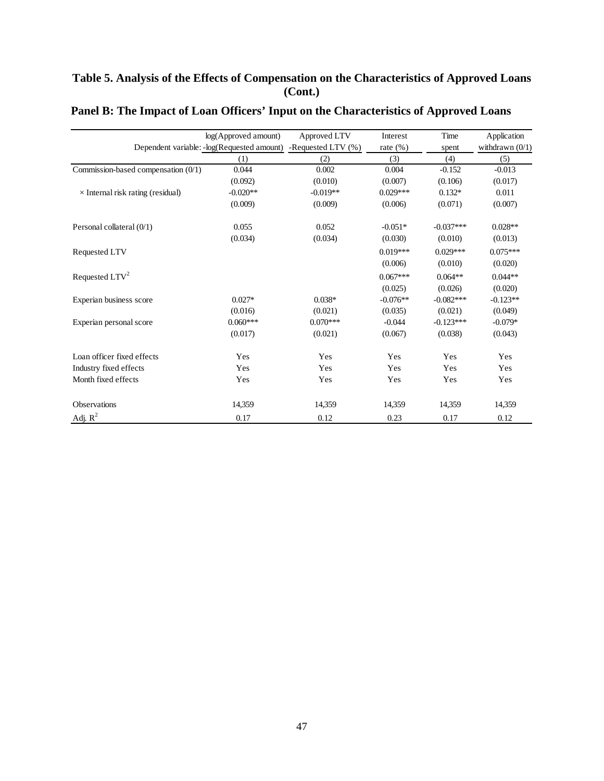# **Table 5. Analysis of the Effects of Compensation on the Characteristics of Approved Loans (Cont.)**

|                                          | log(Approved amount)                       | Approved LTV          | Interest     | Time        | Application       |
|------------------------------------------|--------------------------------------------|-----------------------|--------------|-------------|-------------------|
|                                          | Dependent variable: -log(Requested amount) | -Requested LTV $(\%)$ | rate $(\% )$ | spent       | withdrawn $(0/1)$ |
|                                          | (1)                                        | (2)                   | (3)          | (4)         | (5)               |
| Commission-based compensation $(0/1)$    | 0.044                                      | 0.002                 | 0.004        | $-0.152$    | $-0.013$          |
|                                          | (0.092)                                    | (0.010)               | (0.007)      | (0.106)     | (0.017)           |
| $\times$ Internal risk rating (residual) | $-0.020**$                                 | $-0.019**$            | $0.029***$   | $0.132*$    | 0.011             |
|                                          | (0.009)                                    | (0.009)               | (0.006)      | (0.071)     | (0.007)           |
| Personal collateral (0/1)                | 0.055                                      | 0.052                 | $-0.051*$    | $-0.037***$ | $0.028**$         |
|                                          | (0.034)                                    | (0.034)               | (0.030)      | (0.010)     | (0.013)           |
| Requested LTV                            |                                            |                       | $0.019***$   | $0.029***$  | $0.075***$        |
|                                          |                                            |                       | (0.006)      | (0.010)     | (0.020)           |
| Requested LTV <sup>2</sup>               |                                            |                       | $0.067***$   | $0.064**$   | $0.044**$         |
|                                          |                                            |                       | (0.025)      | (0.026)     | (0.020)           |
| Experian business score                  | $0.027*$                                   | $0.038*$              | $-0.076**$   | $-0.082***$ | $-0.123**$        |
|                                          | (0.016)                                    | (0.021)               | (0.035)      | (0.021)     | (0.049)           |
| Experian personal score                  | $0.060***$                                 | $0.070***$            | $-0.044$     | $-0.123***$ | $-0.079*$         |
|                                          | (0.017)                                    | (0.021)               | (0.067)      | (0.038)     | (0.043)           |
| Loan officer fixed effects               | Yes                                        | Yes                   | Yes          | Yes         | Yes               |
| Industry fixed effects                   | Yes                                        | Yes                   | Yes          | Yes         | Yes               |
| Month fixed effects                      | Yes                                        | Yes                   | Yes          | Yes         | Yes               |
| Observations                             | 14,359                                     | 14,359                | 14,359       | 14,359      | 14,359            |
| Adj. $R^2$                               | 0.17                                       | 0.12                  | 0.23         | 0.17        | 0.12              |

# **Panel B: The Impact of Loan Officers' Input on the Characteristics of Approved Loans**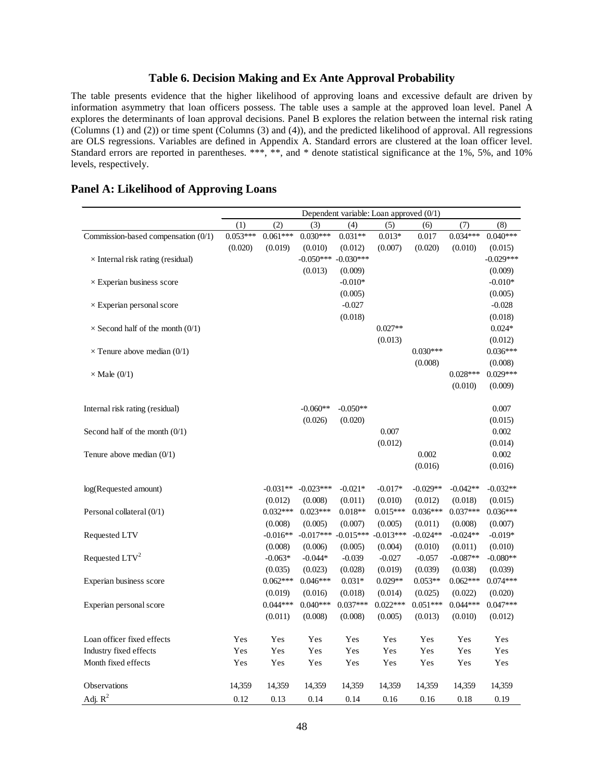### **Table 6. Decision Making and Ex Ante Approval Probability**

The table presents evidence that the higher likelihood of approving loans and excessive default are driven by information asymmetry that loan officers possess. The table uses a sample at the approved loan level. Panel A explores the determinants of loan approval decisions. Panel B explores the relation between the internal risk rating (Columns (1) and (2)) or time spent (Columns (3) and (4)), and the predicted likelihood of approval. All regressions are OLS regressions. Variables are defined in Appendix A. Standard errors are clustered at the loan officer level. Standard errors are reported in parentheses. \*\*\*, \*\*, and \* denote statistical significance at the 1%, 5%, and 10% levels, respectively.

|                                          | Dependent variable: Loan approved $(0/1)$ |            |             |             |             |            |            |             |
|------------------------------------------|-------------------------------------------|------------|-------------|-------------|-------------|------------|------------|-------------|
|                                          | (1)                                       | (2)        | (3)         | (4)         | (5)         | (6)        | (7)        | (8)         |
| Commission-based compensation $(0/1)$    | $0.053***$                                | $0.061***$ | $0.030***$  | $0.031**$   | $0.013*$    | 0.017      | $0.034***$ | $0.040***$  |
|                                          | (0.020)                                   | (0.019)    | (0.010)     | (0.012)     | (0.007)     | (0.020)    | (0.010)    | (0.015)     |
| $\times$ Internal risk rating (residual) |                                           |            | $-0.050***$ | $-0.030***$ |             |            |            | $-0.029***$ |
|                                          |                                           |            | (0.013)     | (0.009)     |             |            |            | (0.009)     |
| $\times$ Experian business score         |                                           |            |             | $-0.010*$   |             |            |            | $-0.010*$   |
|                                          |                                           |            |             | (0.005)     |             |            |            | (0.005)     |
| $\times$ Experian personal score         |                                           |            |             | $-0.027$    |             |            |            | $-0.028$    |
|                                          |                                           |            |             | (0.018)     |             |            |            | (0.018)     |
| $\times$ Second half of the month (0/1)  |                                           |            |             |             | $0.027**$   |            |            | $0.024*$    |
|                                          |                                           |            |             |             | (0.013)     |            |            | (0.012)     |
| $\times$ Tenure above median (0/1)       |                                           |            |             |             |             | $0.030***$ |            | $0.036***$  |
|                                          |                                           |            |             |             |             | (0.008)    |            | (0.008)     |
| $\times$ Male (0/1)                      |                                           |            |             |             |             |            | $0.028***$ | $0.029***$  |
|                                          |                                           |            |             |             |             |            | (0.010)    | (0.009)     |
|                                          |                                           |            |             |             |             |            |            |             |
| Internal risk rating (residual)          |                                           |            | $-0.060**$  | $-0.050**$  |             |            |            | 0.007       |
|                                          |                                           |            | (0.026)     | (0.020)     |             |            |            | (0.015)     |
| Second half of the month $(0/1)$         |                                           |            |             |             | 0.007       |            |            | 0.002       |
|                                          |                                           |            |             |             | (0.012)     |            |            | (0.014)     |
| Tenure above median $(0/1)$              |                                           |            |             |             |             | 0.002      |            | 0.002       |
|                                          |                                           |            |             |             |             | (0.016)    |            | (0.016)     |
|                                          |                                           |            |             |             |             |            |            |             |
| log(Requested amount)                    |                                           | $-0.031**$ | $-0.023***$ | $-0.021*$   | $-0.017*$   | $-0.029**$ | $-0.042**$ | $-0.032**$  |
|                                          |                                           | (0.012)    | (0.008)     | (0.011)     | (0.010)     | (0.012)    | (0.018)    | (0.015)     |
| Personal collateral (0/1)                |                                           | $0.032***$ | $0.023***$  | $0.018**$   | $0.015***$  | $0.036***$ | $0.037***$ | $0.036***$  |
|                                          |                                           | (0.008)    | (0.005)     | (0.007)     | (0.005)     | (0.011)    | (0.008)    | (0.007)     |
| Requested LTV                            |                                           | $-0.016**$ | $-0.017***$ | $-0.015***$ | $-0.013***$ | $-0.024**$ | $-0.024**$ | $-0.019*$   |
|                                          |                                           | (0.008)    | (0.006)     | (0.005)     | (0.004)     | (0.010)    | (0.011)    | (0.010)     |
| Requested LTV <sup>2</sup>               |                                           | $-0.063*$  | $-0.044*$   | $-0.039$    | $-0.027$    | $-0.057$   | $-0.087**$ | $-0.080**$  |
|                                          |                                           | (0.035)    | (0.023)     | (0.028)     | (0.019)     | (0.039)    | (0.038)    | (0.039)     |
| Experian business score                  |                                           | $0.062***$ | $0.046***$  | $0.031*$    | $0.029**$   | $0.053**$  | $0.062***$ | $0.074***$  |
|                                          |                                           | (0.019)    | (0.016)     | (0.018)     | (0.014)     | (0.025)    | (0.022)    | (0.020)     |
| Experian personal score                  |                                           | $0.044***$ | $0.040***$  | $0.037***$  | $0.022***$  | $0.051***$ | $0.044***$ | $0.047***$  |
|                                          |                                           | (0.011)    | (0.008)     | (0.008)     | (0.005)     | (0.013)    | (0.010)    | (0.012)     |
| Loan officer fixed effects               | Yes                                       | Yes        | Yes         | Yes         | Yes         | Yes        | Yes        | Yes         |
| Industry fixed effects                   | Yes                                       | Yes        | Yes         | Yes         | Yes         | Yes        | Yes        | Yes         |
| Month fixed effects                      | Yes                                       | Yes        | Yes         | Yes         | Yes         | Yes        | Yes        | Yes         |
|                                          |                                           |            |             |             |             |            |            |             |
| Observations                             | 14,359                                    | 14,359     | 14,359      | 14,359      | 14,359      | 14,359     | 14,359     | 14,359      |
| Adj. $R^2$                               | 0.12                                      | 0.13       | 0.14        | 0.14        | 0.16        | 0.16       | 0.18       | 0.19        |

## **Panel A: Likelihood of Approving Loans**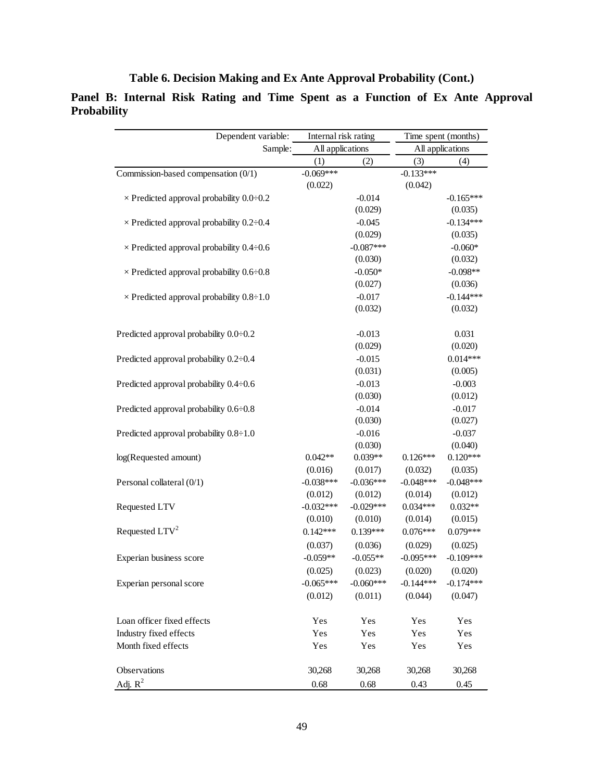**Table 6. Decision Making and Ex Ante Approval Probability (Cont.)** 

**Panel B: Internal Risk Rating and Time Spent as a Function of Ex Ante Approval Probability**

| Dependent variable:                             | Internal risk rating |             | Time spent (months) |             |  |
|-------------------------------------------------|----------------------|-------------|---------------------|-------------|--|
| Sample:                                         | All applications     |             | All applications    |             |  |
|                                                 | (1)                  | (2)         |                     | (4)         |  |
| Commission-based compensation (0/1)             | $-0.069***$          |             | $-0.133***$         |             |  |
|                                                 | (0.022)              |             | (0.042)             |             |  |
| $\times$ Predicted approval probability 0.0–0.2 |                      | $-0.014$    |                     | $-0.165***$ |  |
|                                                 |                      | (0.029)     |                     | (0.035)     |  |
| $\times$ Predicted approval probability 0.2–0.4 |                      | $-0.045$    |                     | $-0.134***$ |  |
|                                                 |                      | (0.029)     |                     | (0.035)     |  |
| $\times$ Predicted approval probability 0.4–0.6 |                      | $-0.087***$ |                     | $-0.060*$   |  |
|                                                 |                      | (0.030)     |                     | (0.032)     |  |
| $\times$ Predicted approval probability 0.6–0.8 |                      | $-0.050*$   |                     | $-0.098**$  |  |
|                                                 |                      | (0.027)     |                     | (0.036)     |  |
| $\times$ Predicted approval probability 0.8–1.0 |                      | $-0.017$    |                     | $-0.144***$ |  |
|                                                 |                      | (0.032)     |                     | (0.032)     |  |
| Predicted approval probability 0.0-0.2          |                      | $-0.013$    |                     | 0.031       |  |
|                                                 |                      | (0.029)     |                     | (0.020)     |  |
| Predicted approval probability 0.2:0.4          |                      | $-0.015$    |                     | $0.014***$  |  |
|                                                 |                      | (0.031)     |                     | (0.005)     |  |
| Predicted approval probability 0.4-0.6          |                      | $-0.013$    |                     | $-0.003$    |  |
|                                                 |                      | (0.030)     |                     | (0.012)     |  |
| Predicted approval probability 0.6-0.8          |                      | $-0.014$    |                     | $-0.017$    |  |
|                                                 |                      | (0.030)     |                     | (0.027)     |  |
| Predicted approval probability 0.8-1.0          |                      | $-0.016$    |                     | $-0.037$    |  |
|                                                 |                      | (0.030)     |                     | (0.040)     |  |
| log(Requested amount)                           | $0.042**$            | $0.039**$   | $0.126***$          | $0.120***$  |  |
|                                                 | (0.016)              | (0.017)     | (0.032)             | (0.035)     |  |
| Personal collateral (0/1)                       | $-0.038***$          | $-0.036***$ | $-0.048***$         | $-0.048***$ |  |
|                                                 | (0.012)              | (0.012)     | (0.014)             | (0.012)     |  |
| Requested LTV                                   | $-0.032***$          | $-0.029***$ | $0.034***$          | $0.032**$   |  |
|                                                 | (0.010)              | (0.010)     | (0.014)             | (0.015)     |  |
| Requested LTV <sup>2</sup>                      | $0.142***$           | $0.139***$  | $0.076***$          | $0.079***$  |  |
|                                                 | (0.037)              | (0.036)     | (0.029)             | (0.025)     |  |
| Experian business score                         | $-0.059**$           | $-0.055**$  | $-0.095***$         | $-0.109***$ |  |
|                                                 | (0.025)              | (0.023)     | (0.020)             | (0.020)     |  |
| Experian personal score                         | $-0.065***$          | $-0.060***$ | $-0.144***$         | $-0.174***$ |  |
|                                                 | (0.012)              | (0.011)     | (0.044)             | (0.047)     |  |
| Loan officer fixed effects                      | Yes                  | Yes         | Yes                 | Yes         |  |
| Industry fixed effects                          | Yes                  | Yes         | Yes                 | Yes         |  |
| Month fixed effects                             | Yes                  | Yes         | Yes                 | Yes         |  |
|                                                 |                      |             |                     |             |  |
| Observations                                    | 30,268               | 30,268      | 30,268              | 30,268      |  |
| Adj. $R^2$                                      | 0.68                 | 0.68        | 0.43                | 0.45        |  |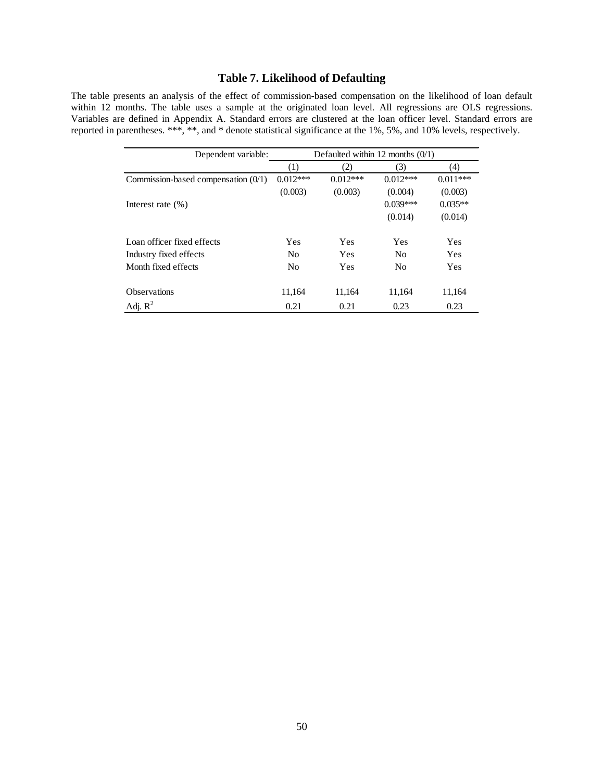# **Table 7. Likelihood of Defaulting**

The table presents an analysis of the effect of commission-based compensation on the likelihood of loan default within 12 months. The table uses a sample at the originated loan level. All regressions are OLS regressions. Variables are defined in Appendix A. Standard errors are clustered at the loan officer level. Standard errors are reported in parentheses. \*\*\*, \*\*, and \* denote statistical significance at the 1%, 5%, and 10% levels, respectively.

| Dependent variable:                   | Defaulted within 12 months $(0/1)$ |            |                |            |
|---------------------------------------|------------------------------------|------------|----------------|------------|
|                                       | (1)                                | (2)        | (3)            | (4)        |
| Commission-based compensation $(0/1)$ | $0.012***$                         | $0.012***$ | $0.012***$     | $0.011***$ |
|                                       | (0.003)                            | (0.003)    | (0.004)        | (0.003)    |
| Interest rate $(\% )$                 |                                    |            | $0.039***$     | $0.035**$  |
|                                       |                                    |            | (0.014)        | (0.014)    |
| Loan officer fixed effects            | Yes                                | Yes        | Yes            | Yes        |
| Industry fixed effects                | N <sub>0</sub>                     | <b>Yes</b> | N <sub>0</sub> | Yes        |
| Month fixed effects                   | N <sub>0</sub>                     | Yes        | N <sub>0</sub> | Yes        |
| <b>Observations</b>                   | 11.164                             | 11,164     | 11,164         | 11,164     |
| Adj. $R^2$                            | 0.21                               | 0.21       | 0.23           | 0.23       |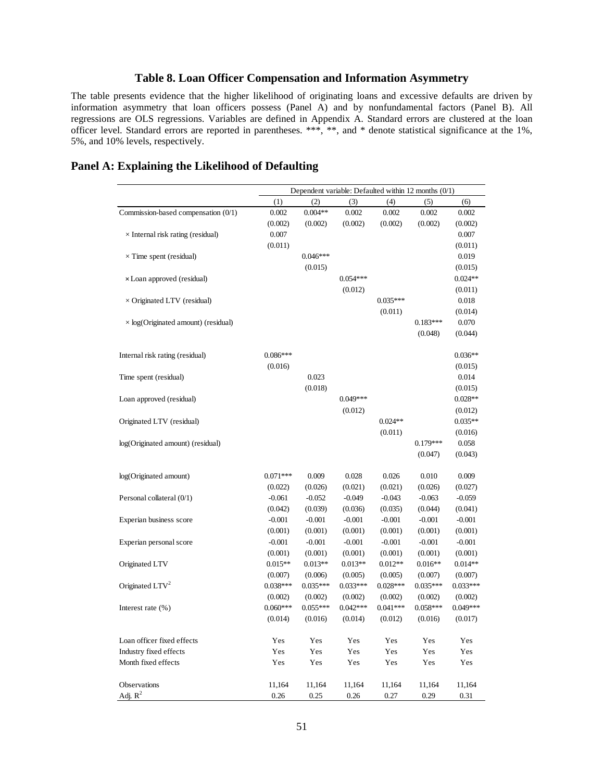# **Table 8. Loan Officer Compensation and Information Asymmetry**

The table presents evidence that the higher likelihood of originating loans and excessive defaults are driven by information asymmetry that loan officers possess (Panel A) and by nonfundamental factors (Panel B). All regressions are OLS regressions. Variables are defined in Appendix A. Standard errors are clustered at the loan officer level. Standard errors are reported in parentheses. \*\*\*, \*\*, and \* denote statistical significance at the 1%, 5%, and 10% levels, respectively.

|                                            | Dependent variable: Defaulted within 12 months (0/1) |            |            |            |            |            |
|--------------------------------------------|------------------------------------------------------|------------|------------|------------|------------|------------|
|                                            | (1)                                                  | (2)        | (3)        | (4)        | (5)        | (6)        |
| Commission-based compensation (0/1)        | 0.002                                                | $0.004**$  | 0.002      | 0.002      | 0.002      | 0.002      |
|                                            | (0.002)                                              | (0.002)    | (0.002)    | (0.002)    | (0.002)    | (0.002)    |
| $\times$ Internal risk rating (residual)   | 0.007                                                |            |            |            |            | 0.007      |
|                                            | (0.011)                                              |            |            |            |            | (0.011)    |
| $\times$ Time spent (residual)             |                                                      | $0.046***$ |            |            |            | 0.019      |
|                                            |                                                      | (0.015)    |            |            |            | (0.015)    |
| x Loan approved (residual)                 |                                                      |            | $0.054***$ |            |            | $0.024**$  |
|                                            |                                                      |            | (0.012)    |            |            | (0.011)    |
| $\times$ Originated LTV (residual)         |                                                      |            |            | $0.035***$ |            | 0.018      |
|                                            |                                                      |            |            | (0.011)    |            | (0.014)    |
| $\times$ log(Originated amount) (residual) |                                                      |            |            |            | $0.183***$ | 0.070      |
|                                            |                                                      |            |            |            | (0.048)    | (0.044)    |
| Internal risk rating (residual)            | $0.086***$                                           |            |            |            |            | $0.036**$  |
|                                            | (0.016)                                              |            |            |            |            | (0.015)    |
| Time spent (residual)                      |                                                      | 0.023      |            |            |            | 0.014      |
|                                            |                                                      | (0.018)    |            |            |            | (0.015)    |
| Loan approved (residual)                   |                                                      |            | $0.049***$ |            |            | $0.028**$  |
|                                            |                                                      |            | (0.012)    |            |            | (0.012)    |
| Originated LTV (residual)                  |                                                      |            |            | $0.024**$  |            | $0.035**$  |
|                                            |                                                      |            |            | (0.011)    |            | (0.016)    |
| log(Originated amount) (residual)          |                                                      |            |            |            | $0.179***$ | 0.058      |
|                                            |                                                      |            |            |            | (0.047)    | (0.043)    |
| log(Originated amount)                     | $0.071***$                                           | 0.009      | 0.028      | 0.026      | 0.010      | 0.009      |
|                                            | (0.022)                                              | (0.026)    | (0.021)    | (0.021)    | (0.026)    | (0.027)    |
| Personal collateral (0/1)                  | $-0.061$                                             | $-0.052$   | $-0.049$   | $-0.043$   | $-0.063$   | $-0.059$   |
|                                            | (0.042)                                              | (0.039)    | (0.036)    | (0.035)    | (0.044)    | (0.041)    |
| Experian business score                    | $-0.001$                                             | $-0.001$   | $-0.001$   | $-0.001$   | $-0.001$   | $-0.001$   |
|                                            | (0.001)                                              | (0.001)    | (0.001)    | (0.001)    | (0.001)    | (0.001)    |
| Experian personal score                    | $-0.001$                                             | $-0.001$   | $-0.001$   | $-0.001$   | $-0.001$   | $-0.001$   |
|                                            | (0.001)                                              | (0.001)    | (0.001)    | (0.001)    | (0.001)    | (0.001)    |
| Originated LTV                             | $0.015**$                                            | $0.013**$  | $0.013**$  | $0.012**$  | $0.016**$  | $0.014**$  |
|                                            | (0.007)                                              | (0.006)    | (0.005)    | (0.005)    | (0.007)    | (0.007)    |
| Originated LTV <sup>2</sup>                | $0.038***$                                           | $0.035***$ | $0.033***$ | $0.028***$ | $0.035***$ | $0.033***$ |
|                                            | (0.002)                                              | (0.002)    | (0.002)    | (0.002)    | (0.002)    | (0.002)    |
| Interest rate (%)                          | $0.060***$                                           | $0.055***$ | $0.042***$ | $0.041***$ | $0.058***$ | $0.049***$ |
|                                            | (0.014)                                              | (0.016)    | (0.014)    | (0.012)    | (0.016)    | (0.017)    |
| Loan officer fixed effects                 | Yes                                                  | Yes        | Yes        | Yes        | Yes        | Yes        |
| Industry fixed effects                     | Yes                                                  | Yes        | Yes        | Yes        | Yes        | Yes        |
| Month fixed effects                        | Yes                                                  | Yes        | Yes        | Yes        | Yes        | Yes        |
| Observations                               | 11,164                                               | 11,164     | 11,164     | 11,164     | 11,164     | 11,164     |
| Adj. $R^2$                                 | 0.26                                                 | 0.25       | 0.26       | 0.27       | 0.29       | 0.31       |

# **Panel A: Explaining the Likelihood of Defaulting**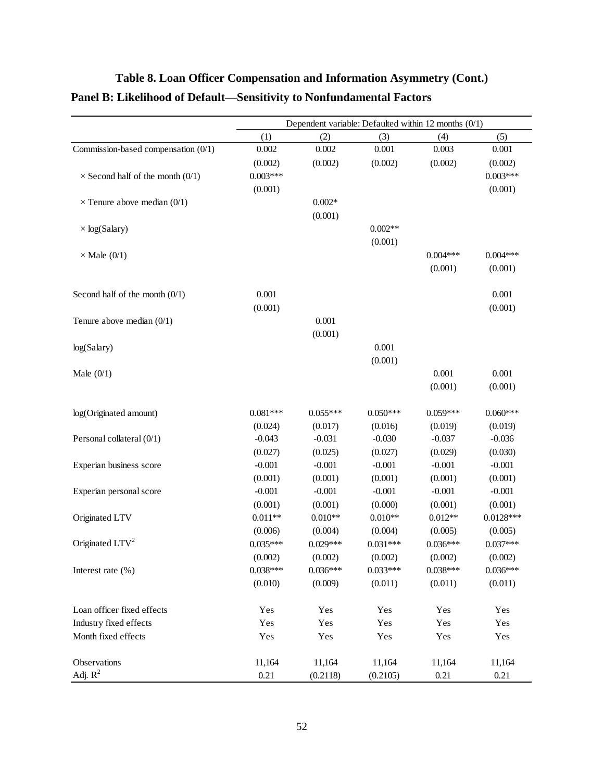|                                         | Dependent variable: Defaulted within 12 months (0/1) |            |            |            |             |
|-----------------------------------------|------------------------------------------------------|------------|------------|------------|-------------|
|                                         | (1)                                                  | (2)        | (3)        | (4)        | (5)         |
| Commission-based compensation (0/1)     | 0.002                                                | 0.002      | 0.001      | 0.003      | 0.001       |
|                                         | (0.002)                                              | (0.002)    | (0.002)    | (0.002)    | (0.002)     |
| $\times$ Second half of the month (0/1) | $0.003***$                                           |            |            |            | $0.003***$  |
|                                         | (0.001)                                              |            |            |            | (0.001)     |
| $\times$ Tenure above median (0/1)      |                                                      | $0.002*$   |            |            |             |
|                                         |                                                      | (0.001)    |            |            |             |
| $\times$ log(Salary)                    |                                                      |            | $0.002**$  |            |             |
|                                         |                                                      |            | (0.001)    |            |             |
| $\times$ Male (0/1)                     |                                                      |            |            | $0.004***$ | $0.004***$  |
|                                         |                                                      |            |            | (0.001)    | (0.001)     |
|                                         |                                                      |            |            |            |             |
| Second half of the month $(0/1)$        | 0.001                                                |            |            |            | 0.001       |
|                                         | (0.001)                                              |            |            |            | (0.001)     |
| Tenure above median $(0/1)$             |                                                      | 0.001      |            |            |             |
|                                         |                                                      | (0.001)    |            |            |             |
| log(Salary)                             |                                                      |            | 0.001      |            |             |
|                                         |                                                      |            | (0.001)    |            |             |
| Male $(0/1)$                            |                                                      |            |            | 0.001      | 0.001       |
|                                         |                                                      |            |            | (0.001)    | (0.001)     |
|                                         |                                                      |            |            |            |             |
| log(Originated amount)                  | $0.081***$                                           | $0.055***$ | $0.050***$ | $0.059***$ | $0.060***$  |
|                                         | (0.024)                                              | (0.017)    | (0.016)    | (0.019)    | (0.019)     |
| Personal collateral (0/1)               | $-0.043$                                             | $-0.031$   | $-0.030$   | $-0.037$   | $-0.036$    |
|                                         | (0.027)                                              | (0.025)    | (0.027)    | (0.029)    | (0.030)     |
| Experian business score                 | $-0.001$                                             | $-0.001$   | $-0.001$   | $-0.001$   | $-0.001$    |
|                                         | (0.001)                                              | (0.001)    | (0.001)    | (0.001)    | (0.001)     |
| Experian personal score                 | $-0.001$                                             | $-0.001$   | $-0.001$   | $-0.001$   | $-0.001$    |
|                                         | (0.001)                                              | (0.001)    | (0.000)    | (0.001)    | (0.001)     |
| Originated LTV                          | $0.011**$                                            | $0.010**$  | $0.010**$  | $0.012**$  | $0.0128***$ |
|                                         | (0.006)                                              | (0.004)    | (0.004)    | (0.005)    | (0.005)     |
| Originated LTV <sup>2</sup>             | $0.035***$                                           | $0.029***$ | $0.031***$ | $0.036***$ | $0.037***$  |
|                                         | (0.002)                                              | (0.002)    | (0.002)    | (0.002)    | (0.002)     |
| Interest rate $(\% )$                   | $0.038***$                                           | $0.036***$ | $0.033***$ | $0.038***$ | $0.036***$  |
|                                         | (0.010)                                              | (0.009)    | (0.011)    | (0.011)    | (0.011)     |
| Loan officer fixed effects              | Yes                                                  | Yes        | Yes        | Yes        | Yes         |
| Industry fixed effects                  | Yes                                                  | Yes        | Yes        | Yes        | Yes         |
| Month fixed effects                     | Yes                                                  | Yes        | Yes        | Yes        | Yes         |
|                                         |                                                      |            |            |            |             |
| Observations                            | 11,164                                               | 11,164     | 11,164     | 11,164     | 11,164      |
| Adj. $R^2$                              | 0.21                                                 | (0.2118)   | (0.2105)   | 0.21       | 0.21        |

# **Table 8. Loan Officer Compensation and Information Asymmetry (Cont.) Panel B: Likelihood of Default—Sensitivity to Nonfundamental Factors**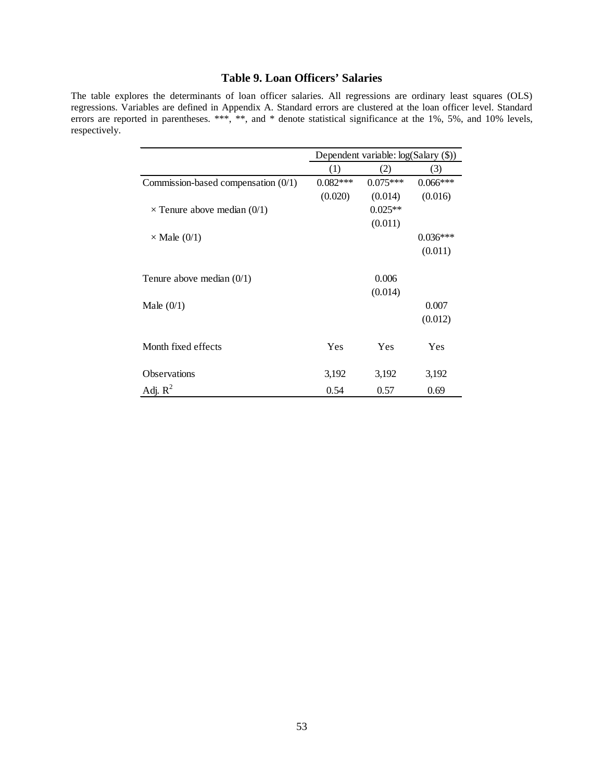# **Table 9. Loan Officers' Salaries**

The table explores the determinants of loan officer salaries. All regressions are ordinary least squares (OLS) regressions. Variables are defined in Appendix A. Standard errors are clustered at the loan officer level. Standard errors are reported in parentheses. \*\*\*, \*\*, and \* denote statistical significance at the 1%, 5%, and 10% levels, respectively.

|                                     | Dependent variable: log(Salary (\$)) |            |            |  |
|-------------------------------------|--------------------------------------|------------|------------|--|
|                                     | (1)                                  | (2)        | (3)        |  |
| Commission-based compensation (0/1) | $0.082***$                           | $0.075***$ | $0.066***$ |  |
|                                     | (0.020)                              | (0.014)    | (0.016)    |  |
| $\times$ Tenure above median (0/1)  |                                      | $0.025**$  |            |  |
|                                     |                                      | (0.011)    |            |  |
| $\times$ Male (0/1)                 |                                      |            | $0.036***$ |  |
|                                     |                                      |            | (0.011)    |  |
| Tenure above median $(0/1)$         |                                      | 0.006      |            |  |
|                                     |                                      | (0.014)    |            |  |
| Male $(0/1)$                        |                                      |            | 0.007      |  |
|                                     |                                      |            | (0.012)    |  |
| Month fixed effects                 | Yes                                  | Yes        | Yes        |  |
| <b>Observations</b>                 | 3,192                                | 3,192      | 3,192      |  |
| Adj. $R^2$                          | 0.54                                 | 0.57       | 0.69       |  |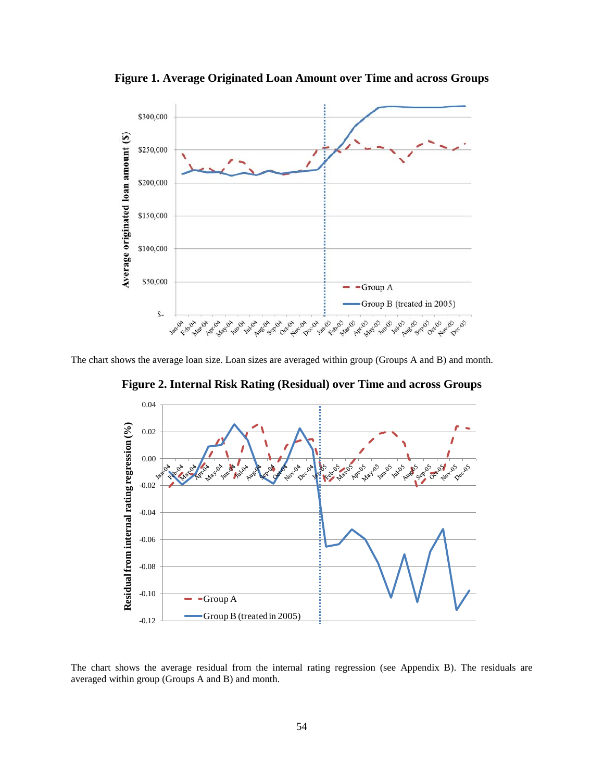**Figure 1. Average Originated Loan Amount over Time and across Groups** 



The chart shows the average loan size. Loan sizes are averaged within group (Groups A and B) and month.





The chart shows the average residual from the internal rating regression (see Appendix B). The residuals are averaged within group (Groups A and B) and month.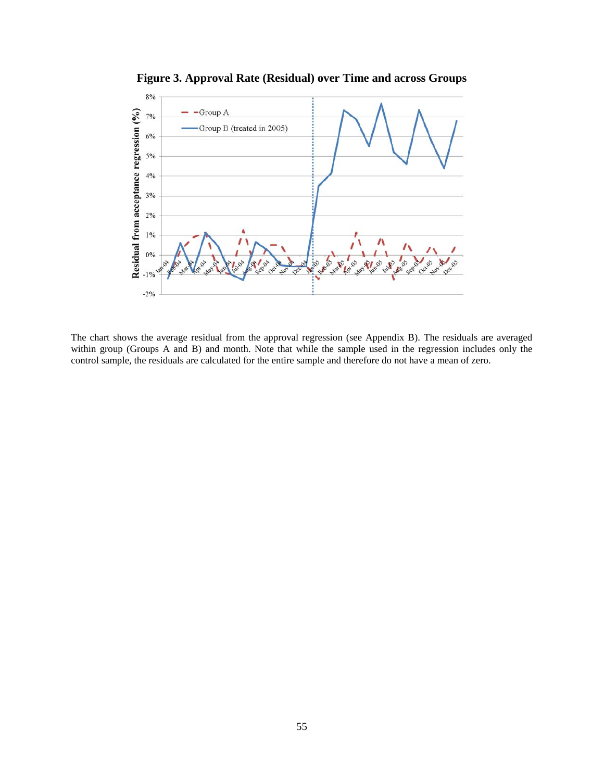

**Figure 3. Approval Rate (Residual) over Time and across Groups**

The chart shows the average residual from the approval regression (see Appendix B). The residuals are averaged within group (Groups A and B) and month. Note that while the sample used in the regression includes only the control sample, the residuals are calculated for the entire sample and therefore do not have a mean of zero.